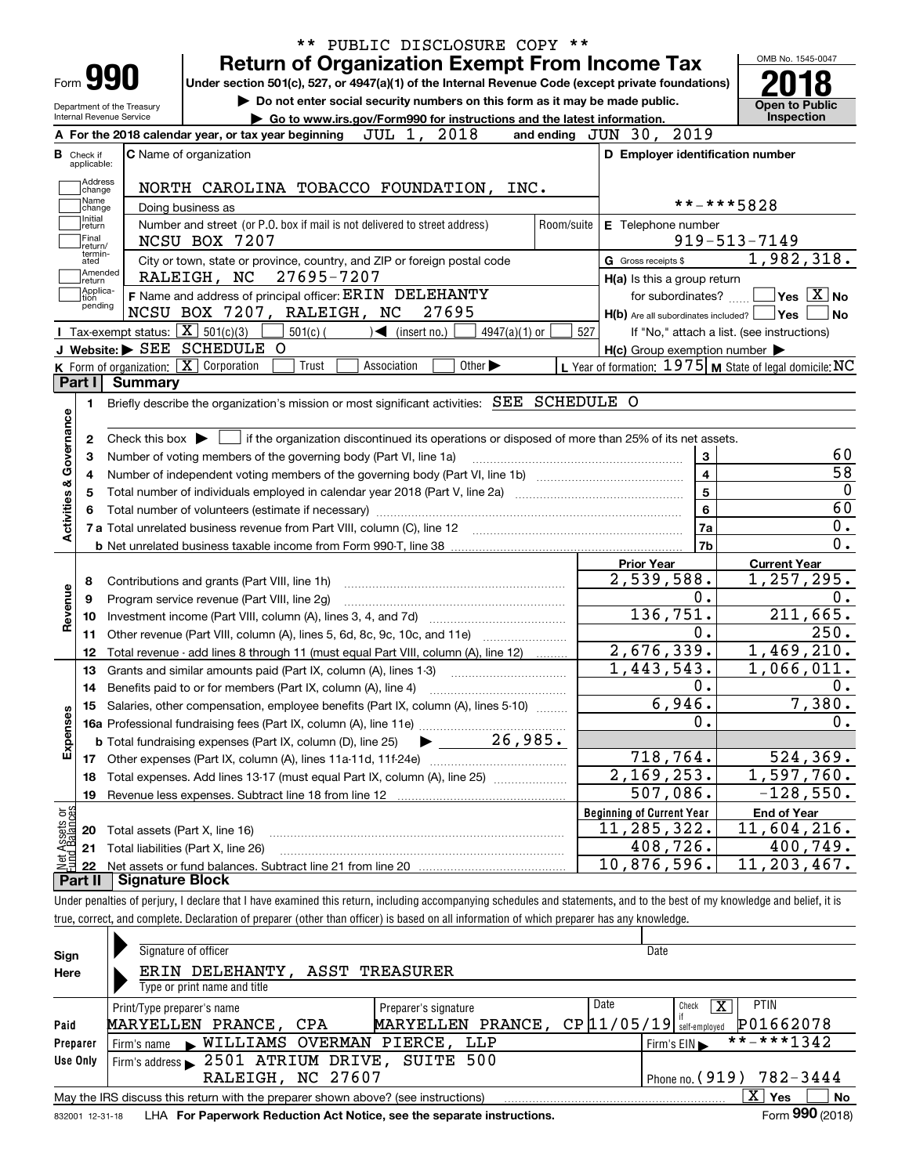|                                                           |                                                                                                                                                            | PUBLIC DISCLOSURE COPY ** |                                                                                                                  | OMB No. 1545-0047                                     |
|-----------------------------------------------------------|------------------------------------------------------------------------------------------------------------------------------------------------------------|---------------------------|------------------------------------------------------------------------------------------------------------------|-------------------------------------------------------|
| Form 990                                                  | <b>Return of Organization Exempt From Income Tax</b><br>Under section 501(c), 527, or 4947(a)(1) of the Internal Revenue Code (except private foundations) |                           |                                                                                                                  |                                                       |
|                                                           | Do not enter social security numbers on this form as it may be made public.                                                                                |                           |                                                                                                                  |                                                       |
| Department of the Treasury<br>Internal Revenue Service    | Go to www.irs.gov/Form990 for instructions and the latest information.                                                                                     |                           |                                                                                                                  | <b>Open to Public</b><br>Inspection                   |
|                                                           | JUL 1, 2018<br>A For the 2018 calendar year, or tax year beginning                                                                                         |                           | 2019<br>and ending $JUN$ 30,                                                                                     |                                                       |
| В<br>Check if<br>applicable:                              | <b>C</b> Name of organization                                                                                                                              |                           | D Employer identification number                                                                                 |                                                       |
| Address                                                   |                                                                                                                                                            |                           |                                                                                                                  |                                                       |
| change<br>Name                                            | NORTH CAROLINA TOBACCO FOUNDATION, INC.                                                                                                                    |                           |                                                                                                                  |                                                       |
| change<br>  Initial                                       | Doing business as                                                                                                                                          |                           | **-***5828                                                                                                       |                                                       |
| return<br>Final                                           | Number and street (or P.O. box if mail is not delivered to street address)                                                                                 | Room/suite                | E Telephone number                                                                                               |                                                       |
| return/<br>termin-                                        | NCSU BOX 7207                                                                                                                                              |                           |                                                                                                                  | $919 - 513 - 7149$                                    |
| ated<br>Amended                                           | City or town, state or province, country, and ZIP or foreign postal code                                                                                   |                           | G Gross receipts \$                                                                                              | 1,982,318.                                            |
| return<br>Applica-                                        | RALEIGH, NC<br>27695-7207                                                                                                                                  |                           | H(a) Is this a group return                                                                                      |                                                       |
| tion<br>pending                                           | F Name and address of principal officer: ERIN DELEHANTY<br>NCSU BOX 7207, RALEIGH, NC<br>27695                                                             |                           | for subordinates?                                                                                                | $\blacksquare$ Yes $\boxed{\text{X}}$ No              |
|                                                           | Tax-exempt status: $\boxed{\mathbf{X}}$ 501(c)(3)<br>$501(c)$ $\left(\right)$ (insert no.)                                                                 |                           | $H(b)$ Are all subordinates included? $\Box$ Yes                                                                 | l No                                                  |
|                                                           | J Website: > SEE SCHEDULE O                                                                                                                                | $4947(a)(1)$ or           | 527                                                                                                              | If "No," attach a list. (see instructions)            |
|                                                           | K Form of organization: X Corporation<br>Association<br>Other $\blacktriangleright$<br>Trust                                                               |                           | $H(c)$ Group exemption number $\blacktriangleright$<br>L Year of formation: $1975$ M State of legal domicile: NC |                                                       |
| Part I I                                                  | <b>Summary</b>                                                                                                                                             |                           |                                                                                                                  |                                                       |
| 1.                                                        | Briefly describe the organization's mission or most significant activities: SEE SCHEDULE O                                                                 |                           |                                                                                                                  |                                                       |
| Governance<br>4<br><b>Activities &amp;</b><br>5<br>6<br>8 | 7 a Total unrelated business revenue from Part VIII, column (C), line 12<br>Contributions and grants (Part VIII, line 1h)                                  |                           | 4<br>5<br>6<br>7a<br>7b<br><b>Prior Year</b><br>2,539,588.                                                       | $\overline{0}$ .<br><b>Current Year</b><br>1,257,295. |
| 9                                                         | Program service revenue (Part VIII, line 2g)                                                                                                               |                           | 0.                                                                                                               | 0.                                                    |
| Revenue<br>10                                             |                                                                                                                                                            |                           | 136,751.                                                                                                         | 211,665.                                              |
| 11                                                        | Other revenue (Part VIII, column (A), lines 5, 6d, 8c, 9c, 10c, and 11e)                                                                                   |                           | 0.                                                                                                               | 250.                                                  |
| 12                                                        | Total revenue - add lines 8 through 11 (must equal Part VIII, column (A), line 12)                                                                         |                           | 2,676,339.                                                                                                       | 1,469,210.                                            |
| 13                                                        | Grants and similar amounts paid (Part IX, column (A), lines 1-3)                                                                                           |                           | 1,443,543.                                                                                                       | 1,066,011.                                            |
| 14                                                        | Benefits paid to or for members (Part IX, column (A), line 4)                                                                                              |                           | 0.                                                                                                               | $0$ .                                                 |
| 15                                                        | Salaries, other compensation, employee benefits (Part IX, column (A), lines 5-10)                                                                          |                           | 6,946.                                                                                                           | 7,380.                                                |
| Expenses                                                  |                                                                                                                                                            |                           | 0.                                                                                                               | 0.                                                    |
|                                                           |                                                                                                                                                            |                           |                                                                                                                  |                                                       |
| 17                                                        |                                                                                                                                                            |                           | 718,764.                                                                                                         | 524,369.                                              |
| 18                                                        | Total expenses. Add lines 13-17 (must equal Part IX, column (A), line 25)                                                                                  |                           | 2,169,253.                                                                                                       |                                                       |
| 19                                                        |                                                                                                                                                            |                           |                                                                                                                  |                                                       |
|                                                           |                                                                                                                                                            |                           | $507,086$ .                                                                                                      |                                                       |
|                                                           |                                                                                                                                                            |                           | <b>Beginning of Current Year</b>                                                                                 | <b>End of Year</b>                                    |
| 20                                                        | Total assets (Part X, line 16)                                                                                                                             |                           | 11,285,322.                                                                                                      | 1,597,760.<br>$-128,550$ .<br>11,604,216.             |
| 21                                                        | Total liabilities (Part X, line 26)                                                                                                                        |                           | 408,726.                                                                                                         | 400,749.                                              |
| t Assets or<br>d Balances<br>22                           | <b>Signature Block</b>                                                                                                                                     |                           | 10,876,596.                                                                                                      | 203,467.<br>11,                                       |

| Sign     | Signature of officer                                                              |                      | Date                          |                           |  |  |  |  |  |  |
|----------|-----------------------------------------------------------------------------------|----------------------|-------------------------------|---------------------------|--|--|--|--|--|--|
| Here     | ERIN DELEHANTY, ASST TREASURER                                                    |                      |                               |                           |  |  |  |  |  |  |
|          | Type or print name and title                                                      |                      |                               |                           |  |  |  |  |  |  |
|          | Print/Type preparer's name                                                        | Preparer's signature | Date<br>Check                 | <b>PTIN</b><br>x          |  |  |  |  |  |  |
| Paid     | MARYELLEN PRANCE, CPA                                                             | MARYELLEN PRANCE,    | $CP$ $11/05/19$ self-employed | P01662078                 |  |  |  |  |  |  |
| Preparer | WILLIAMS OVERMAN PIERCE, LLP<br>Firm's name<br>$\mathbf{r}$                       |                      | Firm's $EIN$                  | **-***1342                |  |  |  |  |  |  |
| Use Only | 2501 ATRIUM DRIVE, SUITE 500<br>Firm's address $\blacktriangleright$              |                      |                               |                           |  |  |  |  |  |  |
|          | RALEIGH, NC 27607<br>Phone no. $(919)$ 782-3444                                   |                      |                               |                           |  |  |  |  |  |  |
|          | May the IRS discuss this return with the preparer shown above? (see instructions) |                      |                               | x<br>No<br><b>Yes</b>     |  |  |  |  |  |  |
|          |                                                                                   |                      |                               | $000 \times 10^{10}$<br>- |  |  |  |  |  |  |

832001\_12-31-18 LHA **For Paperwork Reduction Act Notice, see the separate instructions.** Form 990 (2018)

**990**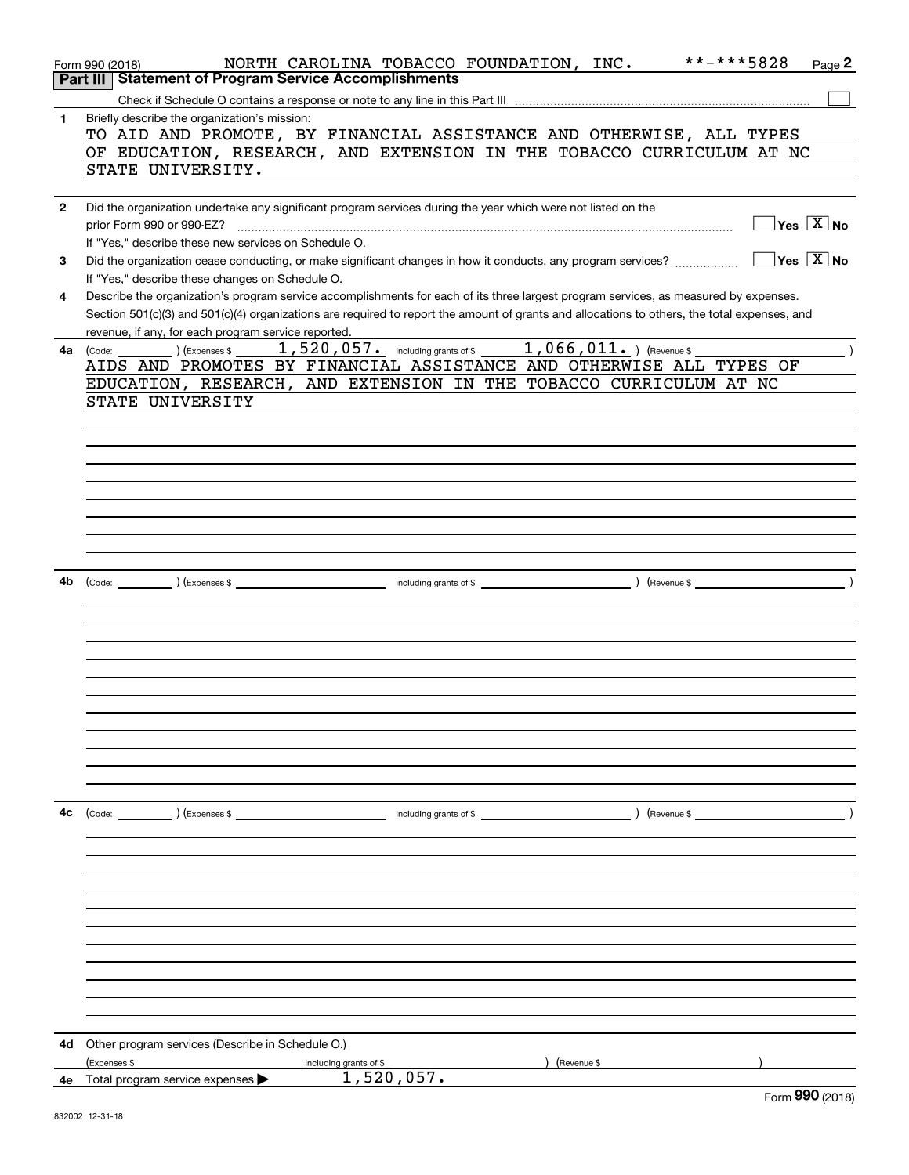|              | **-***5828<br>NORTH CAROLINA TOBACCO FOUNDATION, INC.<br>Page 2<br>Form 990 (2018)<br><b>Statement of Program Service Accomplishments</b><br>Part III                                                                                                                                                                                                                                                                                                                                                                            |
|--------------|----------------------------------------------------------------------------------------------------------------------------------------------------------------------------------------------------------------------------------------------------------------------------------------------------------------------------------------------------------------------------------------------------------------------------------------------------------------------------------------------------------------------------------|
|              |                                                                                                                                                                                                                                                                                                                                                                                                                                                                                                                                  |
|              |                                                                                                                                                                                                                                                                                                                                                                                                                                                                                                                                  |
| 1            | Briefly describe the organization's mission:                                                                                                                                                                                                                                                                                                                                                                                                                                                                                     |
|              | TO AID AND PROMOTE, BY FINANCIAL ASSISTANCE AND OTHERWISE, ALL TYPES                                                                                                                                                                                                                                                                                                                                                                                                                                                             |
|              | OF EDUCATION, RESEARCH, AND EXTENSION IN THE TOBACCO CURRICULUM AT NC                                                                                                                                                                                                                                                                                                                                                                                                                                                            |
|              | STATE UNIVERSITY.                                                                                                                                                                                                                                                                                                                                                                                                                                                                                                                |
|              |                                                                                                                                                                                                                                                                                                                                                                                                                                                                                                                                  |
| $\mathbf{2}$ | Did the organization undertake any significant program services during the year which were not listed on the                                                                                                                                                                                                                                                                                                                                                                                                                     |
|              | $\sqrt{}$ Yes $\sqrt{X}$ No<br>prior Form 990 or 990-EZ?                                                                                                                                                                                                                                                                                                                                                                                                                                                                         |
|              | If "Yes," describe these new services on Schedule O.                                                                                                                                                                                                                                                                                                                                                                                                                                                                             |
| 3            | $\sqrt{}$ Yes $\sqrt{}$ X $\sqrt{}$ No<br>Did the organization cease conducting, or make significant changes in how it conducts, any program services?                                                                                                                                                                                                                                                                                                                                                                           |
|              |                                                                                                                                                                                                                                                                                                                                                                                                                                                                                                                                  |
|              | If "Yes," describe these changes on Schedule O.                                                                                                                                                                                                                                                                                                                                                                                                                                                                                  |
| 4            | Describe the organization's program service accomplishments for each of its three largest program services, as measured by expenses.                                                                                                                                                                                                                                                                                                                                                                                             |
|              | Section 501(c)(3) and 501(c)(4) organizations are required to report the amount of grants and allocations to others, the total expenses, and                                                                                                                                                                                                                                                                                                                                                                                     |
|              | revenue, if any, for each program service reported.                                                                                                                                                                                                                                                                                                                                                                                                                                                                              |
| 4a           | 1,520,057. including grants of \$1,066,011. ) (Revenue \$<br>(Express \$<br>(Code:                                                                                                                                                                                                                                                                                                                                                                                                                                               |
|              | AIDS AND PROMOTES BY FINANCIAL ASSISTANCE AND OTHERWISE ALL TYPES OF                                                                                                                                                                                                                                                                                                                                                                                                                                                             |
|              | EDUCATION, RESEARCH, AND EXTENSION IN THE TOBACCO CURRICULUM AT NC                                                                                                                                                                                                                                                                                                                                                                                                                                                               |
|              | STATE UNIVERSITY                                                                                                                                                                                                                                                                                                                                                                                                                                                                                                                 |
|              |                                                                                                                                                                                                                                                                                                                                                                                                                                                                                                                                  |
|              |                                                                                                                                                                                                                                                                                                                                                                                                                                                                                                                                  |
|              |                                                                                                                                                                                                                                                                                                                                                                                                                                                                                                                                  |
|              |                                                                                                                                                                                                                                                                                                                                                                                                                                                                                                                                  |
|              |                                                                                                                                                                                                                                                                                                                                                                                                                                                                                                                                  |
|              |                                                                                                                                                                                                                                                                                                                                                                                                                                                                                                                                  |
|              |                                                                                                                                                                                                                                                                                                                                                                                                                                                                                                                                  |
|              |                                                                                                                                                                                                                                                                                                                                                                                                                                                                                                                                  |
|              |                                                                                                                                                                                                                                                                                                                                                                                                                                                                                                                                  |
|              |                                                                                                                                                                                                                                                                                                                                                                                                                                                                                                                                  |
|              |                                                                                                                                                                                                                                                                                                                                                                                                                                                                                                                                  |
| 4b           |                                                                                                                                                                                                                                                                                                                                                                                                                                                                                                                                  |
|              |                                                                                                                                                                                                                                                                                                                                                                                                                                                                                                                                  |
|              |                                                                                                                                                                                                                                                                                                                                                                                                                                                                                                                                  |
|              |                                                                                                                                                                                                                                                                                                                                                                                                                                                                                                                                  |
|              |                                                                                                                                                                                                                                                                                                                                                                                                                                                                                                                                  |
|              |                                                                                                                                                                                                                                                                                                                                                                                                                                                                                                                                  |
|              |                                                                                                                                                                                                                                                                                                                                                                                                                                                                                                                                  |
|              |                                                                                                                                                                                                                                                                                                                                                                                                                                                                                                                                  |
|              |                                                                                                                                                                                                                                                                                                                                                                                                                                                                                                                                  |
|              |                                                                                                                                                                                                                                                                                                                                                                                                                                                                                                                                  |
|              |                                                                                                                                                                                                                                                                                                                                                                                                                                                                                                                                  |
|              |                                                                                                                                                                                                                                                                                                                                                                                                                                                                                                                                  |
|              |                                                                                                                                                                                                                                                                                                                                                                                                                                                                                                                                  |
|              |                                                                                                                                                                                                                                                                                                                                                                                                                                                                                                                                  |
|              |                                                                                                                                                                                                                                                                                                                                                                                                                                                                                                                                  |
| 4c           | $\left(\text{Code:}\right)$ $\left(\text{Expenses $}\right)$<br>$\blacksquare$ including grants of \$ $\blacksquare$ $\blacksquare$ $\blacksquare$ $\blacksquare$ $\blacksquare$ $\blacksquare$ $\blacksquare$ $\blacksquare$ $\blacksquare$ $\blacksquare$ $\blacksquare$ $\blacksquare$ $\blacksquare$ $\blacksquare$ $\blacksquare$ $\blacksquare$ $\blacksquare$ $\blacksquare$ $\blacksquare$ $\blacksquare$ $\blacksquare$ $\blacksquare$ $\blacksquare$ $\blacksquare$ $\blacksquare$ $\blacksquare$ $\blacksquare$ $\bl$ |
|              |                                                                                                                                                                                                                                                                                                                                                                                                                                                                                                                                  |
|              |                                                                                                                                                                                                                                                                                                                                                                                                                                                                                                                                  |
|              |                                                                                                                                                                                                                                                                                                                                                                                                                                                                                                                                  |
|              |                                                                                                                                                                                                                                                                                                                                                                                                                                                                                                                                  |
|              |                                                                                                                                                                                                                                                                                                                                                                                                                                                                                                                                  |
|              |                                                                                                                                                                                                                                                                                                                                                                                                                                                                                                                                  |
|              |                                                                                                                                                                                                                                                                                                                                                                                                                                                                                                                                  |
|              |                                                                                                                                                                                                                                                                                                                                                                                                                                                                                                                                  |
|              |                                                                                                                                                                                                                                                                                                                                                                                                                                                                                                                                  |
|              |                                                                                                                                                                                                                                                                                                                                                                                                                                                                                                                                  |
|              |                                                                                                                                                                                                                                                                                                                                                                                                                                                                                                                                  |
|              |                                                                                                                                                                                                                                                                                                                                                                                                                                                                                                                                  |
|              |                                                                                                                                                                                                                                                                                                                                                                                                                                                                                                                                  |
|              |                                                                                                                                                                                                                                                                                                                                                                                                                                                                                                                                  |
| 4d           | Other program services (Describe in Schedule O.)                                                                                                                                                                                                                                                                                                                                                                                                                                                                                 |
|              | (Expenses \$<br>(Revenue \$<br>including grants of \$                                                                                                                                                                                                                                                                                                                                                                                                                                                                            |
| 4е           | 1,520,057.<br>Total program service expenses                                                                                                                                                                                                                                                                                                                                                                                                                                                                                     |
|              | $000 \text{ days}$                                                                                                                                                                                                                                                                                                                                                                                                                                                                                                               |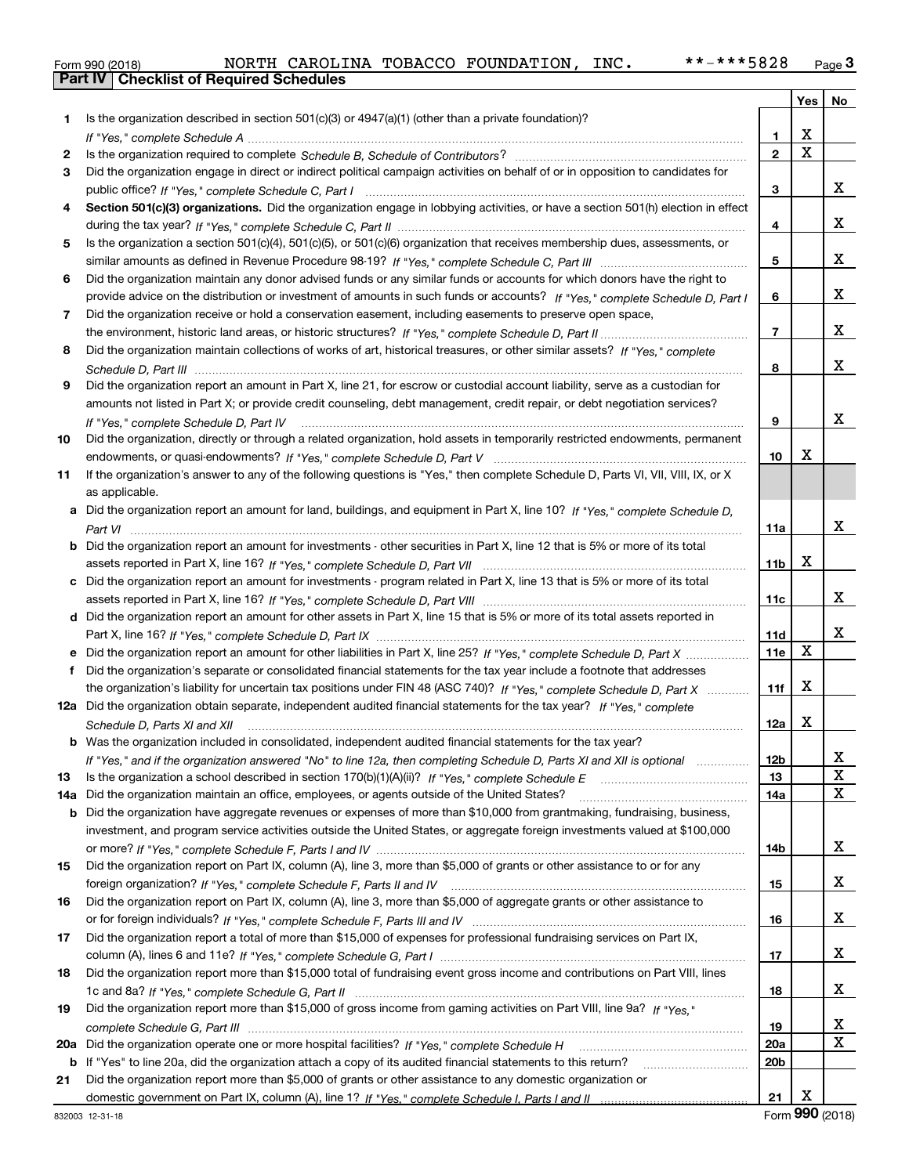|  | Form 990 (2018) |  |
|--|-----------------|--|

|     |                                                                                                                                                                                                                                |                 |   | Yes   No |
|-----|--------------------------------------------------------------------------------------------------------------------------------------------------------------------------------------------------------------------------------|-----------------|---|----------|
| 1   | Is the organization described in section 501(c)(3) or 4947(a)(1) (other than a private foundation)?                                                                                                                            |                 |   |          |
|     |                                                                                                                                                                                                                                | 1               | х |          |
| 2   | Is the organization required to complete Schedule B, Schedule of Contributors? [11] Content of Content of Content of Contributors? [11] All of Contributors and Content of Content of the Organization required to complete th | $\overline{2}$  | X |          |
| 3   | Did the organization engage in direct or indirect political campaign activities on behalf of or in opposition to candidates for                                                                                                |                 |   |          |
|     |                                                                                                                                                                                                                                | 3               |   | x        |
| 4   | Section 501(c)(3) organizations. Did the organization engage in lobbying activities, or have a section 501(h) election in effect                                                                                               |                 |   |          |
|     |                                                                                                                                                                                                                                | 4               |   | x        |
| 5   | Is the organization a section 501(c)(4), 501(c)(5), or 501(c)(6) organization that receives membership dues, assessments, or                                                                                                   |                 |   |          |
|     |                                                                                                                                                                                                                                | 5               |   | x        |
| 6   | Did the organization maintain any donor advised funds or any similar funds or accounts for which donors have the right to                                                                                                      |                 |   |          |
|     | provide advice on the distribution or investment of amounts in such funds or accounts? If "Yes," complete Schedule D, Part I                                                                                                   | 6               |   | x        |
| 7   | Did the organization receive or hold a conservation easement, including easements to preserve open space,                                                                                                                      |                 |   |          |
|     |                                                                                                                                                                                                                                | $\overline{7}$  |   | x        |
| 8   | Did the organization maintain collections of works of art, historical treasures, or other similar assets? If "Yes," complete                                                                                                   |                 |   |          |
|     |                                                                                                                                                                                                                                | 8               |   | x        |
| 9   | Did the organization report an amount in Part X, line 21, for escrow or custodial account liability, serve as a custodian for                                                                                                  |                 |   |          |
|     | amounts not listed in Part X; or provide credit counseling, debt management, credit repair, or debt negotiation services?                                                                                                      |                 |   |          |
|     | If "Yes." complete Schedule D, Part IV                                                                                                                                                                                         | 9               |   | x        |
| 10  | Did the organization, directly or through a related organization, hold assets in temporarily restricted endowments, permanent                                                                                                  |                 |   |          |
|     |                                                                                                                                                                                                                                | 10              | х |          |
| 11  | If the organization's answer to any of the following questions is "Yes," then complete Schedule D, Parts VI, VII, VIII, IX, or X                                                                                               |                 |   |          |
|     | as applicable.                                                                                                                                                                                                                 |                 |   |          |
|     | Did the organization report an amount for land, buildings, and equipment in Part X, line 10? If "Yes," complete Schedule D,                                                                                                    |                 |   |          |
|     |                                                                                                                                                                                                                                | 11a             |   | x        |
| b   | Did the organization report an amount for investments - other securities in Part X, line 12 that is 5% or more of its total                                                                                                    |                 |   |          |
|     |                                                                                                                                                                                                                                | 11 <sub>b</sub> | х |          |
| c   | Did the organization report an amount for investments - program related in Part X, line 13 that is 5% or more of its total                                                                                                     |                 |   |          |
|     |                                                                                                                                                                                                                                | 11c             |   | x        |
| d   | Did the organization report an amount for other assets in Part X, line 15 that is 5% or more of its total assets reported in                                                                                                   |                 |   | x        |
|     |                                                                                                                                                                                                                                | 11d             | X |          |
| f   | Did the organization's separate or consolidated financial statements for the tax year include a footnote that addresses                                                                                                        | <b>11e</b>      |   |          |
|     | the organization's liability for uncertain tax positions under FIN 48 (ASC 740)? If "Yes," complete Schedule D, Part X                                                                                                         | 11f             | х |          |
|     | 12a Did the organization obtain separate, independent audited financial statements for the tax year? If "Yes," complete                                                                                                        |                 |   |          |
|     |                                                                                                                                                                                                                                | 12a             | x |          |
|     | Schedule D, Parts XI and XII<br><b>b</b> Was the organization included in consolidated, independent audited financial statements for the tax year?                                                                             |                 |   |          |
|     | If "Yes," and if the organization answered "No" to line 12a, then completing Schedule D, Parts XI and XII is optional                                                                                                          | 12 <sub>b</sub> |   | 47       |
| 13  | Is the organization a school described in section 170(b)(1)(A)(ii)? If "Yes," complete Schedule E                                                                                                                              | 13              |   | X        |
| 14a | Did the organization maintain an office, employees, or agents outside of the United States?                                                                                                                                    | 14a             |   | X        |
| b   | Did the organization have aggregate revenues or expenses of more than \$10,000 from grantmaking, fundraising, business,                                                                                                        |                 |   |          |
|     | investment, and program service activities outside the United States, or aggregate foreign investments valued at \$100,000                                                                                                     |                 |   |          |
|     |                                                                                                                                                                                                                                | 14b             |   | x        |
| 15  | Did the organization report on Part IX, column (A), line 3, more than \$5,000 of grants or other assistance to or for any                                                                                                      |                 |   |          |
|     |                                                                                                                                                                                                                                | 15              |   | x        |
| 16  | Did the organization report on Part IX, column (A), line 3, more than \$5,000 of aggregate grants or other assistance to                                                                                                       |                 |   |          |
|     |                                                                                                                                                                                                                                | 16              |   | x        |
| 17  | Did the organization report a total of more than \$15,000 of expenses for professional fundraising services on Part IX,                                                                                                        |                 |   |          |
|     |                                                                                                                                                                                                                                | 17              |   | x        |
| 18  | Did the organization report more than \$15,000 total of fundraising event gross income and contributions on Part VIII, lines                                                                                                   |                 |   |          |
|     |                                                                                                                                                                                                                                | 18              |   | x        |
| 19  | Did the organization report more than \$15,000 of gross income from gaming activities on Part VIII, line 9a? If "Yes."                                                                                                         |                 |   |          |
|     |                                                                                                                                                                                                                                | 19              |   | x        |
| 20a |                                                                                                                                                                                                                                | 20a             |   | x        |
| b   | If "Yes" to line 20a, did the organization attach a copy of its audited financial statements to this return?                                                                                                                   | 20 <sub>b</sub> |   |          |
| 21  | Did the organization report more than \$5,000 of grants or other assistance to any domestic organization or                                                                                                                    |                 |   |          |
|     |                                                                                                                                                                                                                                | 21              | х |          |

Form (2018) **990**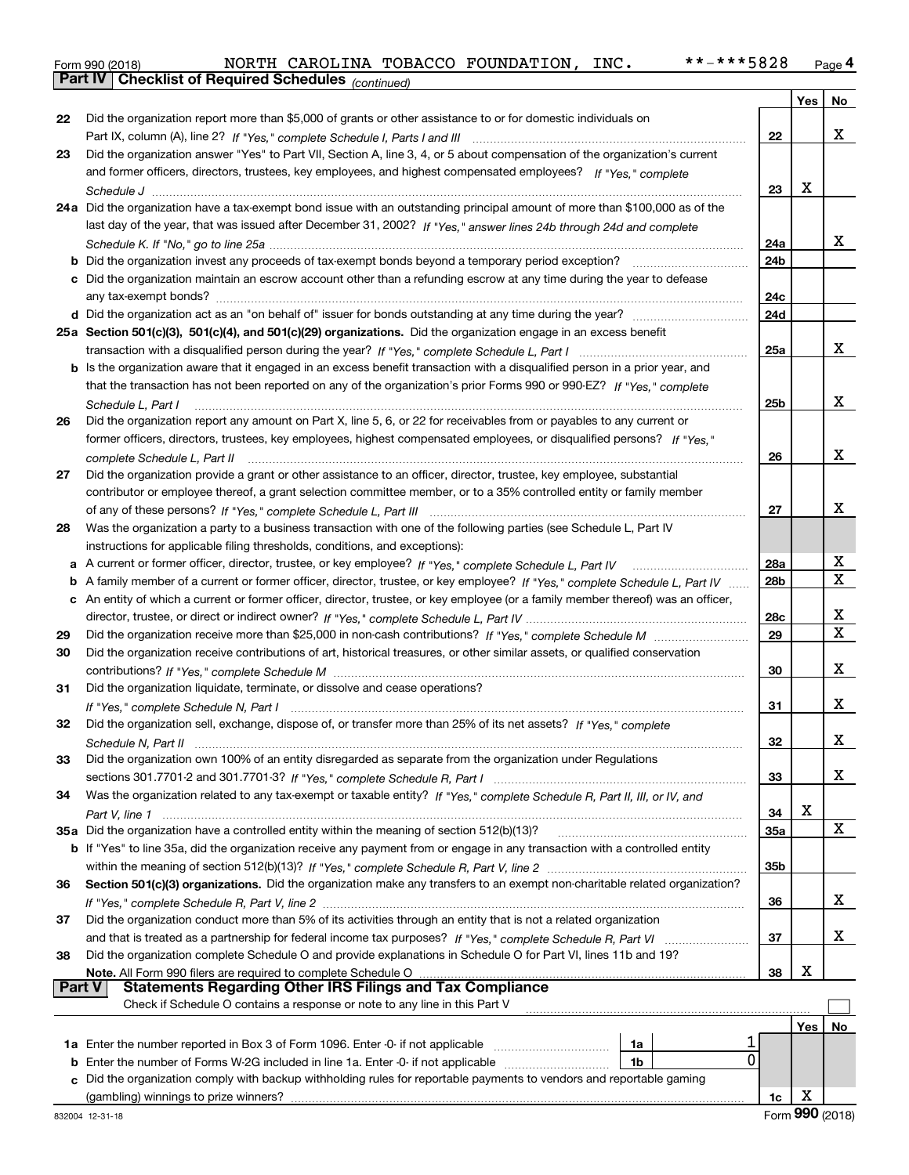|  | Form 990 (2018) |  |
|--|-----------------|--|

*(continued)*

|               |                                                                                                                                                                                                                                                                   |                 | Yes | No          |
|---------------|-------------------------------------------------------------------------------------------------------------------------------------------------------------------------------------------------------------------------------------------------------------------|-----------------|-----|-------------|
| 22            | Did the organization report more than \$5,000 of grants or other assistance to or for domestic individuals on                                                                                                                                                     |                 |     |             |
|               |                                                                                                                                                                                                                                                                   | 22              |     | x           |
| 23            | Did the organization answer "Yes" to Part VII, Section A, line 3, 4, or 5 about compensation of the organization's current                                                                                                                                        |                 |     |             |
|               | and former officers, directors, trustees, key employees, and highest compensated employees? If "Yes," complete                                                                                                                                                    |                 |     |             |
|               |                                                                                                                                                                                                                                                                   | 23              | X   |             |
|               | 24a Did the organization have a tax-exempt bond issue with an outstanding principal amount of more than \$100,000 as of the                                                                                                                                       |                 |     |             |
|               | last day of the year, that was issued after December 31, 2002? If "Yes," answer lines 24b through 24d and complete                                                                                                                                                |                 |     |             |
|               |                                                                                                                                                                                                                                                                   | 24a             |     | X.          |
|               |                                                                                                                                                                                                                                                                   | 24 <sub>b</sub> |     |             |
|               | c Did the organization maintain an escrow account other than a refunding escrow at any time during the year to defease                                                                                                                                            |                 |     |             |
|               |                                                                                                                                                                                                                                                                   | 24c             |     |             |
|               |                                                                                                                                                                                                                                                                   | 24d             |     |             |
|               | 25a Section 501(c)(3), 501(c)(4), and 501(c)(29) organizations. Did the organization engage in an excess benefit                                                                                                                                                  |                 |     |             |
|               |                                                                                                                                                                                                                                                                   | 25a             |     | x           |
|               | b Is the organization aware that it engaged in an excess benefit transaction with a disqualified person in a prior year, and                                                                                                                                      |                 |     |             |
|               | that the transaction has not been reported on any of the organization's prior Forms 990 or 990-EZ? If "Yes," complete                                                                                                                                             |                 |     |             |
|               | Schedule L, Part I                                                                                                                                                                                                                                                | 25b             |     | x           |
| 26            | Did the organization report any amount on Part X, line 5, 6, or 22 for receivables from or payables to any current or                                                                                                                                             |                 |     |             |
|               | former officers, directors, trustees, key employees, highest compensated employees, or disqualified persons? If "Yes."                                                                                                                                            |                 |     |             |
|               |                                                                                                                                                                                                                                                                   | 26              |     | x           |
| 27            | Did the organization provide a grant or other assistance to an officer, director, trustee, key employee, substantial                                                                                                                                              |                 |     |             |
|               | contributor or employee thereof, a grant selection committee member, or to a 35% controlled entity or family member                                                                                                                                               |                 |     | x           |
|               |                                                                                                                                                                                                                                                                   | 27              |     |             |
| 28            | Was the organization a party to a business transaction with one of the following parties (see Schedule L, Part IV                                                                                                                                                 |                 |     |             |
|               | instructions for applicable filing thresholds, conditions, and exceptions):                                                                                                                                                                                       | <b>28a</b>      |     | х           |
|               |                                                                                                                                                                                                                                                                   | 28 <sub>b</sub> |     | X           |
|               | b A family member of a current or former officer, director, trustee, or key employee? If "Yes," complete Schedule L, Part IV<br>c An entity of which a current or former officer, director, trustee, or key employee (or a family member thereof) was an officer, |                 |     |             |
|               |                                                                                                                                                                                                                                                                   | 28c             |     | х           |
| 29            |                                                                                                                                                                                                                                                                   | 29              |     | $\mathbf X$ |
| 30            | Did the organization receive contributions of art, historical treasures, or other similar assets, or qualified conservation                                                                                                                                       |                 |     |             |
|               |                                                                                                                                                                                                                                                                   | 30              |     | х           |
| 31            | Did the organization liquidate, terminate, or dissolve and cease operations?                                                                                                                                                                                      |                 |     |             |
|               | If "Yes," complete Schedule N, Part I measured and the complete state of the Schedule N. Part I means the complete Schedule N, Part I measured and the state of the state of the state of the state of the state of the state                                     | 31              |     | х           |
| 32            | Did the organization sell, exchange, dispose of, or transfer more than 25% of its net assets? If "Yes," complete                                                                                                                                                  |                 |     |             |
|               | Schedule N, Part II <u>www.communication.communication.communication.com</u>                                                                                                                                                                                      | 32              |     | х           |
|               | Did the organization own 100% of an entity disregarded as separate from the organization under Regulations                                                                                                                                                        |                 |     |             |
|               |                                                                                                                                                                                                                                                                   | 33              |     | х           |
| 34            | Was the organization related to any tax-exempt or taxable entity? If "Yes," complete Schedule R, Part II, III, or IV, and                                                                                                                                         |                 |     |             |
|               |                                                                                                                                                                                                                                                                   | 34              | х   |             |
|               | 35a Did the organization have a controlled entity within the meaning of section 512(b)(13)?                                                                                                                                                                       | 35a             |     | X           |
|               | b If "Yes" to line 35a, did the organization receive any payment from or engage in any transaction with a controlled entity                                                                                                                                       |                 |     |             |
|               |                                                                                                                                                                                                                                                                   | 35 <sub>b</sub> |     |             |
| 36            | Section 501(c)(3) organizations. Did the organization make any transfers to an exempt non-charitable related organization?                                                                                                                                        |                 |     |             |
|               |                                                                                                                                                                                                                                                                   | 36              |     | х           |
| 37            | Did the organization conduct more than 5% of its activities through an entity that is not a related organization                                                                                                                                                  |                 |     |             |
|               |                                                                                                                                                                                                                                                                   | 37              |     | х           |
| 38            | Did the organization complete Schedule O and provide explanations in Schedule O for Part VI, lines 11b and 19?                                                                                                                                                    |                 |     |             |
| <b>Part V</b> | Note. All Form 990 filers are required to complete Schedule O<br><b>Statements Regarding Other IRS Filings and Tax Compliance</b>                                                                                                                                 | 38              | х   |             |
|               | Check if Schedule O contains a response or note to any line in this Part V                                                                                                                                                                                        |                 |     |             |
|               |                                                                                                                                                                                                                                                                   |                 |     |             |
|               |                                                                                                                                                                                                                                                                   |                 | Yes | No          |
| b             | 1a<br>0<br>Enter the number of Forms W-2G included in line 1a. Enter -0- if not applicable<br>1b                                                                                                                                                                  |                 |     |             |
| c             | Did the organization comply with backup withholding rules for reportable payments to vendors and reportable gaming                                                                                                                                                |                 |     |             |
|               |                                                                                                                                                                                                                                                                   | 1c              | х   |             |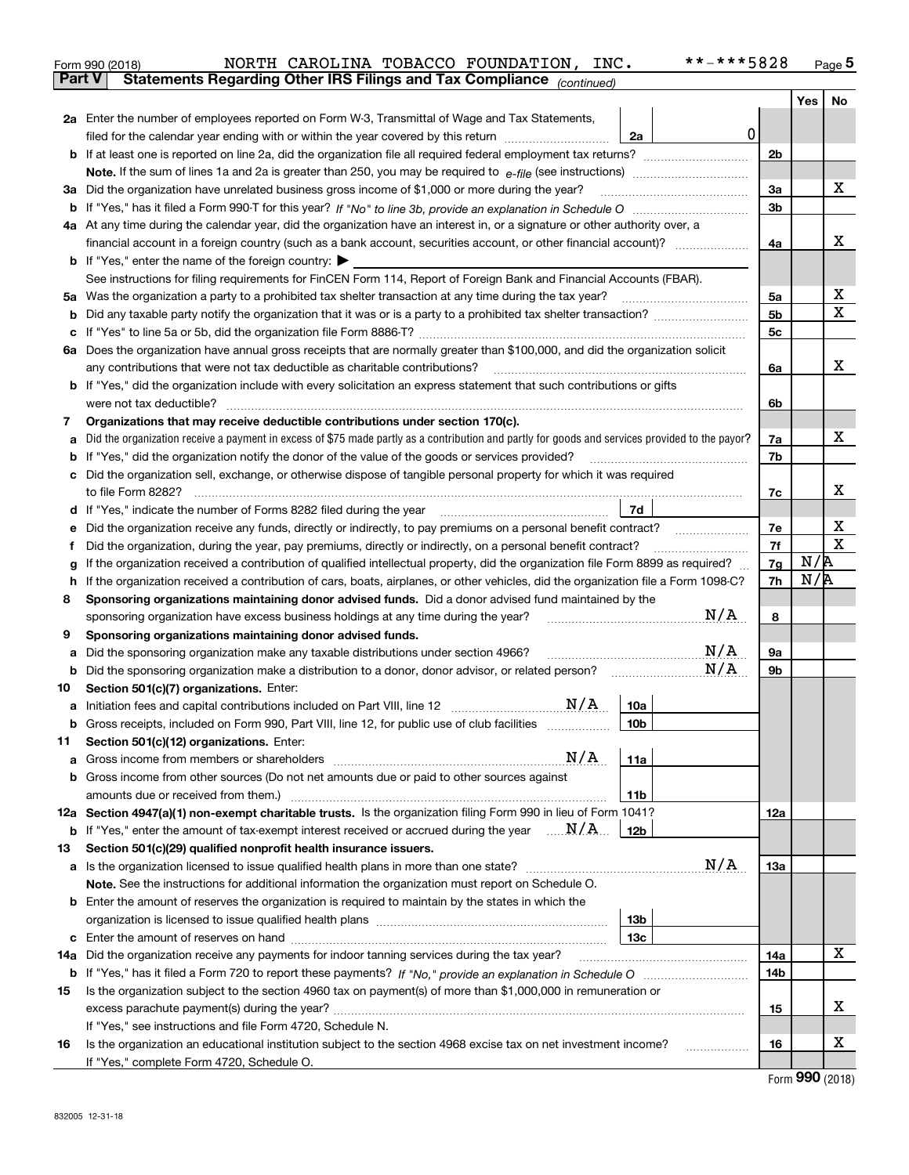|               | **-***5828<br>NORTH CAROLINA TOBACCO FOUNDATION, INC.<br>Form 990 (2018)                                                                        |                |     | $_{\text{Page}}$ 5 |
|---------------|-------------------------------------------------------------------------------------------------------------------------------------------------|----------------|-----|--------------------|
| <b>Part V</b> | Statements Regarding Other IRS Filings and Tax Compliance (continued)                                                                           |                |     |                    |
|               |                                                                                                                                                 |                | Yes | No                 |
|               | 2a Enter the number of employees reported on Form W-3, Transmittal of Wage and Tax Statements,                                                  |                |     |                    |
|               | 0<br>filed for the calendar year ending with or within the year covered by this return<br>2a                                                    |                |     |                    |
|               |                                                                                                                                                 | 2 <sub>b</sub> |     |                    |
|               |                                                                                                                                                 |                |     |                    |
|               | 3a Did the organization have unrelated business gross income of \$1,000 or more during the year?                                                | 3a             |     | x                  |
|               |                                                                                                                                                 | 3 <sub>b</sub> |     |                    |
|               | 4a At any time during the calendar year, did the organization have an interest in, or a signature or other authority over, a                    |                |     |                    |
|               |                                                                                                                                                 | 4a             |     | х                  |
|               | <b>b</b> If "Yes," enter the name of the foreign country: $\blacktriangleright$                                                                 |                |     |                    |
|               | See instructions for filing requirements for FinCEN Form 114, Report of Foreign Bank and Financial Accounts (FBAR).                             |                |     |                    |
|               | 5a Was the organization a party to a prohibited tax shelter transaction at any time during the tax year?                                        | 5a             |     | х                  |
|               |                                                                                                                                                 | 5 <sub>b</sub> |     | X                  |
|               |                                                                                                                                                 | 5с             |     |                    |
|               | 6a Does the organization have annual gross receipts that are normally greater than \$100,000, and did the organization solicit                  |                |     |                    |
|               | any contributions that were not tax deductible as charitable contributions?                                                                     | 6a             |     | X.                 |
|               | <b>b</b> If "Yes," did the organization include with every solicitation an express statement that such contributions or gifts                   |                |     |                    |
|               | were not tax deductible?                                                                                                                        | 6b             |     |                    |
| 7             | Organizations that may receive deductible contributions under section 170(c).                                                                   |                |     |                    |
| а             | Did the organization receive a payment in excess of \$75 made partly as a contribution and partly for goods and services provided to the payor? | 7a             |     | x                  |
|               | <b>b</b> If "Yes," did the organization notify the donor of the value of the goods or services provided?                                        | 7b             |     |                    |
|               | c Did the organization sell, exchange, or otherwise dispose of tangible personal property for which it was required                             |                |     |                    |
|               |                                                                                                                                                 | 7c             |     | х                  |
|               | 7d<br>d If "Yes," indicate the number of Forms 8282 filed during the year manufactured in the second of the New York                            |                |     |                    |
| е             |                                                                                                                                                 | 7e             |     | Х                  |
| Ť             | Did the organization, during the year, pay premiums, directly or indirectly, on a personal benefit contract?                                    | 7f             |     | X                  |
| g             | If the organization received a contribution of qualified intellectual property, did the organization file Form 8899 as required?                | 7g             | N/R |                    |
|               | h If the organization received a contribution of cars, boats, airplanes, or other vehicles, did the organization file a Form 1098-C?            | 7h             | N/R |                    |
| 8             | Sponsoring organizations maintaining donor advised funds. Did a donor advised fund maintained by the                                            |                |     |                    |
|               | N/A<br>sponsoring organization have excess business holdings at any time during the year?                                                       | 8              |     |                    |
| 9             | Sponsoring organizations maintaining donor advised funds.                                                                                       |                |     |                    |
| а             | N/A<br>Did the sponsoring organization make any taxable distributions under section 4966?                                                       | 9а             |     |                    |
|               | N/A                                                                                                                                             | 9b             |     |                    |
| 10            | Section 501(c)(7) organizations. Enter:                                                                                                         |                |     |                    |
|               | N/A<br>10a                                                                                                                                      |                |     |                    |
|               | Gross receipts, included on Form 990, Part VIII, line 12, for public use of club facilities<br>10 <sub>b</sub>                                  |                |     |                    |
| 11            | Section 501(c)(12) organizations. Enter:                                                                                                        |                |     |                    |
|               | N/A<br>11a<br><b>a</b> Gross income from members or shareholders                                                                                |                |     |                    |
|               | b Gross income from other sources (Do not net amounts due or paid to other sources against                                                      |                |     |                    |
|               | 11 <sub>b</sub>                                                                                                                                 |                |     |                    |
|               | 12a Section 4947(a)(1) non-exempt charitable trusts. Is the organization filing Form 990 in lieu of Form 1041?                                  | 12a            |     |                    |
|               | <b>b</b> If "Yes," enter the amount of tax-exempt interest received or accrued during the year $\ldots \mathbf{N}/\mathbf{A}$ .<br>12b          |                |     |                    |
| 13            | Section 501(c)(29) qualified nonprofit health insurance issuers.                                                                                |                |     |                    |
|               | N/A<br>a Is the organization licensed to issue qualified health plans in more than one state?                                                   | 13a            |     |                    |
|               | Note. See the instructions for additional information the organization must report on Schedule O.                                               |                |     |                    |
|               | <b>b</b> Enter the amount of reserves the organization is required to maintain by the states in which the                                       |                |     |                    |
|               | 13 <sub>b</sub>                                                                                                                                 |                |     |                    |
|               | 13 <sub>c</sub>                                                                                                                                 |                |     |                    |
| 14a           | Did the organization receive any payments for indoor tanning services during the tax year?                                                      | 14a            |     | X                  |
|               |                                                                                                                                                 | 14b            |     |                    |
| 15            | Is the organization subject to the section 4960 tax on payment(s) of more than \$1,000,000 in remuneration or                                   |                |     |                    |
|               |                                                                                                                                                 | 15             |     | x                  |
|               | If "Yes," see instructions and file Form 4720, Schedule N.                                                                                      |                |     | х                  |
| 16            | Is the organization an educational institution subject to the section 4968 excise tax on net investment income?                                 | 16             |     |                    |
|               | If "Yes," complete Form 4720, Schedule O.                                                                                                       |                |     | $000$ $(0010)$     |

| Form 990 (2018) |  |
|-----------------|--|
|-----------------|--|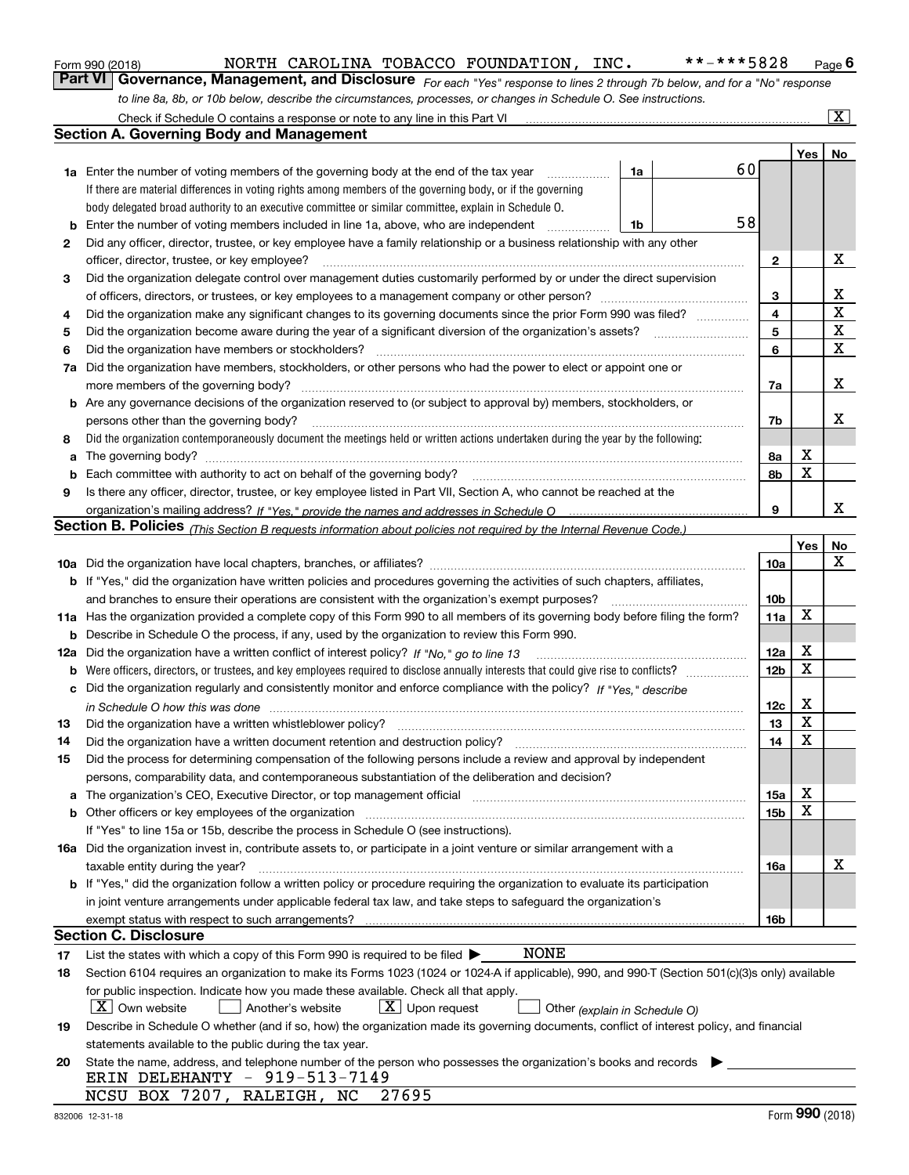|  | Form 990 (2018) |
|--|-----------------|
|  |                 |

## NORTH CAROLINA TOBACCO FOUNDATION, INC. \*\*-\*\*\*5828

*For each "Yes" response to lines 2 through 7b below, and for a "No" response to line 8a, 8b, or 10b below, describe the circumstances, processes, or changes in Schedule O. See instructions.* Form 990 (2018) **CONTH CAROLINA TOBACCO FOUNDATION, INC.** \*\*-\*\*\*5828 Page 6<br>**Part VI Governance, Management, and Disclosure** *For each "Yes" response to lines 2 through 7b below, and for a "No" response* Check if Schedule O contains a response or note to any line in this Part VI

|     | Check if Schedule O contains a response or note to any line in this Part VI                                                                                           |                 |            | $\mathbf{X}$ |
|-----|-----------------------------------------------------------------------------------------------------------------------------------------------------------------------|-----------------|------------|--------------|
|     | <b>Section A. Governing Body and Management</b>                                                                                                                       |                 |            |              |
|     |                                                                                                                                                                       |                 | <b>Yes</b> | No           |
|     | 60<br>1a Enter the number of voting members of the governing body at the end of the tax year<br>1a                                                                    |                 |            |              |
|     | If there are material differences in voting rights among members of the governing body, or if the governing                                                           |                 |            |              |
|     | body delegated broad authority to an executive committee or similar committee, explain in Schedule O.                                                                 |                 |            |              |
| b   | 58<br>Enter the number of voting members included in line 1a, above, who are independent<br>1b                                                                        |                 |            |              |
| 2   | Did any officer, director, trustee, or key employee have a family relationship or a business relationship with any other                                              |                 |            |              |
|     | officer, director, trustee, or key employee?<br>.                                                                                                                     | $\mathbf{2}$    |            | X            |
| 3   | Did the organization delegate control over management duties customarily performed by or under the direct supervision                                                 |                 |            |              |
|     |                                                                                                                                                                       | 3               |            | X            |
| 4   | Did the organization make any significant changes to its governing documents since the prior Form 990 was filed?                                                      | 4               |            | X            |
| 5   |                                                                                                                                                                       | 5               |            | $\mathbf X$  |
| 6   | Did the organization have members or stockholders?                                                                                                                    | 6               |            | X            |
| 7a  | Did the organization have members, stockholders, or other persons who had the power to elect or appoint one or                                                        |                 |            |              |
|     | more members of the governing body?                                                                                                                                   | 7a              |            | X            |
|     | <b>b</b> Are any governance decisions of the organization reserved to (or subject to approval by) members, stockholders, or                                           |                 |            |              |
|     | persons other than the governing body?                                                                                                                                | 7b              |            | x            |
| 8   | Did the organization contemporaneously document the meetings held or written actions undertaken during the year by the following:                                     |                 |            |              |
| a   |                                                                                                                                                                       | 8а              | X          |              |
| b   |                                                                                                                                                                       | 8b              | X          |              |
| 9   | Is there any officer, director, trustee, or key employee listed in Part VII, Section A, who cannot be reached at the                                                  |                 |            |              |
|     |                                                                                                                                                                       | 9               |            | х            |
|     | <b>Section B. Policies</b> (This Section B requests information about policies not required by the Internal Revenue Code.)                                            |                 |            |              |
|     |                                                                                                                                                                       |                 | Yes        | No           |
|     |                                                                                                                                                                       | 10a             |            | x            |
|     | <b>b</b> If "Yes," did the organization have written policies and procedures governing the activities of such chapters, affiliates,                                   |                 |            |              |
|     | and branches to ensure their operations are consistent with the organization's exempt purposes?                                                                       | 10 <sub>b</sub> |            |              |
|     | 11a Has the organization provided a complete copy of this Form 990 to all members of its governing body before filing the form?                                       | 11a             | X          |              |
| b   | Describe in Schedule O the process, if any, used by the organization to review this Form 990.                                                                         |                 |            |              |
| 12a | Did the organization have a written conflict of interest policy? If "No," go to line 13                                                                               | 12a             | X          |              |
| b   |                                                                                                                                                                       | 12 <sub>b</sub> | X          |              |
|     | c Did the organization regularly and consistently monitor and enforce compliance with the policy? If "Yes." describe                                                  |                 |            |              |
|     | in Schedule O how this was done www.communication.com/www.communications.com/www.communications.com/                                                                  | 12c             | X          |              |
| 13  | Did the organization have a written whistleblower policy?                                                                                                             | 13              | X          |              |
| 14  | Did the organization have a written document retention and destruction policy?                                                                                        | 14              | X          |              |
| 15  | Did the process for determining compensation of the following persons include a review and approval by independent                                                    |                 |            |              |
|     | persons, comparability data, and contemporaneous substantiation of the deliberation and decision?                                                                     |                 |            |              |
| a   | The organization's CEO, Executive Director, or top management official manufactured content of the organization's CEO, Executive Director, or top management official | 15a             | х          |              |
|     | <b>b</b> Other officers or key employees of the organization                                                                                                          | 15b             | Χ          |              |
|     | If "Yes" to line 15a or 15b, describe the process in Schedule O (see instructions).                                                                                   |                 |            |              |
|     | 16a Did the organization invest in, contribute assets to, or participate in a joint venture or similar arrangement with a                                             |                 |            |              |
|     | taxable entity during the year?                                                                                                                                       | 16a             |            | х            |
|     | <b>b</b> If "Yes," did the organization follow a written policy or procedure requiring the organization to evaluate its participation                                 |                 |            |              |
|     | in joint venture arrangements under applicable federal tax law, and take steps to safeguard the organization's                                                        |                 |            |              |
|     | exempt status with respect to such arrangements?                                                                                                                      | 16b             |            |              |
|     | Section C. Disclosure                                                                                                                                                 |                 |            |              |
| 17  | NONE<br>List the states with which a copy of this Form 990 is required to be filed $\blacktriangleright$                                                              |                 |            |              |
| 18  | Section 6104 requires an organization to make its Forms 1023 (1024 or 1024-A if applicable), 990, and 990-T (Section 501(c)(3)s only) available                       |                 |            |              |
|     | for public inspection. Indicate how you made these available. Check all that apply.                                                                                   |                 |            |              |
|     | $X$ Own website<br>$X$ Upon request<br>Another's website<br>Other (explain in Schedule O)                                                                             |                 |            |              |
| 19  | Describe in Schedule O whether (and if so, how) the organization made its governing documents, conflict of interest policy, and financial                             |                 |            |              |
|     | statements available to the public during the tax year.                                                                                                               |                 |            |              |
| 20  | State the name, address, and telephone number of the person who possesses the organization's books and records                                                        |                 |            |              |
|     | ERIN DELEHANTY - 919-513-7149                                                                                                                                         |                 |            |              |
|     | NCSU BOX 7207, RALEIGH, NC<br>27695                                                                                                                                   |                 |            |              |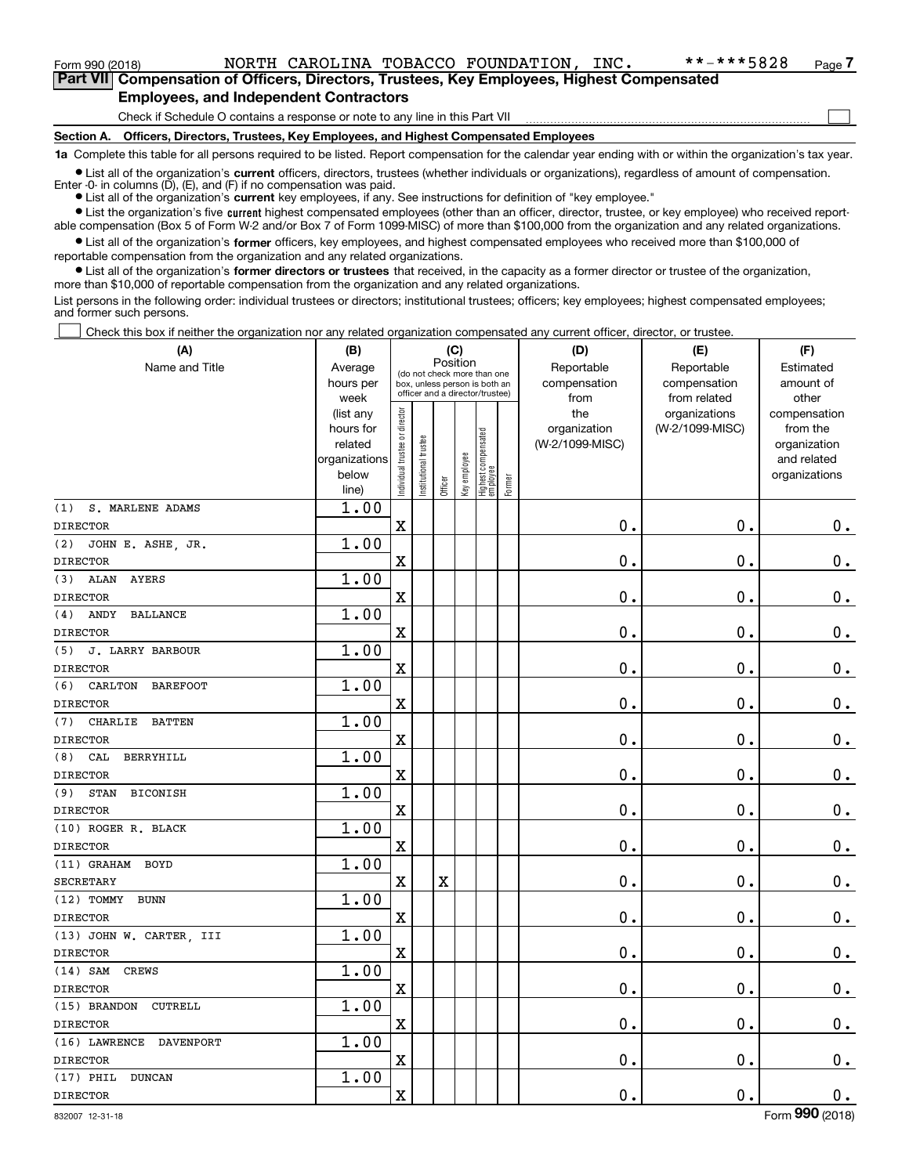$\mathcal{L}^{\text{max}}$ 

**7Part VII Compensation of Officers, Directors, Trustees, Key Employees, Highest Compensated Employees, and Independent Contractors**

Check if Schedule O contains a response or note to any line in this Part VII

**Section A. Officers, Directors, Trustees, Key Employees, and Highest Compensated Employees**

**1a**  Complete this table for all persons required to be listed. Report compensation for the calendar year ending with or within the organization's tax year.

**•** List all of the organization's current officers, directors, trustees (whether individuals or organizations), regardless of amount of compensation. Enter -0- in columns (D), (E), and (F) if no compensation was paid.

● List all of the organization's **current** key employees, if any. See instructions for definition of "key employee."

**•** List the organization's five current highest compensated employees (other than an officer, director, trustee, or key employee) who received reportable compensation (Box 5 of Form W-2 and/or Box 7 of Form 1099-MISC) of more than \$100,000 from the organization and any related organizations.

 $\bullet$  List all of the organization's **former** officers, key employees, and highest compensated employees who received more than \$100,000 of reportable compensation from the organization and any related organizations.

**•** List all of the organization's former directors or trustees that received, in the capacity as a former director or trustee of the organization, more than \$10,000 of reportable compensation from the organization and any related organizations.

List persons in the following order: individual trustees or directors; institutional trustees; officers; key employees; highest compensated employees; and former such persons.

Check this box if neither the organization nor any related organization compensated any current officer, director, or trustee.  $\mathcal{L}^{\text{max}}$ 

| (A)                                                  | (B)               |                               |                                 | (C)     |                                                                          |                                  |        | (D)                  | (E)                          | (F)                |
|------------------------------------------------------|-------------------|-------------------------------|---------------------------------|---------|--------------------------------------------------------------------------|----------------------------------|--------|----------------------|------------------------------|--------------------|
| Name and Title                                       | Average           |                               |                                 |         | Position<br>(do not check more than one<br>box, unless person is both an |                                  |        | Reportable           | Reportable                   | Estimated          |
|                                                      | hours per<br>week |                               | officer and a director/trustee) |         |                                                                          |                                  |        | compensation<br>from | compensation<br>from related | amount of<br>other |
|                                                      | (list any         |                               |                                 |         |                                                                          |                                  |        | the                  | organizations                | compensation       |
|                                                      | hours for         |                               |                                 |         |                                                                          |                                  |        | organization         | (W-2/1099-MISC)              | from the           |
|                                                      | related           |                               |                                 |         |                                                                          |                                  |        | (W-2/1099-MISC)      |                              | organization       |
|                                                      | organizations     |                               |                                 |         |                                                                          |                                  |        |                      |                              | and related        |
|                                                      | below<br>line)    | ndividual trustee or director | nstitutional trustee            | Officer | Key employee                                                             | Highest compensated<br> employee | Former |                      |                              | organizations      |
| S. MARLENE ADAMS<br>(1)                              | 1.00              |                               |                                 |         |                                                                          |                                  |        |                      |                              |                    |
| <b>DIRECTOR</b>                                      |                   | $\mathbf X$                   |                                 |         |                                                                          |                                  |        | $\mathbf 0$ .        | $\mathbf 0$ .                | $0_{.}$            |
| JOHN E. ASHE, JR.<br>(2)                             | 1.00              |                               |                                 |         |                                                                          |                                  |        |                      |                              |                    |
| <b>DIRECTOR</b>                                      |                   | $\mathbf X$                   |                                 |         |                                                                          |                                  |        | $\mathbf 0$ .        | $\mathbf 0$ .                | $\mathbf 0$ .      |
| (3)<br><b>ALAN</b><br><b>AYERS</b>                   | 1.00              |                               |                                 |         |                                                                          |                                  |        |                      |                              |                    |
| <b>DIRECTOR</b>                                      |                   | $\mathbf X$                   |                                 |         |                                                                          |                                  |        | $\mathbf 0$ .        | $\mathbf 0$ .                | 0.                 |
| ANDY<br><b>BALLANCE</b><br>(4)                       | 1.00              |                               |                                 |         |                                                                          |                                  |        |                      |                              |                    |
| <b>DIRECTOR</b>                                      |                   | $\mathbf X$                   |                                 |         |                                                                          |                                  |        | $\mathbf 0$ .        | $\mathbf 0$ .                | $0_{.}$            |
| J. LARRY BARBOUR<br>(5)                              | 1.00              |                               |                                 |         |                                                                          |                                  |        |                      |                              |                    |
| <b>DIRECTOR</b>                                      |                   | $\mathbf X$                   |                                 |         |                                                                          |                                  |        | $\mathbf 0$ .        | $\mathbf 0$ .                | $0_{.}$            |
| (6)<br>CARLTON<br><b>BAREFOOT</b>                    | 1.00              |                               |                                 |         |                                                                          |                                  |        |                      |                              |                    |
| <b>DIRECTOR</b>                                      |                   | $\mathbf X$                   |                                 |         |                                                                          |                                  |        | $\mathbf 0$ .        | $\mathbf 0$ .                | $\mathbf 0$ .      |
| (7)<br><b>CHARLIE</b><br><b>BATTEN</b>               | 1.00              |                               |                                 |         |                                                                          |                                  |        |                      |                              |                    |
| <b>DIRECTOR</b>                                      |                   | $\mathbf x$                   |                                 |         |                                                                          |                                  |        | $\mathbf 0$ .        | $\mathbf 0$ .                | $0_{.}$            |
| (8)<br>CAL<br><b>BERRYHILL</b>                       | 1.00              |                               |                                 |         |                                                                          |                                  |        |                      |                              |                    |
| <b>DIRECTOR</b>                                      |                   | $\mathbf X$                   |                                 |         |                                                                          |                                  |        | $\mathbf 0$ .        | $\mathbf 0$ .                | $0_{.}$            |
| (9)<br><b>STAN</b><br><b>BICONISH</b>                | 1.00              |                               |                                 |         |                                                                          |                                  |        |                      |                              |                    |
| <b>DIRECTOR</b>                                      |                   | $\mathbf x$                   |                                 |         |                                                                          |                                  |        | 0.                   | $\mathbf 0$ .                | $0_{.}$            |
| (10) ROGER R. BLACK                                  | 1.00              |                               |                                 |         |                                                                          |                                  |        |                      |                              |                    |
| <b>DIRECTOR</b>                                      |                   | $\mathbf X$                   |                                 |         |                                                                          |                                  |        | $\mathbf 0$ .        | $\mathbf 0$ .                | $\mathbf 0$ .      |
| (11) GRAHAM<br><b>BOYD</b>                           | 1.00              |                               |                                 |         |                                                                          |                                  |        |                      |                              |                    |
| <b>SECRETARY</b>                                     |                   | $\mathbf X$                   |                                 | X       |                                                                          |                                  |        | $\mathbf 0$ .        | $\mathbf 0$ .                | $0_{.}$            |
| $(12)$ TOMMY<br><b>BUNN</b>                          | 1.00              |                               |                                 |         |                                                                          |                                  |        |                      |                              |                    |
| <b>DIRECTOR</b>                                      |                   | $\overline{\mathbf{X}}$       |                                 |         |                                                                          |                                  |        | $\mathbf 0$ .        | 0.                           | $\mathbf 0$ .      |
| (13) JOHN W. CARTER, III                             | 1.00              |                               |                                 |         |                                                                          |                                  |        |                      |                              |                    |
| <b>DIRECTOR</b>                                      |                   | $\mathbf X$                   |                                 |         |                                                                          |                                  |        | 0.                   | $\mathbf 0$ .                | $0_{.}$            |
| $(14)$ SAM<br><b>CREWS</b>                           | 1.00              |                               |                                 |         |                                                                          |                                  |        |                      |                              |                    |
| <b>DIRECTOR</b>                                      |                   | $\overline{\mathbf{X}}$       |                                 |         |                                                                          |                                  |        | $\mathbf 0$ .        | 0.                           | $\mathbf 0$ .      |
| (15) BRANDON<br><b>CUTRELL</b>                       | 1.00              | $\mathbf X$                   |                                 |         |                                                                          |                                  |        | $\mathbf 0$ .        | $\mathbf 0$ .                |                    |
| <b>DIRECTOR</b><br>(16) LAWRENCE<br><b>DAVENPORT</b> | 1.00              |                               |                                 |         |                                                                          |                                  |        |                      |                              | $0_{.}$            |
| <b>DIRECTOR</b>                                      |                   | $\overline{\mathbf{X}}$       |                                 |         |                                                                          |                                  |        | $\mathbf 0$ .        | 0.                           | $0_{.}$            |
| $(17)$ PHIL<br><b>DUNCAN</b>                         | 1.00              |                               |                                 |         |                                                                          |                                  |        |                      |                              |                    |
| <b>DIRECTOR</b>                                      |                   | $\mathbf x$                   |                                 |         |                                                                          |                                  |        | $\mathbf 0$ .        | $\mathbf 0$ .                | $\mathbf 0$ .      |
|                                                      |                   |                               |                                 |         |                                                                          |                                  |        |                      |                              |                    |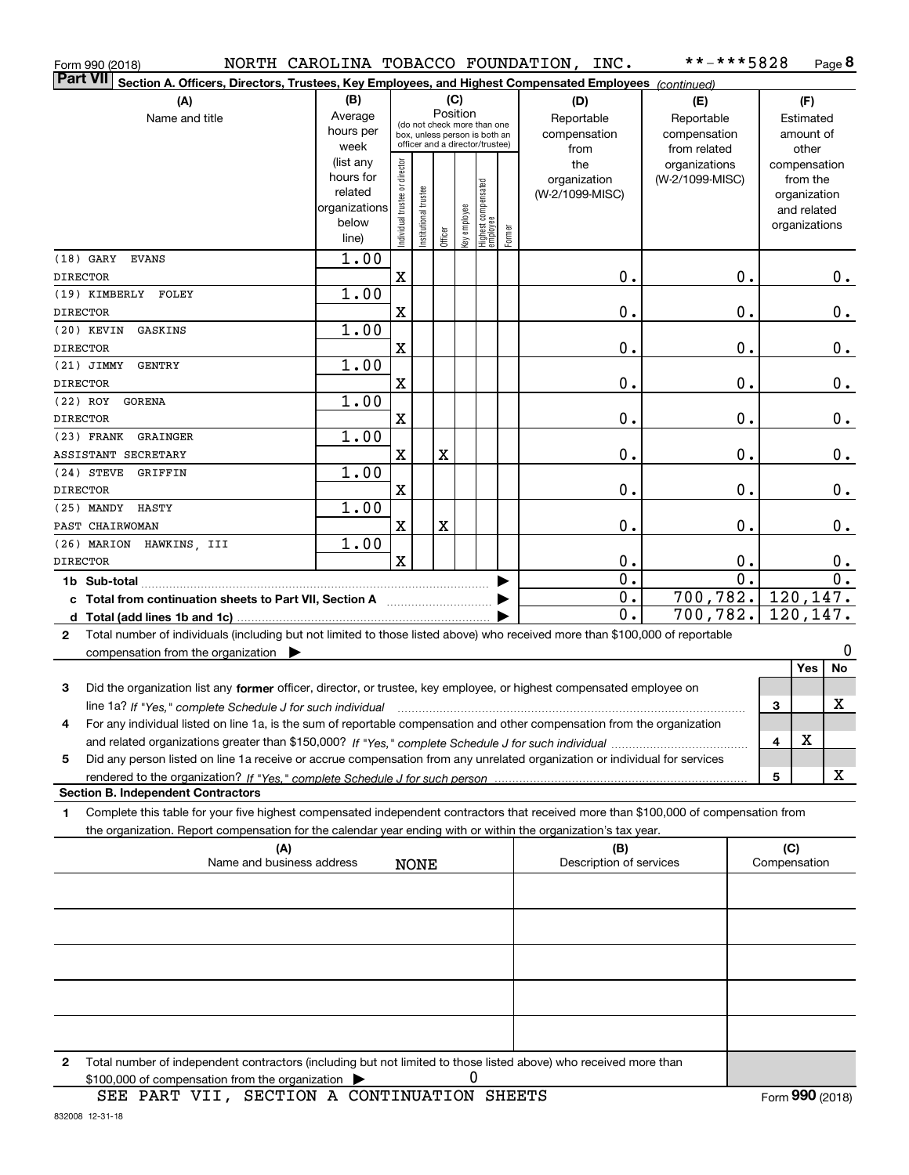| Form 990 (2018)                                                                                                                           |                          |                                |                       |          |              |                                                              |        | NORTH CAROLINA TOBACCO FOUNDATION, INC. | **-***5828       |              |               | Page 8                 |
|-------------------------------------------------------------------------------------------------------------------------------------------|--------------------------|--------------------------------|-----------------------|----------|--------------|--------------------------------------------------------------|--------|-----------------------------------------|------------------|--------------|---------------|------------------------|
| <b>Part VII</b><br>Section A. Officers, Directors, Trustees, Key Employees, and Highest Compensated Employees (continued)                 |                          |                                |                       |          |              |                                                              |        |                                         |                  |              |               |                        |
| (A)                                                                                                                                       | (B)                      |                                |                       |          | (C)          |                                                              |        | (D)                                     | (E)              |              | (F)           |                        |
| Name and title                                                                                                                            | Average                  |                                |                       | Position |              |                                                              |        | Reportable                              | Reportable       |              | Estimated     |                        |
|                                                                                                                                           | hours per                |                                |                       |          |              | (do not check more than one<br>box, unless person is both an |        | compensation                            | compensation     |              | amount of     |                        |
|                                                                                                                                           | week                     |                                |                       |          |              | officer and a director/trustee)                              |        | from                                    | from related     |              | other         |                        |
|                                                                                                                                           | (list any                |                                |                       |          |              |                                                              |        | the                                     | organizations    |              | compensation  |                        |
|                                                                                                                                           | hours for                |                                |                       |          |              |                                                              |        | organization                            | (W-2/1099-MISC)  |              | from the      |                        |
|                                                                                                                                           | related<br>organizations |                                |                       |          |              |                                                              |        | (W-2/1099-MISC)                         |                  |              | organization  |                        |
|                                                                                                                                           | below                    |                                |                       |          |              |                                                              |        |                                         |                  |              | and related   |                        |
|                                                                                                                                           | line)                    | Individual trustee or director | Institutional trustee | Officer  | Key employee | Highest compensated<br>  employee                            | Former |                                         |                  |              | organizations |                        |
| $(18)$ GARY<br><b>EVANS</b>                                                                                                               | 1.00                     |                                |                       |          |              |                                                              |        |                                         |                  |              |               |                        |
| <b>DIRECTOR</b>                                                                                                                           |                          | X                              |                       |          |              |                                                              |        | 0.                                      | 0.               |              |               | 0.                     |
| (19) KIMBERLY<br>FOLEY                                                                                                                    | 1.00                     |                                |                       |          |              |                                                              |        |                                         |                  |              |               |                        |
| <b>DIRECTOR</b>                                                                                                                           |                          | X                              |                       |          |              |                                                              |        | 0.                                      | 0.               |              |               | $\mathbf 0$ .          |
| $(20)$ KEVIN<br>GASKINS                                                                                                                   | 1.00                     |                                |                       |          |              |                                                              |        |                                         |                  |              |               |                        |
| <b>DIRECTOR</b>                                                                                                                           |                          | X                              |                       |          |              |                                                              |        | 0.                                      | 0.               |              |               | $\mathbf 0$ .          |
| $(21)$ JIMMY<br><b>GENTRY</b>                                                                                                             | 1.00                     |                                |                       |          |              |                                                              |        |                                         |                  |              |               |                        |
| <b>DIRECTOR</b>                                                                                                                           |                          | X                              |                       |          |              |                                                              |        | 0.                                      | 0.               |              |               | $\mathbf 0$ .          |
| $(22)$ ROY<br><b>GORENA</b>                                                                                                               | 1.00                     |                                |                       |          |              |                                                              |        |                                         |                  |              |               |                        |
| <b>DIRECTOR</b>                                                                                                                           |                          | X                              |                       |          |              |                                                              |        | 0.                                      | 0.               |              |               | $\mathbf 0$ .          |
| $(23)$ FRANK<br>GRAINGER                                                                                                                  | 1.00                     |                                |                       |          |              |                                                              |        |                                         |                  |              |               |                        |
| ASSISTANT SECRETARY                                                                                                                       |                          | X                              |                       | X        |              |                                                              |        | 0.                                      | 0.               |              |               | $0$ .                  |
| $(24)$ STEVE<br>GRIFFIN                                                                                                                   | 1.00                     |                                |                       |          |              |                                                              |        |                                         |                  |              |               |                        |
| <b>DIRECTOR</b>                                                                                                                           |                          | X                              |                       |          |              |                                                              |        | 0.                                      | 0.               |              |               | 0.                     |
| (25) MANDY HASTY                                                                                                                          | 1.00                     |                                |                       |          |              |                                                              |        |                                         |                  |              |               |                        |
| PAST CHAIRWOMAN                                                                                                                           |                          | X                              |                       | X        |              |                                                              |        | 0.                                      | 0.               |              |               | 0.                     |
| (26) MARION HAWKINS, III                                                                                                                  | 1.00                     |                                |                       |          |              |                                                              |        |                                         |                  |              |               |                        |
| <b>DIRECTOR</b>                                                                                                                           |                          | $\mathbf x$                    |                       |          |              |                                                              |        | 0.                                      | 0.               |              |               | 0.                     |
| 1b Sub-total                                                                                                                              |                          |                                |                       |          |              |                                                              |        | $\overline{0}$ .                        | $\overline{0}$ . |              |               | $0$ .                  |
| c Total from continuation sheets to Part VII, Section A                                                                                   |                          |                                |                       |          |              |                                                              |        | $\overline{0}$ .                        | 700, 782.        |              |               | $\overline{120,147}$ . |
|                                                                                                                                           |                          |                                |                       |          |              |                                                              |        | $\overline{0}$ .                        | 700,782.         |              |               | 120,147.               |
| Total number of individuals (including but not limited to those listed above) who received more than \$100,000 of reportable<br>2         |                          |                                |                       |          |              |                                                              |        |                                         |                  |              |               |                        |
| compensation from the organization $\blacktriangleright$                                                                                  |                          |                                |                       |          |              |                                                              |        |                                         |                  |              |               | 0                      |
|                                                                                                                                           |                          |                                |                       |          |              |                                                              |        |                                         |                  |              | <b>Yes</b>    | <b>No</b>              |
| Did the organization list any former officer, director, or trustee, key employee, or highest compensated employee on<br>3                 |                          |                                |                       |          |              |                                                              |        |                                         |                  |              |               |                        |
|                                                                                                                                           |                          |                                |                       |          |              |                                                              |        |                                         |                  | 3            |               | х                      |
| For any individual listed on line 1a, is the sum of reportable compensation and other compensation from the organization<br>4             |                          |                                |                       |          |              |                                                              |        |                                         |                  |              |               |                        |
|                                                                                                                                           |                          |                                |                       |          |              |                                                              |        |                                         |                  | 4            | х             |                        |
| Did any person listed on line 1a receive or accrue compensation from any unrelated organization or individual for services<br>5           |                          |                                |                       |          |              |                                                              |        |                                         |                  |              |               |                        |
|                                                                                                                                           |                          |                                |                       |          |              |                                                              |        |                                         |                  | 5            |               | x                      |
| <b>Section B. Independent Contractors</b>                                                                                                 |                          |                                |                       |          |              |                                                              |        |                                         |                  |              |               |                        |
| Complete this table for your five highest compensated independent contractors that received more than \$100,000 of compensation from<br>1 |                          |                                |                       |          |              |                                                              |        |                                         |                  |              |               |                        |
| the organization. Report compensation for the calendar year ending with or within the organization's tax year.                            |                          |                                |                       |          |              |                                                              |        |                                         |                  |              |               |                        |
| (A)                                                                                                                                       |                          |                                |                       |          |              |                                                              |        | (B)                                     |                  |              | (C)           |                        |
| Name and business address                                                                                                                 |                          |                                | <b>NONE</b>           |          |              |                                                              |        | Description of services                 |                  | Compensation |               |                        |
|                                                                                                                                           |                          |                                |                       |          |              |                                                              |        |                                         |                  |              |               |                        |
|                                                                                                                                           |                          |                                |                       |          |              |                                                              |        |                                         |                  |              |               |                        |
|                                                                                                                                           |                          |                                |                       |          |              |                                                              |        |                                         |                  |              |               |                        |
|                                                                                                                                           |                          |                                |                       |          |              |                                                              |        |                                         |                  |              |               |                        |
|                                                                                                                                           |                          |                                |                       |          |              |                                                              |        |                                         |                  |              |               |                        |
|                                                                                                                                           |                          |                                |                       |          |              |                                                              |        |                                         |                  |              |               |                        |
|                                                                                                                                           |                          |                                |                       |          |              |                                                              |        |                                         |                  |              |               |                        |
|                                                                                                                                           |                          |                                |                       |          |              |                                                              |        |                                         |                  |              |               |                        |

**2**Total number of independent contractors (including but not limited to those listed above) who received more than  $$100,000$  of compensation from the organization  $\qquad \blacktriangleright$  0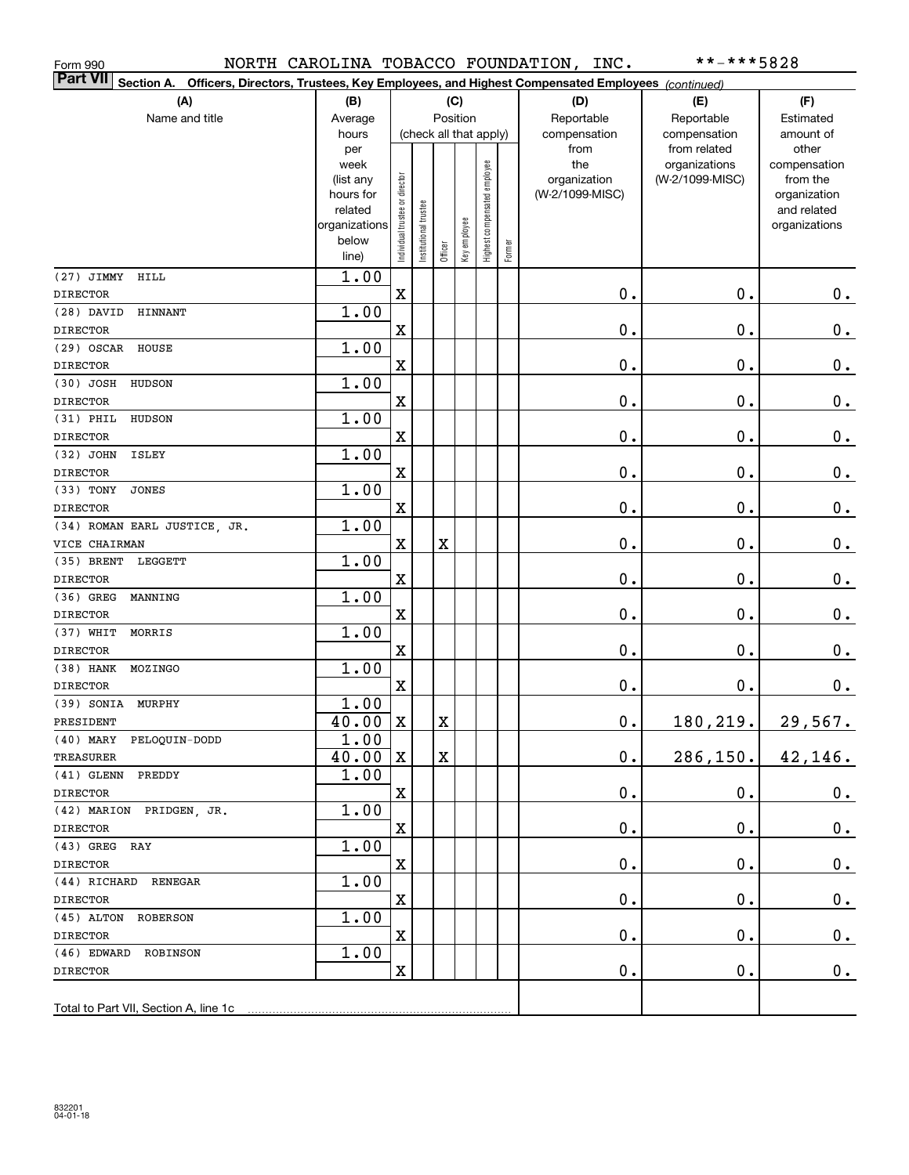| Form 990                                                                                                                  |               |                                |                       |                        |              |                              |        | NORTH CAROLINA TOBACCO FOUNDATION, INC. | **-***5828                    |                       |
|---------------------------------------------------------------------------------------------------------------------------|---------------|--------------------------------|-----------------------|------------------------|--------------|------------------------------|--------|-----------------------------------------|-------------------------------|-----------------------|
| <b>Part VII</b><br>Section A. Officers, Directors, Trustees, Key Employees, and Highest Compensated Employees (continued) |               |                                |                       |                        |              |                              |        |                                         |                               |                       |
| (A)                                                                                                                       | (B)           |                                |                       | (C)                    |              |                              |        | (D)                                     | (E)                           | (F)                   |
| Name and title                                                                                                            | Average       |                                |                       | Position               |              |                              |        | Reportable                              | Reportable                    | Estimated             |
|                                                                                                                           | hours         |                                |                       | (check all that apply) |              |                              |        | compensation                            | compensation                  | amount of             |
|                                                                                                                           | per<br>week   |                                |                       |                        |              |                              |        | from<br>the                             | from related<br>organizations | other<br>compensation |
|                                                                                                                           | (list any     |                                |                       |                        |              |                              |        | organization                            | (W-2/1099-MISC)               | from the              |
|                                                                                                                           | hours for     |                                |                       |                        |              |                              |        | (W-2/1099-MISC)                         |                               | organization          |
|                                                                                                                           | related       |                                |                       |                        |              |                              |        |                                         |                               | and related           |
|                                                                                                                           | organizations |                                |                       |                        |              |                              |        |                                         |                               | organizations         |
|                                                                                                                           | below         | Individual trustee or director | Institutional trustee | Officer                | Key employee | Highest compensated employee | Former |                                         |                               |                       |
|                                                                                                                           | line)         |                                |                       |                        |              |                              |        |                                         |                               |                       |
| $(27)$ JIMMY<br>HILL<br><b>DIRECTOR</b>                                                                                   | 1.00          | $\mathbf X$                    |                       |                        |              |                              |        | 0.                                      | 0.                            | $0_{.}$               |
| $(28)$ DAVID<br>HINNANT                                                                                                   | 1.00          |                                |                       |                        |              |                              |        |                                         |                               |                       |
| <b>DIRECTOR</b>                                                                                                           |               | $\mathbf X$                    |                       |                        |              |                              |        | 0.                                      | 0.                            | $\mathbf 0$ .         |
| $(29)$ OSCAR<br>HOUSE                                                                                                     | 1.00          |                                |                       |                        |              |                              |        |                                         |                               |                       |
| <b>DIRECTOR</b>                                                                                                           |               | $\mathbf X$                    |                       |                        |              |                              |        | 0.                                      | 0.                            | $0_{.}$               |
| (30) JOSH<br>HUDSON                                                                                                       | 1.00          |                                |                       |                        |              |                              |        |                                         |                               |                       |
| <b>DIRECTOR</b>                                                                                                           |               | $\mathbf X$                    |                       |                        |              |                              |        | 0.                                      | 0.                            | $\mathbf 0$ .         |
| $(31)$ PHIL<br>HUDSON                                                                                                     | 1.00          |                                |                       |                        |              |                              |        |                                         |                               |                       |
| <b>DIRECTOR</b>                                                                                                           |               | $\mathbf X$                    |                       |                        |              |                              |        | 0.                                      | 0.                            | $\mathbf 0$ .         |
| (32) JOHN<br><b>ISLEY</b>                                                                                                 | 1.00          |                                |                       |                        |              |                              |        |                                         |                               |                       |
| <b>DIRECTOR</b>                                                                                                           |               | $\mathbf X$                    |                       |                        |              |                              |        | 0.                                      | 0.                            | $\mathbf 0$ .         |
| (33) TONY<br><b>JONES</b>                                                                                                 | 1.00          |                                |                       |                        |              |                              |        |                                         |                               |                       |
| <b>DIRECTOR</b>                                                                                                           |               | $\mathbf X$                    |                       |                        |              |                              |        | 0.                                      | 0.                            | $0_{.}$               |
| (34) ROMAN EARL JUSTICE, JR.                                                                                              | 1.00          |                                |                       |                        |              |                              |        |                                         |                               |                       |
| VICE CHAIRMAN                                                                                                             |               | $\mathbf X$                    |                       | Χ                      |              |                              |        | 0.                                      | 0.                            | $\mathbf 0$ .         |
| $(35)$ BRENT<br>LEGGETT                                                                                                   | 1.00          |                                |                       |                        |              |                              |        |                                         |                               |                       |
| <b>DIRECTOR</b>                                                                                                           |               | $\mathbf X$                    |                       |                        |              |                              |        | 0.                                      | 0.                            | $\mathbf 0$ .         |
| $(36)$ GREG<br>MANNING<br><b>DIRECTOR</b>                                                                                 | 1.00          | $\mathbf X$                    |                       |                        |              |                              |        | 0.                                      | 0.                            | $\mathbf 0$ .         |
| (37) WHIT<br>MORRIS                                                                                                       | 1.00          |                                |                       |                        |              |                              |        |                                         |                               |                       |
| <b>DIRECTOR</b>                                                                                                           |               | $\mathbf X$                    |                       |                        |              |                              |        | 0.                                      | 0.                            | $0_{.}$               |
| (38) HANK<br>MOZINGO                                                                                                      | 1.00          |                                |                       |                        |              |                              |        |                                         |                               |                       |
| <b>DIRECTOR</b>                                                                                                           |               | $\mathbf X$                    |                       |                        |              |                              |        | 0.                                      | 0.                            | $\mathbf 0$ .         |
| $(39)$ SONIA<br>MURPHY                                                                                                    | 1.00          |                                |                       |                        |              |                              |        |                                         |                               |                       |
| PRESIDENT                                                                                                                 | $40.00$ X     |                                |                       | x                      |              |                              |        | $\mathbf 0$ .                           | <u>180,219</u> .              | 29,567.               |
| $(40)$ MARY<br>PELOQUIN-DODD                                                                                              | 1.00          |                                |                       |                        |              |                              |        |                                         |                               |                       |
| TREASURER                                                                                                                 | 40.00         | X                              |                       | X                      |              |                              |        | $\mathbf 0$ .                           | 286, 150.                     | 42,146.               |
| $(41)$ GLENN<br>PREDDY                                                                                                    | 1.00          |                                |                       |                        |              |                              |        |                                         |                               |                       |
| <b>DIRECTOR</b>                                                                                                           |               | $\mathbf X$                    |                       |                        |              |                              |        | $\mathbf 0$ .                           | 0.                            | 0.                    |
| (42) MARION PRIDGEN, JR.                                                                                                  | 1.00          |                                |                       |                        |              |                              |        |                                         |                               |                       |
| <b>DIRECTOR</b>                                                                                                           |               | $\mathbf X$                    |                       |                        |              |                              |        | $\mathbf 0$ .                           | 0.                            | $0_{.}$               |
| $(43)$ GREG<br>RAY                                                                                                        | 1.00          |                                |                       |                        |              |                              |        |                                         |                               |                       |
| <b>DIRECTOR</b>                                                                                                           |               | $\mathbf X$                    |                       |                        |              |                              |        | $\mathbf 0$ .                           | 0.                            | $0_{.}$               |
| (44) RICHARD<br>RENEGAR                                                                                                   | 1.00          |                                |                       |                        |              |                              |        |                                         |                               |                       |
| <b>DIRECTOR</b>                                                                                                           |               | $\mathbf X$                    |                       |                        |              |                              |        | $\mathbf 0$ .                           | 0.                            | $0_{.}$               |
| $(45)$ ALTON<br>ROBERSON<br><b>DIRECTOR</b>                                                                               | 1.00          | $\mathbf X$                    |                       |                        |              |                              |        | $\mathbf 0$ .                           | 0.                            | $0_{.}$               |
| $(46)$ EDWARD<br>ROBINSON                                                                                                 | 1.00          |                                |                       |                        |              |                              |        |                                         |                               |                       |
| <b>DIRECTOR</b>                                                                                                           |               | $\mathbf X$                    |                       |                        |              |                              |        | $\mathbf 0$ .                           | $\mathbf 0$ .                 | 0.                    |
|                                                                                                                           |               |                                |                       |                        |              |                              |        |                                         |                               |                       |
|                                                                                                                           |               |                                |                       |                        |              |                              |        |                                         |                               |                       |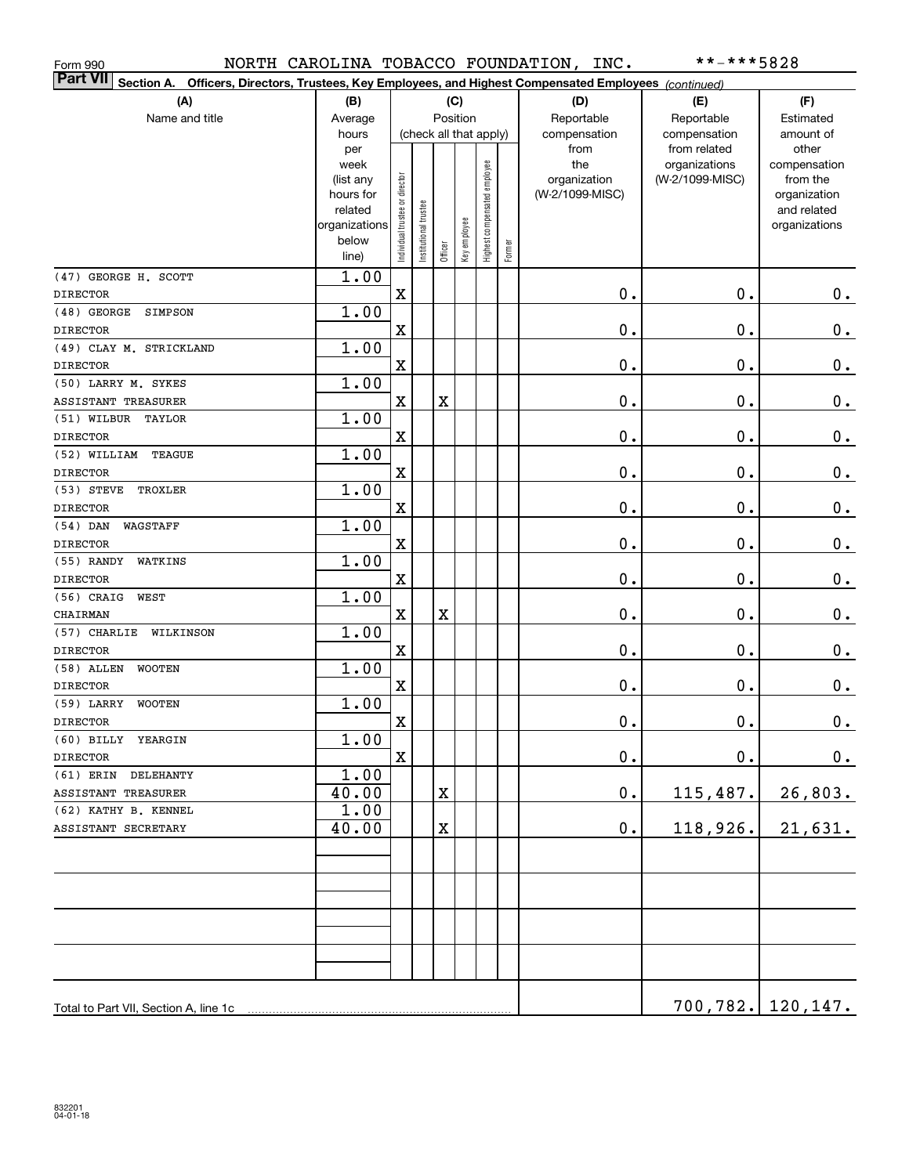| Form 990                                                                                                                  |                   |                                |                        |          |              |                              |        | NORTH CAROLINA TOBACCO FOUNDATION, INC. | **-***5828                       |                          |
|---------------------------------------------------------------------------------------------------------------------------|-------------------|--------------------------------|------------------------|----------|--------------|------------------------------|--------|-----------------------------------------|----------------------------------|--------------------------|
| <b>Part VII</b><br>Section A. Officers, Directors, Trustees, Key Employees, and Highest Compensated Employees (continued) |                   |                                |                        |          |              |                              |        |                                         |                                  |                          |
| (A)                                                                                                                       | (B)               |                                |                        |          | (C)          |                              |        | (D)                                     | (E)                              | (F)                      |
| Name and title                                                                                                            | Average           |                                |                        | Position |              |                              |        | Reportable                              | Reportable                       | Estimated                |
|                                                                                                                           | hours             |                                | (check all that apply) |          |              |                              |        | compensation                            | compensation                     | amount of                |
|                                                                                                                           | per               |                                |                        |          |              |                              |        | from                                    | from related                     | other                    |
|                                                                                                                           | week<br>(list any |                                |                        |          |              |                              |        | the<br>organization                     | organizations<br>(W-2/1099-MISC) | compensation<br>from the |
|                                                                                                                           | hours for         |                                |                        |          |              |                              |        | (W-2/1099-MISC)                         |                                  | organization             |
|                                                                                                                           | related           |                                |                        |          |              |                              |        |                                         |                                  | and related              |
|                                                                                                                           | organizations     |                                |                        |          |              |                              |        |                                         |                                  | organizations            |
|                                                                                                                           | below             | Individual trustee or director | Institutional trustee  | Officer  | Key employee | Highest compensated employee | Former |                                         |                                  |                          |
|                                                                                                                           | line)             |                                |                        |          |              |                              |        |                                         |                                  |                          |
| (47) GEORGE H. SCOTT                                                                                                      | 1.00              |                                |                        |          |              |                              |        | 0.                                      |                                  |                          |
| <b>DIRECTOR</b>                                                                                                           |                   | $\mathbf X$                    |                        |          |              |                              |        |                                         | 0.                               | $0_{.}$                  |
| $(48)$ GEORGE<br>SIMPSON<br><b>DIRECTOR</b>                                                                               | 1.00              | $\mathbf X$                    |                        |          |              |                              |        | 0.                                      | 0.                               | $\mathbf 0$ .            |
| (49) CLAY M. STRICKLAND                                                                                                   | 1.00              |                                |                        |          |              |                              |        |                                         |                                  |                          |
| <b>DIRECTOR</b>                                                                                                           |                   | $\mathbf X$                    |                        |          |              |                              |        | 0.                                      | 0.                               | $0_{.}$                  |
| (50) LARRY M. SYKES                                                                                                       | 1.00              |                                |                        |          |              |                              |        |                                         |                                  |                          |
| ASSISTANT TREASURER                                                                                                       |                   | $\mathbf X$                    |                        | Χ        |              |                              |        | 0.                                      | 0.                               | $0_{.}$                  |
| (51) WILBUR<br>TAYLOR                                                                                                     | 1.00              |                                |                        |          |              |                              |        |                                         |                                  |                          |
| <b>DIRECTOR</b>                                                                                                           |                   | $\mathbf X$                    |                        |          |              |                              |        | 0.                                      | 0.                               | $0_{.}$                  |
| (52) WILLIAM<br>TEAGUE                                                                                                    | 1.00              |                                |                        |          |              |                              |        |                                         |                                  |                          |
| <b>DIRECTOR</b>                                                                                                           |                   | $\mathbf X$                    |                        |          |              |                              |        | 0.                                      | 0.                               | $0_{.}$                  |
| $(53)$ STEVE<br>TROXLER                                                                                                   | 1.00              |                                |                        |          |              |                              |        |                                         |                                  |                          |
| <b>DIRECTOR</b>                                                                                                           |                   | $\mathbf X$                    |                        |          |              |                              |        | 0.                                      | 0.                               | $\mathbf 0$ .            |
| $(54)$ DAN<br>WAGSTAFF                                                                                                    | 1.00              |                                |                        |          |              |                              |        |                                         |                                  |                          |
| <b>DIRECTOR</b>                                                                                                           |                   | $\mathbf X$                    |                        |          |              |                              |        | 0.                                      | 0.                               | $\mathbf 0$ .            |
| (55) RANDY<br>WATKINS                                                                                                     | 1.00              |                                |                        |          |              |                              |        |                                         |                                  |                          |
| <b>DIRECTOR</b>                                                                                                           |                   | $\mathbf X$                    |                        |          |              |                              |        | 0.                                      | 0.                               | $\mathbf 0$ .            |
| $(56)$ CRAIG<br>WEST                                                                                                      | 1.00              |                                |                        |          |              |                              |        |                                         |                                  |                          |
| CHAIRMAN                                                                                                                  |                   | $\mathbf X$                    |                        | Χ        |              |                              |        | 0.                                      | 0.                               | $\mathbf 0$ .            |
| (57) CHARLIE<br>WILKINSON                                                                                                 | 1.00              |                                |                        |          |              |                              |        |                                         |                                  |                          |
| <b>DIRECTOR</b><br>$(58)$ ALLEN                                                                                           | 1.00              | $\mathbf X$                    |                        |          |              |                              |        | 0.                                      | 0.                               | $\mathbf 0$ .            |
| <b>WOOTEN</b><br><b>DIRECTOR</b>                                                                                          |                   | $\mathbf X$                    |                        |          |              |                              |        | 0.                                      | 0.                               | $\mathbf 0$ .            |
| (59) LARRY<br>WOOTEN                                                                                                      | 1.00              |                                |                        |          |              |                              |        |                                         |                                  |                          |
| <b>DIRECTOR</b>                                                                                                           |                   | X                              |                        |          |              |                              |        | $\mathbf 0$ .                           | $\mathbf 0$ .                    | $0_{.}$                  |
| $(60)$ BILLY<br>YEARGIN                                                                                                   | 1.00              |                                |                        |          |              |                              |        |                                         |                                  |                          |
| DIRECTOR                                                                                                                  |                   | $\mathbf X$                    |                        |          |              |                              |        | 0.                                      | $0$ .                            | 0.                       |
| $(61)$ ERIN<br>DELEHANTY                                                                                                  | 1.00              |                                |                        |          |              |                              |        |                                         |                                  |                          |
| ASSISTANT TREASURER                                                                                                       | 40.00             |                                |                        | Χ        |              |                              |        | $\mathbf 0$ .                           | 115,487.                         | 26,803.                  |
| (62) KATHY B. KENNEL                                                                                                      | 1.00              |                                |                        |          |              |                              |        |                                         |                                  |                          |
| ASSISTANT SECRETARY                                                                                                       | 40.00             |                                |                        | Χ        |              |                              |        | $\mathbf 0$ .                           | 118,926.                         | 21,631.                  |
|                                                                                                                           |                   |                                |                        |          |              |                              |        |                                         |                                  |                          |
|                                                                                                                           |                   |                                |                        |          |              |                              |        |                                         |                                  |                          |
|                                                                                                                           |                   |                                |                        |          |              |                              |        |                                         |                                  |                          |
|                                                                                                                           |                   |                                |                        |          |              |                              |        |                                         |                                  |                          |
|                                                                                                                           |                   |                                |                        |          |              |                              |        |                                         |                                  |                          |
|                                                                                                                           |                   |                                |                        |          |              |                              |        |                                         |                                  |                          |
|                                                                                                                           |                   |                                |                        |          |              |                              |        |                                         |                                  |                          |
| Total to Part VII, Section A, line 1c                                                                                     |                   |                                |                        |          |              |                              |        |                                         |                                  | <u>700,782. 120,147.</u> |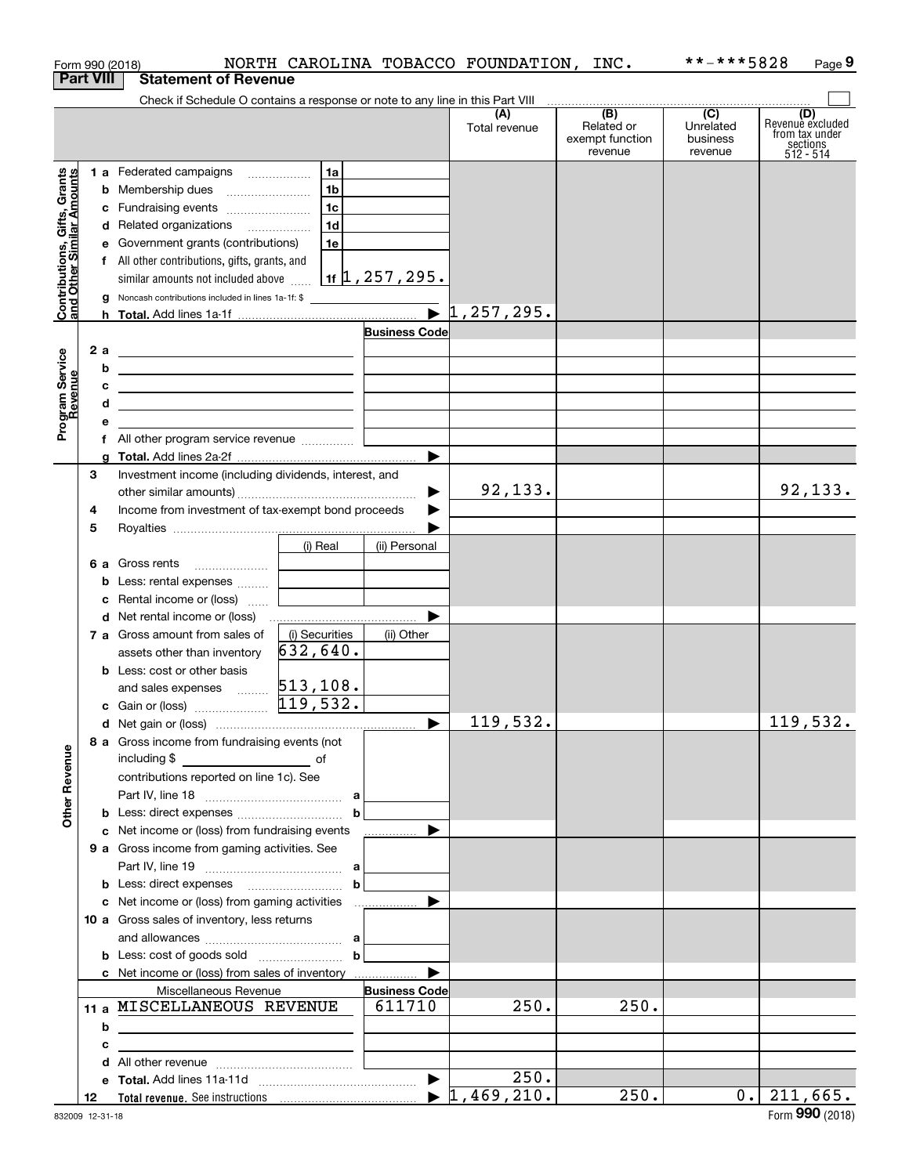|                                                                   |                  |   | Form 990 (2018)                                                                                                       |                |                                         | NORTH CAROLINA TOBACCO FOUNDATION, INC. |                                                 | **-***5828                              | Page 9                                                             |
|-------------------------------------------------------------------|------------------|---|-----------------------------------------------------------------------------------------------------------------------|----------------|-----------------------------------------|-----------------------------------------|-------------------------------------------------|-----------------------------------------|--------------------------------------------------------------------|
|                                                                   | <b>Part VIII</b> |   | <b>Statement of Revenue</b>                                                                                           |                |                                         |                                         |                                                 |                                         |                                                                    |
|                                                                   |                  |   | Check if Schedule O contains a response or note to any line in this Part VIII                                         |                |                                         |                                         |                                                 |                                         |                                                                    |
|                                                                   |                  |   |                                                                                                                       |                |                                         | (A)<br>Total revenue                    | (B)<br>Related or<br>exempt function<br>revenue | (C)<br>Unrelated<br>business<br>revenue | (D)<br>Revenuè excluded<br>from tax under<br>sections<br>512 - 514 |
|                                                                   |                  |   |                                                                                                                       |                |                                         |                                         |                                                 |                                         |                                                                    |
| Contributions, Gifts, Grants<br><u>land Other Similar Amounts</u> |                  |   |                                                                                                                       | 1 <sub>b</sub> |                                         |                                         |                                                 |                                         |                                                                    |
|                                                                   |                  |   | c Fundraising events                                                                                                  | l 1c           |                                         |                                         |                                                 |                                         |                                                                    |
|                                                                   |                  |   | d Related organizations                                                                                               | 1 <sub>d</sub> |                                         |                                         |                                                 |                                         |                                                                    |
|                                                                   |                  |   | e Government grants (contributions)                                                                                   | 1e             |                                         |                                         |                                                 |                                         |                                                                    |
|                                                                   |                  |   | f All other contributions, gifts, grants, and                                                                         |                |                                         |                                         |                                                 |                                         |                                                                    |
|                                                                   |                  |   | similar amounts not included above                                                                                    |                | 1f $\updownarrow$ , 25 <u>7 , 295 .</u> |                                         |                                                 |                                         |                                                                    |
|                                                                   |                  |   | <b>g</b> Noncash contributions included in lines 1a-1f: \$                                                            |                |                                         |                                         |                                                 |                                         |                                                                    |
|                                                                   |                  |   |                                                                                                                       |                |                                         | $\bar{\bullet}$ 1, 257, 295.            |                                                 |                                         |                                                                    |
|                                                                   |                  |   |                                                                                                                       |                | <b>Business Code</b>                    |                                         |                                                 |                                         |                                                                    |
|                                                                   | 2a               |   |                                                                                                                       |                |                                         |                                         |                                                 |                                         |                                                                    |
|                                                                   |                  | b |                                                                                                                       |                |                                         |                                         |                                                 |                                         |                                                                    |
|                                                                   |                  | c |                                                                                                                       |                |                                         |                                         |                                                 |                                         |                                                                    |
|                                                                   |                  | d | <u> 1989 - Johann Barbara, martin amerikan basar dan berasal dalam basar dalam basar dalam basar dalam basar dala</u> |                |                                         |                                         |                                                 |                                         |                                                                    |
| Program Service<br>Revenue                                        |                  | е |                                                                                                                       |                |                                         |                                         |                                                 |                                         |                                                                    |
|                                                                   |                  |   |                                                                                                                       |                |                                         |                                         |                                                 |                                         |                                                                    |
|                                                                   |                  |   |                                                                                                                       |                | ▶                                       |                                         |                                                 |                                         |                                                                    |
|                                                                   | 3                |   | Investment income (including dividends, interest, and                                                                 |                |                                         |                                         |                                                 |                                         |                                                                    |
|                                                                   |                  |   |                                                                                                                       |                | ▶                                       | 92, 133.                                |                                                 |                                         | 92, 133.                                                           |
|                                                                   | 4                |   | Income from investment of tax-exempt bond proceeds                                                                    |                | ▶                                       |                                         |                                                 |                                         |                                                                    |
|                                                                   | 5                |   |                                                                                                                       |                |                                         |                                         |                                                 |                                         |                                                                    |
|                                                                   |                  |   |                                                                                                                       | (i) Real       | (ii) Personal                           |                                         |                                                 |                                         |                                                                    |
|                                                                   |                  |   | 6 a Gross rents                                                                                                       |                |                                         |                                         |                                                 |                                         |                                                                    |
|                                                                   |                  |   | <b>b</b> Less: rental expenses                                                                                        |                |                                         |                                         |                                                 |                                         |                                                                    |
|                                                                   |                  |   | c Rental income or (loss)                                                                                             |                |                                         |                                         |                                                 |                                         |                                                                    |
|                                                                   |                  |   |                                                                                                                       |                |                                         |                                         |                                                 |                                         |                                                                    |
|                                                                   |                  |   | 7 a Gross amount from sales of                                                                                        | (i) Securities | (ii) Other                              |                                         |                                                 |                                         |                                                                    |
|                                                                   |                  |   | assets other than inventory                                                                                           | 632,640.       |                                         |                                         |                                                 |                                         |                                                                    |
|                                                                   |                  |   | <b>b</b> Less: cost or other basis                                                                                    |                |                                         |                                         |                                                 |                                         |                                                                    |
|                                                                   |                  |   | and sales expenses _________ 513, 108.<br>Gain or (loss) ________________ 119, 532.                                   |                |                                         |                                         |                                                 |                                         |                                                                    |
|                                                                   |                  |   | c Gain or (loss)                                                                                                      |                |                                         |                                         |                                                 |                                         |                                                                    |
|                                                                   |                  |   |                                                                                                                       |                |                                         | 119,532.                                |                                                 |                                         | 119,532.                                                           |
|                                                                   |                  |   | 8 a Gross income from fundraising events (not                                                                         |                |                                         |                                         |                                                 |                                         |                                                                    |
|                                                                   |                  |   | including \$<br><u>____________________</u> of                                                                        |                |                                         |                                         |                                                 |                                         |                                                                    |
|                                                                   |                  |   | contributions reported on line 1c). See                                                                               |                |                                         |                                         |                                                 |                                         |                                                                    |
|                                                                   |                  |   |                                                                                                                       |                |                                         |                                         |                                                 |                                         |                                                                    |
| <b>Other Revenue</b>                                              |                  |   |                                                                                                                       |                |                                         |                                         |                                                 |                                         |                                                                    |
|                                                                   |                  |   | c Net income or (loss) from fundraising events                                                                        |                |                                         |                                         |                                                 |                                         |                                                                    |
|                                                                   |                  |   | 9 a Gross income from gaming activities. See                                                                          |                |                                         |                                         |                                                 |                                         |                                                                    |
|                                                                   |                  |   |                                                                                                                       |                |                                         |                                         |                                                 |                                         |                                                                    |
|                                                                   |                  |   |                                                                                                                       |                |                                         |                                         |                                                 |                                         |                                                                    |
|                                                                   |                  |   | c Net income or (loss) from gaming activities                                                                         |                | ▶                                       |                                         |                                                 |                                         |                                                                    |
|                                                                   |                  |   | 10 a Gross sales of inventory, less returns                                                                           |                |                                         |                                         |                                                 |                                         |                                                                    |
|                                                                   |                  |   |                                                                                                                       |                |                                         |                                         |                                                 |                                         |                                                                    |
|                                                                   |                  |   | <b>b</b> Less: cost of goods sold $\ldots$                                                                            |                |                                         |                                         |                                                 |                                         |                                                                    |
|                                                                   |                  |   | c Net income or (loss) from sales of inventory                                                                        |                |                                         |                                         |                                                 |                                         |                                                                    |
|                                                                   |                  |   | Miscellaneous Revenue                                                                                                 |                | <b>Business Code</b>                    |                                         |                                                 |                                         |                                                                    |
|                                                                   |                  |   | 11 a MISCELLANEOUS REVENUE                                                                                            |                | 611710                                  | 250.                                    | 250.                                            |                                         |                                                                    |
|                                                                   |                  | b | <u> 1980 - Jan Stein Harry Harry Harry Harry Harry Harry Harry Harry Harry Harry Harry Harry Harry Harry Harry H</u>  |                |                                         |                                         |                                                 |                                         |                                                                    |
|                                                                   |                  | с |                                                                                                                       |                |                                         |                                         |                                                 |                                         |                                                                    |
|                                                                   |                  |   |                                                                                                                       |                |                                         |                                         |                                                 |                                         |                                                                    |
|                                                                   |                  |   |                                                                                                                       |                |                                         | 250.                                    |                                                 |                                         |                                                                    |
|                                                                   | 12               |   |                                                                                                                       |                |                                         | $\blacktriangleright$ 1,469,210.        | 250.                                            |                                         | $0.$   211,665.                                                    |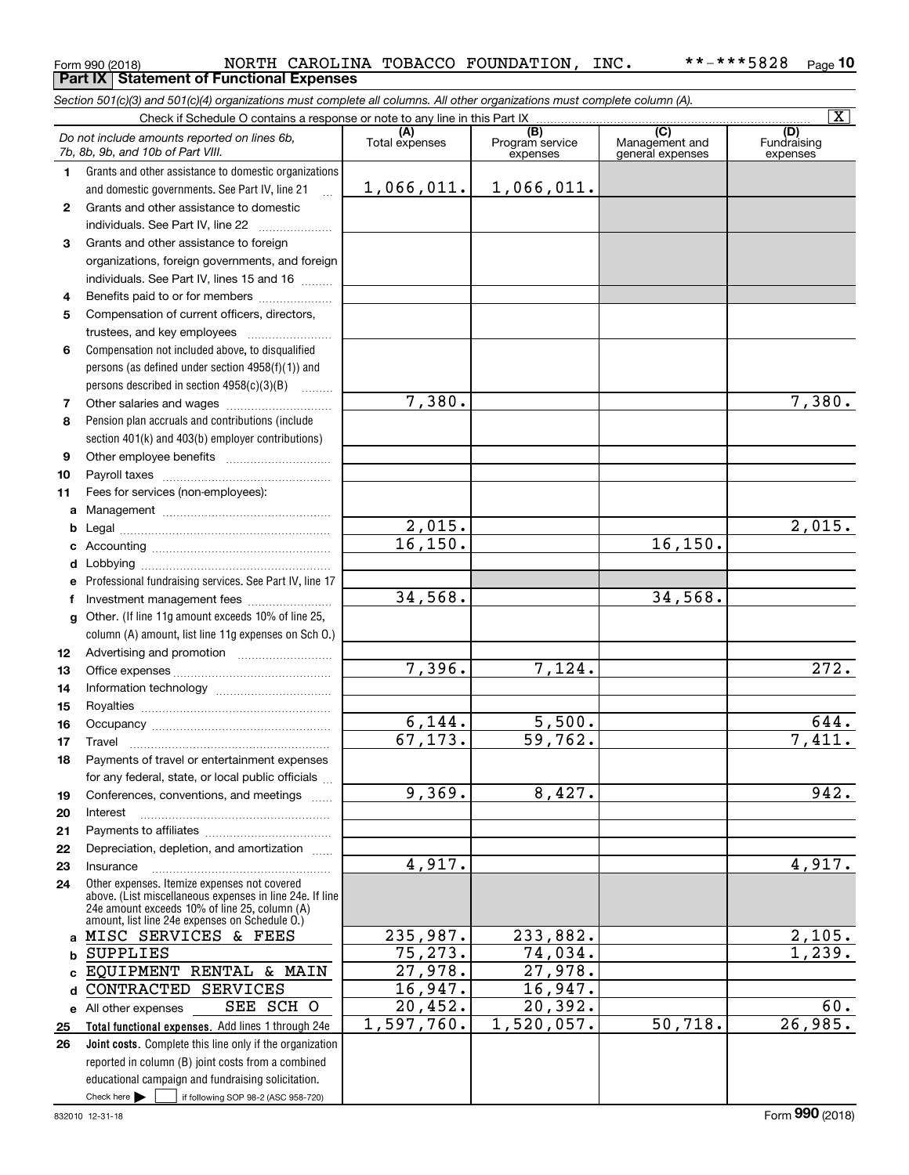### Form 990 (2018) Page **Part IX Statement of Functional Expenses 10** NORTH CAROLINA TOBACCO FOUNDATION, INC. \*\*-\*\*\*5828

*Section 501(c)(3) and 501(c)(4) organizations must complete all columns. All other organizations must complete column (A).*

|              |                                                                                                 |                       |                                    |                                                        | $\overline{\mathbf{x}}$        |
|--------------|-------------------------------------------------------------------------------------------------|-----------------------|------------------------------------|--------------------------------------------------------|--------------------------------|
|              | Do not include amounts reported on lines 6b,<br>7b, 8b, 9b, and 10b of Part VIII.               | (A)<br>Total expenses | (B)<br>Program service<br>expenses | $\overline{(C)}$<br>Management and<br>general expenses | (D)<br>Fundraising<br>expenses |
| 1.           | Grants and other assistance to domestic organizations                                           |                       |                                    |                                                        |                                |
|              | and domestic governments. See Part IV, line 21                                                  | 1,066,011.            | 1,066,011.                         |                                                        |                                |
| 2            | Grants and other assistance to domestic                                                         |                       |                                    |                                                        |                                |
|              | individuals. See Part IV, line 22                                                               |                       |                                    |                                                        |                                |
| 3            | Grants and other assistance to foreign                                                          |                       |                                    |                                                        |                                |
|              | organizations, foreign governments, and foreign                                                 |                       |                                    |                                                        |                                |
|              | individuals. See Part IV, lines 15 and 16                                                       |                       |                                    |                                                        |                                |
| 4            | Benefits paid to or for members                                                                 |                       |                                    |                                                        |                                |
| 5            | Compensation of current officers, directors,                                                    |                       |                                    |                                                        |                                |
|              | trustees, and key employees                                                                     |                       |                                    |                                                        |                                |
| 6            | Compensation not included above, to disqualified                                                |                       |                                    |                                                        |                                |
|              | persons (as defined under section 4958(f)(1)) and                                               |                       |                                    |                                                        |                                |
|              | persons described in section 4958(c)(3)(B)                                                      | 7,380.                |                                    |                                                        |                                |
| 7            |                                                                                                 |                       |                                    |                                                        | 7,380.                         |
| 8            | Pension plan accruals and contributions (include                                                |                       |                                    |                                                        |                                |
|              | section 401(k) and 403(b) employer contributions)                                               |                       |                                    |                                                        |                                |
| 9            |                                                                                                 |                       |                                    |                                                        |                                |
| 10           | Fees for services (non-employees):                                                              |                       |                                    |                                                        |                                |
| 11<br>a      |                                                                                                 |                       |                                    |                                                        |                                |
| b            |                                                                                                 | 2,015.                |                                    |                                                        | 2,015.                         |
| c            |                                                                                                 | 16, 150.              |                                    | 16, 150.                                               |                                |
| d            |                                                                                                 |                       |                                    |                                                        |                                |
| e            | Professional fundraising services. See Part IV, line 17                                         |                       |                                    |                                                        |                                |
| f            | Investment management fees                                                                      | 34,568.               |                                    | 34,568.                                                |                                |
| $\mathbf{q}$ | Other. (If line 11g amount exceeds 10% of line 25,                                              |                       |                                    |                                                        |                                |
|              | column (A) amount, list line 11g expenses on Sch O.)                                            |                       |                                    |                                                        |                                |
| 12           |                                                                                                 |                       |                                    |                                                        |                                |
| 13           |                                                                                                 | 7,396.                | 7,124.                             |                                                        | 272.                           |
| 14           |                                                                                                 |                       |                                    |                                                        |                                |
| 15           |                                                                                                 |                       |                                    |                                                        |                                |
| 16           |                                                                                                 | 6,144.                | 5,500.                             |                                                        | 644.                           |
| 17           | Travel                                                                                          | 67, 173.              | 59,762.                            |                                                        | 7,411.                         |
| 18           | Payments of travel or entertainment expenses                                                    |                       |                                    |                                                        |                                |
|              | for any federal, state, or local public officials                                               | 9,369.                |                                    |                                                        |                                |
| 19           | Conferences, conventions, and meetings                                                          |                       | 8,427.                             |                                                        | 942.                           |
| 20           | Interest                                                                                        |                       |                                    |                                                        |                                |
| 21           | Depreciation, depletion, and amortization                                                       |                       |                                    |                                                        |                                |
| 22<br>23     | Insurance                                                                                       | 4,917.                |                                    |                                                        | 4,917.                         |
| 24           | Other expenses. Itemize expenses not covered                                                    |                       |                                    |                                                        |                                |
|              | above. (List miscellaneous expenses in line 24e. If line                                        |                       |                                    |                                                        |                                |
|              | 24e amount exceeds 10% of line 25, column (A)<br>amount, list line 24e expenses on Schedule O.) |                       |                                    |                                                        |                                |
| a            | MISC SERVICES & FEES                                                                            | 235,987.              | 233,882.                           |                                                        | 2,105.                         |
| b            | <b>SUPPLIES</b>                                                                                 | 75, 273.              | 74,034.                            |                                                        | 1,239.                         |
| C            | EQUIPMENT RENTAL & MAIN                                                                         | 27,978.               | 27,978.                            |                                                        |                                |
| d            | CONTRACTED SERVICES                                                                             | 16,947.               | 16,947.                            |                                                        |                                |
|              | SEE SCH O<br>e All other expenses                                                               | $\overline{20, 452.}$ | 20,392.                            |                                                        | 60.                            |
| 25           | Total functional expenses. Add lines 1 through 24e                                              | 1,597,760.            | 1,520,057.                         | 50,718.                                                | 26,985.                        |
| 26           | Joint costs. Complete this line only if the organization                                        |                       |                                    |                                                        |                                |
|              | reported in column (B) joint costs from a combined                                              |                       |                                    |                                                        |                                |
|              | educational campaign and fundraising solicitation.                                              |                       |                                    |                                                        |                                |
|              | Check here $\blacktriangleright$<br>if following SOP 98-2 (ASC 958-720)                         |                       |                                    |                                                        |                                |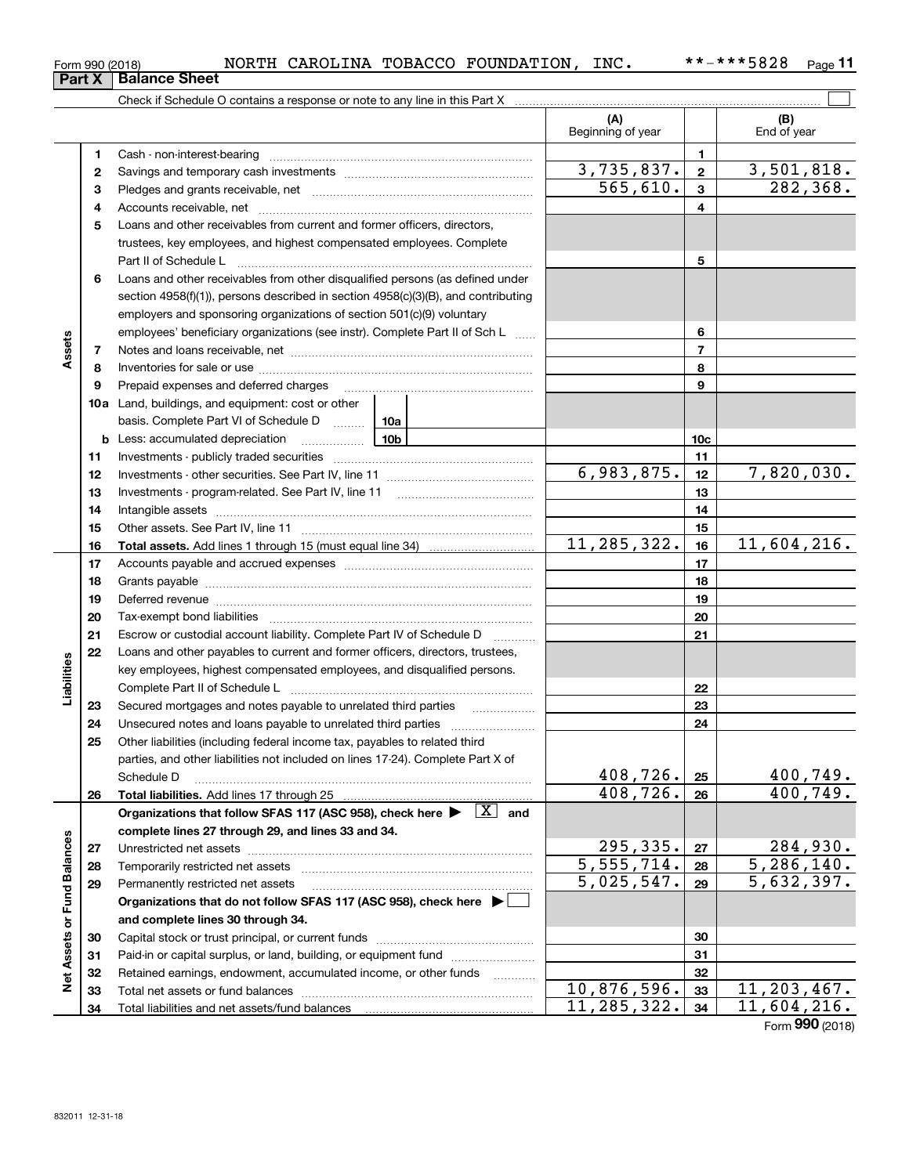| <sup>⊏</sup> orm 990 (2018) |                                                                            | <b>NORTH</b> | CAROLINA | TOBACCO | FOUNDATION | INC. | **-***5828 | Page |
|-----------------------------|----------------------------------------------------------------------------|--------------|----------|---------|------------|------|------------|------|
| Part X                      | <b>Balance Sheet</b>                                                       |              |          |         |            |      |            |      |
|                             | Chack if Schadula O contains a response or note to any line in this Part X |              |          |         |            |      |            |      |

| (A)<br>Beginning of year                                                                                                                                                                                                                   | (B)<br>End of year          |
|--------------------------------------------------------------------------------------------------------------------------------------------------------------------------------------------------------------------------------------------|-----------------------------|
|                                                                                                                                                                                                                                            |                             |
| 1<br>1                                                                                                                                                                                                                                     |                             |
| 3,735,837.<br>$\mathbf{2}$<br>2                                                                                                                                                                                                            | 3,501,818.                  |
| 565,610.<br>$\overline{3}$<br>З                                                                                                                                                                                                            | 282, 368.                   |
| 4<br>4                                                                                                                                                                                                                                     |                             |
| Loans and other receivables from current and former officers, directors,<br>5                                                                                                                                                              |                             |
| trustees, key employees, and highest compensated employees. Complete                                                                                                                                                                       |                             |
| 5<br>Part II of Schedule L                                                                                                                                                                                                                 |                             |
| Loans and other receivables from other disqualified persons (as defined under<br>6                                                                                                                                                         |                             |
| section $4958(f)(1)$ , persons described in section $4958(c)(3)(B)$ , and contributing                                                                                                                                                     |                             |
| employers and sponsoring organizations of section 501(c)(9) voluntary                                                                                                                                                                      |                             |
| employees' beneficiary organizations (see instr). Complete Part II of Sch L<br>6                                                                                                                                                           |                             |
| Assets<br>$\overline{7}$<br>7                                                                                                                                                                                                              |                             |
| 8<br>8                                                                                                                                                                                                                                     |                             |
| 9<br>9<br>Prepaid expenses and deferred charges                                                                                                                                                                                            |                             |
| <b>10a</b> Land, buildings, and equipment: cost or other                                                                                                                                                                                   |                             |
| basis. Complete Part VI of Schedule D  10a                                                                                                                                                                                                 |                             |
| 10 <sub>c</sub>                                                                                                                                                                                                                            |                             |
| 11<br>11<br>6,983,875.                                                                                                                                                                                                                     | 7,820,030.                  |
| 12<br>12                                                                                                                                                                                                                                   |                             |
| 13<br>13<br>14                                                                                                                                                                                                                             |                             |
| 14<br>15<br>15                                                                                                                                                                                                                             |                             |
| 11,285,322.<br>16<br>16                                                                                                                                                                                                                    | 11,604,216.                 |
| 17<br>17                                                                                                                                                                                                                                   |                             |
| 18<br>18                                                                                                                                                                                                                                   |                             |
| 19<br>Deferred revenue manual contracts and contracts are all the contracts and contracts are contracted and contracts are contracted and contract are contracted and contract are contracted and contract are contracted and contra<br>19 |                             |
| 20<br>20                                                                                                                                                                                                                                   |                             |
| 21<br>Escrow or custodial account liability. Complete Part IV of Schedule D<br>21                                                                                                                                                          |                             |
| Loans and other payables to current and former officers, directors, trustees,<br>22                                                                                                                                                        |                             |
| key employees, highest compensated employees, and disqualified persons.                                                                                                                                                                    |                             |
| Liabilities<br>22                                                                                                                                                                                                                          |                             |
| Secured mortgages and notes payable to unrelated third parties<br>23<br>23                                                                                                                                                                 |                             |
| 24<br>24                                                                                                                                                                                                                                   |                             |
| 25<br>Other liabilities (including federal income tax, payables to related third                                                                                                                                                           |                             |
| parties, and other liabilities not included on lines 17-24). Complete Part X of                                                                                                                                                            |                             |
| 408,726.<br>25<br>Schedule D                                                                                                                                                                                                               | $\frac{400,749.}{400,749.}$ |
| 408,726.<br>Total liabilities. Add lines 17 through 25<br>26<br>26                                                                                                                                                                         |                             |
| Organizations that follow SFAS 117 (ASC 958), check here $\blacktriangleright \begin{array}{ c } \hline X & \text{and} \end{array}$                                                                                                        |                             |
| complete lines 27 through 29, and lines 33 and 34.                                                                                                                                                                                         |                             |
| 295,335.<br>27<br>Unrestricted net assets<br>27                                                                                                                                                                                            | 284,930.                    |
| 5,555,714.<br>28<br>28<br>Temporarily restricted net assets                                                                                                                                                                                | $\overline{5,286,140}$ .    |
| 5,025,547.<br>29<br>29<br>Permanently restricted net assets                                                                                                                                                                                | $\overline{5,632}, 397.$    |
| Organizations that do not follow SFAS 117 (ASC 958), check here ▶ □                                                                                                                                                                        |                             |
| and complete lines 30 through 34.                                                                                                                                                                                                          |                             |
| 30<br>30                                                                                                                                                                                                                                   |                             |
| Net Assets or Fund Balances<br>Paid-in or capital surplus, or land, building, or equipment fund<br>31<br>31<br>32                                                                                                                          |                             |
| 32<br>Retained earnings, endowment, accumulated income, or other funds<br>10,876,596.<br>33<br>33<br>Total net assets or fund balances                                                                                                     | $\overline{11}$ , 203, 467. |
| 11,285,322.<br>34<br>34                                                                                                                                                                                                                    | 11,604,216.                 |

Form (2018) **990**

**Part X Balance B**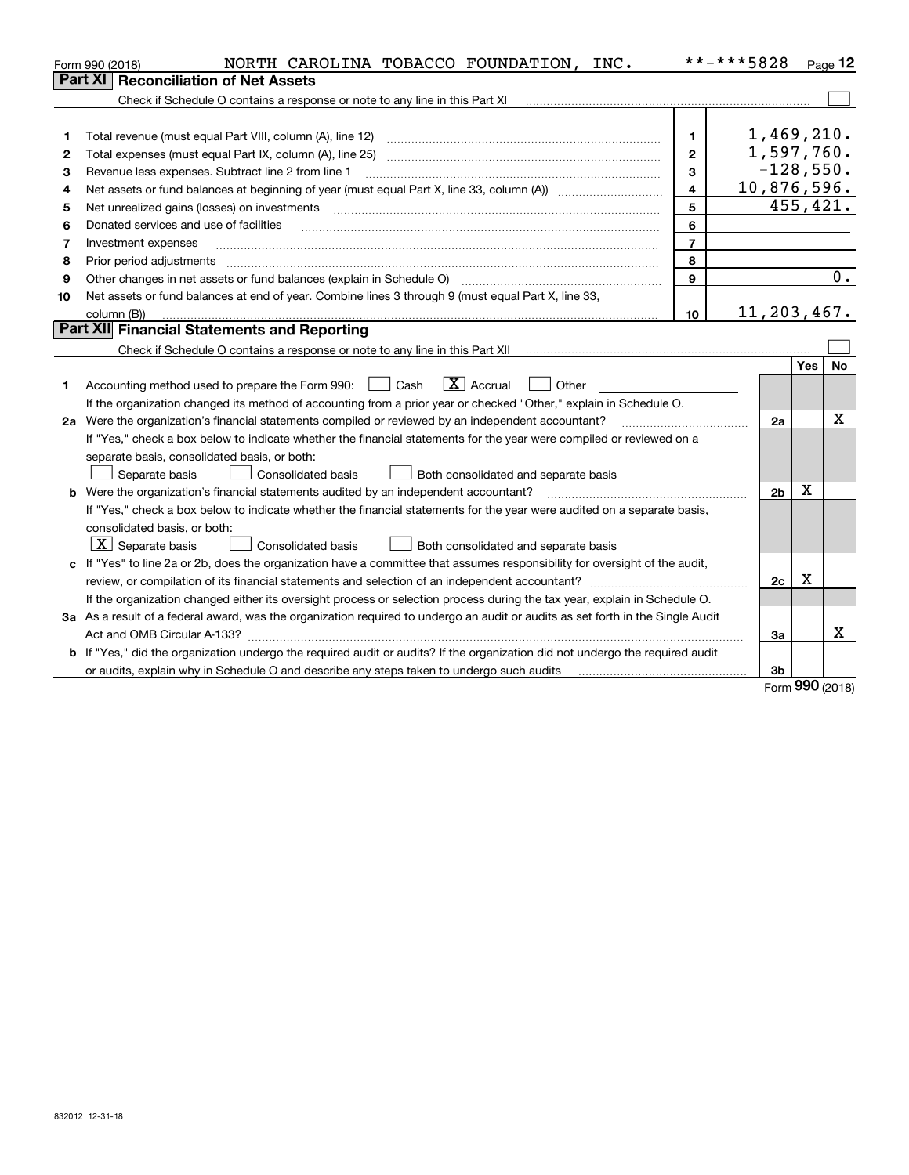|    | NORTH CAROLINA TOBACCO FOUNDATION, INC.<br>Form 990 (2018)                                                                      |                         | **-***5828               |     | $Page$ 12 |
|----|---------------------------------------------------------------------------------------------------------------------------------|-------------------------|--------------------------|-----|-----------|
|    | <b>Reconciliation of Net Assets</b><br>Part XI                                                                                  |                         |                          |     |           |
|    | Check if Schedule O contains a response or note to any line in this Part XI                                                     |                         |                          |     |           |
|    |                                                                                                                                 |                         |                          |     |           |
| 1  | Total revenue (must equal Part VIII, column (A), line 12)                                                                       | 1                       | 1,469,210.               |     |           |
| 2  | Total expenses (must equal Part IX, column (A), line 25)                                                                        | $\overline{2}$          | $\overline{1,597,760}$ . |     |           |
| 3  | Revenue less expenses. Subtract line 2 from line 1                                                                              | 3                       | $-128,550.$              |     |           |
| 4  |                                                                                                                                 | $\overline{\mathbf{4}}$ | 10,876,596.              |     |           |
| 5  | Net unrealized gains (losses) on investments                                                                                    | 5                       |                          |     | 455,421.  |
| 6  | Donated services and use of facilities                                                                                          | 6                       |                          |     |           |
| 7  | Investment expenses                                                                                                             | $\overline{7}$          |                          |     |           |
| 8  | Prior period adjustments                                                                                                        | 8                       |                          |     |           |
| 9  |                                                                                                                                 | 9                       |                          |     | 0.        |
| 10 | Net assets or fund balances at end of year. Combine lines 3 through 9 (must equal Part X, line 33,                              |                         |                          |     |           |
|    | column (B))                                                                                                                     | 10                      | 11, 203, 467.            |     |           |
|    | Part XII Financial Statements and Reporting                                                                                     |                         |                          |     |           |
|    |                                                                                                                                 |                         |                          |     |           |
|    |                                                                                                                                 |                         |                          | Yes | <b>No</b> |
| 1  | $\boxed{\mathbf{X}}$ Accrual<br>Other<br>Accounting method used to prepare the Form 990:<br>Cash<br>$\mathbf{1}$                |                         |                          |     |           |
|    | If the organization changed its method of accounting from a prior year or checked "Other," explain in Schedule O.               |                         |                          |     |           |
|    | 2a Were the organization's financial statements compiled or reviewed by an independent accountant?                              |                         | 2a                       |     | x         |
|    | If "Yes," check a box below to indicate whether the financial statements for the year were compiled or reviewed on a            |                         |                          |     |           |
|    | separate basis, consolidated basis, or both:                                                                                    |                         |                          |     |           |
|    | Consolidated basis<br>Separate basis<br>Both consolidated and separate basis                                                    |                         |                          |     |           |
|    | <b>b</b> Were the organization's financial statements audited by an independent accountant?                                     |                         | 2b                       | Χ   |           |
|    | If "Yes," check a box below to indicate whether the financial statements for the year were audited on a separate basis,         |                         |                          |     |           |
|    | consolidated basis, or both:                                                                                                    |                         |                          |     |           |
|    | $X$ Separate basis<br><b>Consolidated basis</b><br>Both consolidated and separate basis                                         |                         |                          |     |           |
|    | c If "Yes" to line 2a or 2b, does the organization have a committee that assumes responsibility for oversight of the audit,     |                         |                          |     |           |
|    | review, or compilation of its financial statements and selection of an independent accountant?                                  |                         | 2c                       | x   |           |
|    | If the organization changed either its oversight process or selection process during the tax year, explain in Schedule O.       |                         |                          |     |           |
|    | 3a As a result of a federal award, was the organization required to undergo an audit or audits as set forth in the Single Audit |                         |                          |     |           |
|    |                                                                                                                                 |                         | 3a                       |     | x         |
|    | b If "Yes," did the organization undergo the required audit or audits? If the organization did not undergo the required audit   |                         |                          |     |           |
|    | or audits, explain why in Schedule O and describe any steps taken to undergo such audits                                        |                         | 3b                       |     |           |

Form (2018) **990**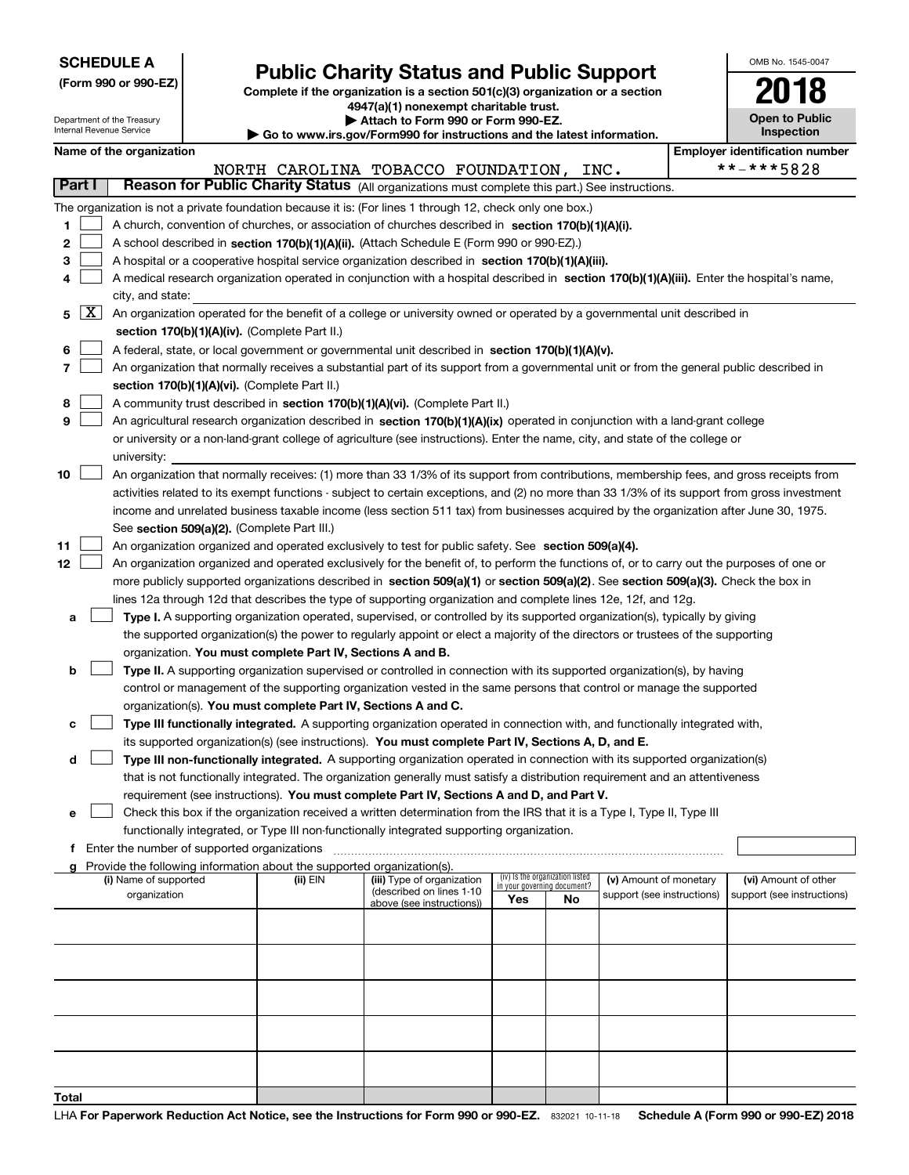|  | <b>SCHEDULE A</b> |
|--|-------------------|
|--|-------------------|

**(Form 990 or 990-EZ)**

# **Public Charity Status and Public Support**

OMB No. 1545-0047

**2018**

**Complete if the organization is a section 501(c)(3) organization or a section 4947(a)(1) nonexempt charitable trust. | Attach to Form 990 or Form 990-EZ.** 

|       |                 | Department of the Treasury<br>Internal Revenue Service | Attach to Form 990 or Form 990-EZ.<br>$\blacktriangleright$ Go to www.irs.gov/Form990 for instructions and the latest information. | <b>Open to Public</b><br><b>Inspection</b>                                                                                                    |                             |                                 |                            |  |                                       |
|-------|-----------------|--------------------------------------------------------|------------------------------------------------------------------------------------------------------------------------------------|-----------------------------------------------------------------------------------------------------------------------------------------------|-----------------------------|---------------------------------|----------------------------|--|---------------------------------------|
|       |                 | Name of the organization                               |                                                                                                                                    |                                                                                                                                               |                             |                                 |                            |  | <b>Employer identification number</b> |
|       |                 |                                                        |                                                                                                                                    | NORTH CAROLINA TOBACCO FOUNDATION, INC.                                                                                                       |                             |                                 |                            |  | **-***5828                            |
|       | Part I          |                                                        |                                                                                                                                    | Reason for Public Charity Status (All organizations must complete this part.) See instructions.                                               |                             |                                 |                            |  |                                       |
|       |                 |                                                        |                                                                                                                                    |                                                                                                                                               |                             |                                 |                            |  |                                       |
|       |                 |                                                        |                                                                                                                                    | The organization is not a private foundation because it is: (For lines 1 through 12, check only one box.)                                     |                             |                                 |                            |  |                                       |
| 1     |                 |                                                        |                                                                                                                                    | A church, convention of churches, or association of churches described in section 170(b)(1)(A)(i).                                            |                             |                                 |                            |  |                                       |
| 2     |                 |                                                        |                                                                                                                                    | A school described in section 170(b)(1)(A)(ii). (Attach Schedule E (Form 990 or 990-EZ).)                                                     |                             |                                 |                            |  |                                       |
| 3     |                 |                                                        |                                                                                                                                    | A hospital or a cooperative hospital service organization described in section 170(b)(1)(A)(iii).                                             |                             |                                 |                            |  |                                       |
| 4     |                 |                                                        |                                                                                                                                    | A medical research organization operated in conjunction with a hospital described in section 170(b)(1)(A)(iii). Enter the hospital's name,    |                             |                                 |                            |  |                                       |
|       |                 | city, and state:                                       |                                                                                                                                    |                                                                                                                                               |                             |                                 |                            |  |                                       |
|       | $5 \mid X \mid$ |                                                        |                                                                                                                                    | An organization operated for the benefit of a college or university owned or operated by a governmental unit described in                     |                             |                                 |                            |  |                                       |
|       |                 |                                                        | section 170(b)(1)(A)(iv). (Complete Part II.)                                                                                      |                                                                                                                                               |                             |                                 |                            |  |                                       |
| 6     |                 |                                                        |                                                                                                                                    | A federal, state, or local government or governmental unit described in section 170(b)(1)(A)(v).                                              |                             |                                 |                            |  |                                       |
| 7     |                 |                                                        |                                                                                                                                    | An organization that normally receives a substantial part of its support from a governmental unit or from the general public described in     |                             |                                 |                            |  |                                       |
|       |                 |                                                        | section 170(b)(1)(A)(vi). (Complete Part II.)                                                                                      |                                                                                                                                               |                             |                                 |                            |  |                                       |
| 8     |                 |                                                        |                                                                                                                                    | A community trust described in section 170(b)(1)(A)(vi). (Complete Part II.)                                                                  |                             |                                 |                            |  |                                       |
| 9     |                 |                                                        |                                                                                                                                    | An agricultural research organization described in section 170(b)(1)(A)(ix) operated in conjunction with a land-grant college                 |                             |                                 |                            |  |                                       |
|       |                 |                                                        |                                                                                                                                    | or university or a non-land-grant college of agriculture (see instructions). Enter the name, city, and state of the college or                |                             |                                 |                            |  |                                       |
|       |                 | university:                                            |                                                                                                                                    |                                                                                                                                               |                             |                                 |                            |  |                                       |
| 10    |                 |                                                        |                                                                                                                                    | An organization that normally receives: (1) more than 33 1/3% of its support from contributions, membership fees, and gross receipts from     |                             |                                 |                            |  |                                       |
|       |                 |                                                        |                                                                                                                                    | activities related to its exempt functions - subject to certain exceptions, and (2) no more than 33 1/3% of its support from gross investment |                             |                                 |                            |  |                                       |
|       |                 |                                                        |                                                                                                                                    | income and unrelated business taxable income (less section 511 tax) from businesses acquired by the organization after June 30, 1975.         |                             |                                 |                            |  |                                       |
|       |                 |                                                        | See section 509(a)(2). (Complete Part III.)                                                                                        |                                                                                                                                               |                             |                                 |                            |  |                                       |
| 11    |                 |                                                        |                                                                                                                                    | An organization organized and operated exclusively to test for public safety. See section 509(a)(4).                                          |                             |                                 |                            |  |                                       |
| 12    |                 |                                                        |                                                                                                                                    | An organization organized and operated exclusively for the benefit of, to perform the functions of, or to carry out the purposes of one or    |                             |                                 |                            |  |                                       |
|       |                 |                                                        |                                                                                                                                    | more publicly supported organizations described in section 509(a)(1) or section 509(a)(2). See section 509(a)(3). Check the box in            |                             |                                 |                            |  |                                       |
|       |                 |                                                        |                                                                                                                                    | lines 12a through 12d that describes the type of supporting organization and complete lines 12e, 12f, and 12g.                                |                             |                                 |                            |  |                                       |
| а     |                 |                                                        |                                                                                                                                    | Type I. A supporting organization operated, supervised, or controlled by its supported organization(s), typically by giving                   |                             |                                 |                            |  |                                       |
|       |                 |                                                        |                                                                                                                                    | the supported organization(s) the power to regularly appoint or elect a majority of the directors or trustees of the supporting               |                             |                                 |                            |  |                                       |
|       |                 |                                                        | organization. You must complete Part IV, Sections A and B.                                                                         |                                                                                                                                               |                             |                                 |                            |  |                                       |
| b     |                 |                                                        |                                                                                                                                    | Type II. A supporting organization supervised or controlled in connection with its supported organization(s), by having                       |                             |                                 |                            |  |                                       |
|       |                 |                                                        |                                                                                                                                    | control or management of the supporting organization vested in the same persons that control or manage the supported                          |                             |                                 |                            |  |                                       |
|       |                 |                                                        |                                                                                                                                    |                                                                                                                                               |                             |                                 |                            |  |                                       |
|       |                 |                                                        | organization(s). You must complete Part IV, Sections A and C.                                                                      |                                                                                                                                               |                             |                                 |                            |  |                                       |
| с     |                 |                                                        |                                                                                                                                    | Type III functionally integrated. A supporting organization operated in connection with, and functionally integrated with,                    |                             |                                 |                            |  |                                       |
|       |                 |                                                        |                                                                                                                                    | its supported organization(s) (see instructions). You must complete Part IV, Sections A, D, and E.                                            |                             |                                 |                            |  |                                       |
| d     |                 |                                                        |                                                                                                                                    | Type III non-functionally integrated. A supporting organization operated in connection with its supported organization(s)                     |                             |                                 |                            |  |                                       |
|       |                 |                                                        |                                                                                                                                    | that is not functionally integrated. The organization generally must satisfy a distribution requirement and an attentiveness                  |                             |                                 |                            |  |                                       |
|       |                 |                                                        |                                                                                                                                    | requirement (see instructions). You must complete Part IV, Sections A and D, and Part V.                                                      |                             |                                 |                            |  |                                       |
| е     |                 |                                                        |                                                                                                                                    | Check this box if the organization received a written determination from the IRS that it is a Type I, Type II, Type III                       |                             |                                 |                            |  |                                       |
|       |                 |                                                        |                                                                                                                                    | functionally integrated, or Type III non-functionally integrated supporting organization.                                                     |                             |                                 |                            |  |                                       |
| f     |                 | Enter the number of supported organizations            |                                                                                                                                    |                                                                                                                                               |                             |                                 |                            |  |                                       |
|       |                 | (i) Name of supported                                  | Provide the following information about the supported organization(s).<br>(ii) EIN                                                 | (iii) Type of organization                                                                                                                    |                             | (iv) Is the organization listed | (v) Amount of monetary     |  | (vi) Amount of other                  |
|       |                 | organization                                           |                                                                                                                                    | (described on lines 1-10                                                                                                                      | in your governing document? |                                 | support (see instructions) |  | support (see instructions)            |
|       |                 |                                                        |                                                                                                                                    | above (see instructions))                                                                                                                     | Yes                         | No                              |                            |  |                                       |
|       |                 |                                                        |                                                                                                                                    |                                                                                                                                               |                             |                                 |                            |  |                                       |
|       |                 |                                                        |                                                                                                                                    |                                                                                                                                               |                             |                                 |                            |  |                                       |
|       |                 |                                                        |                                                                                                                                    |                                                                                                                                               |                             |                                 |                            |  |                                       |
|       |                 |                                                        |                                                                                                                                    |                                                                                                                                               |                             |                                 |                            |  |                                       |
|       |                 |                                                        |                                                                                                                                    |                                                                                                                                               |                             |                                 |                            |  |                                       |
|       |                 |                                                        |                                                                                                                                    |                                                                                                                                               |                             |                                 |                            |  |                                       |
|       |                 |                                                        |                                                                                                                                    |                                                                                                                                               |                             |                                 |                            |  |                                       |
|       |                 |                                                        |                                                                                                                                    |                                                                                                                                               |                             |                                 |                            |  |                                       |
|       |                 |                                                        |                                                                                                                                    |                                                                                                                                               |                             |                                 |                            |  |                                       |
|       |                 |                                                        |                                                                                                                                    |                                                                                                                                               |                             |                                 |                            |  |                                       |
| Total |                 |                                                        |                                                                                                                                    |                                                                                                                                               |                             |                                 |                            |  |                                       |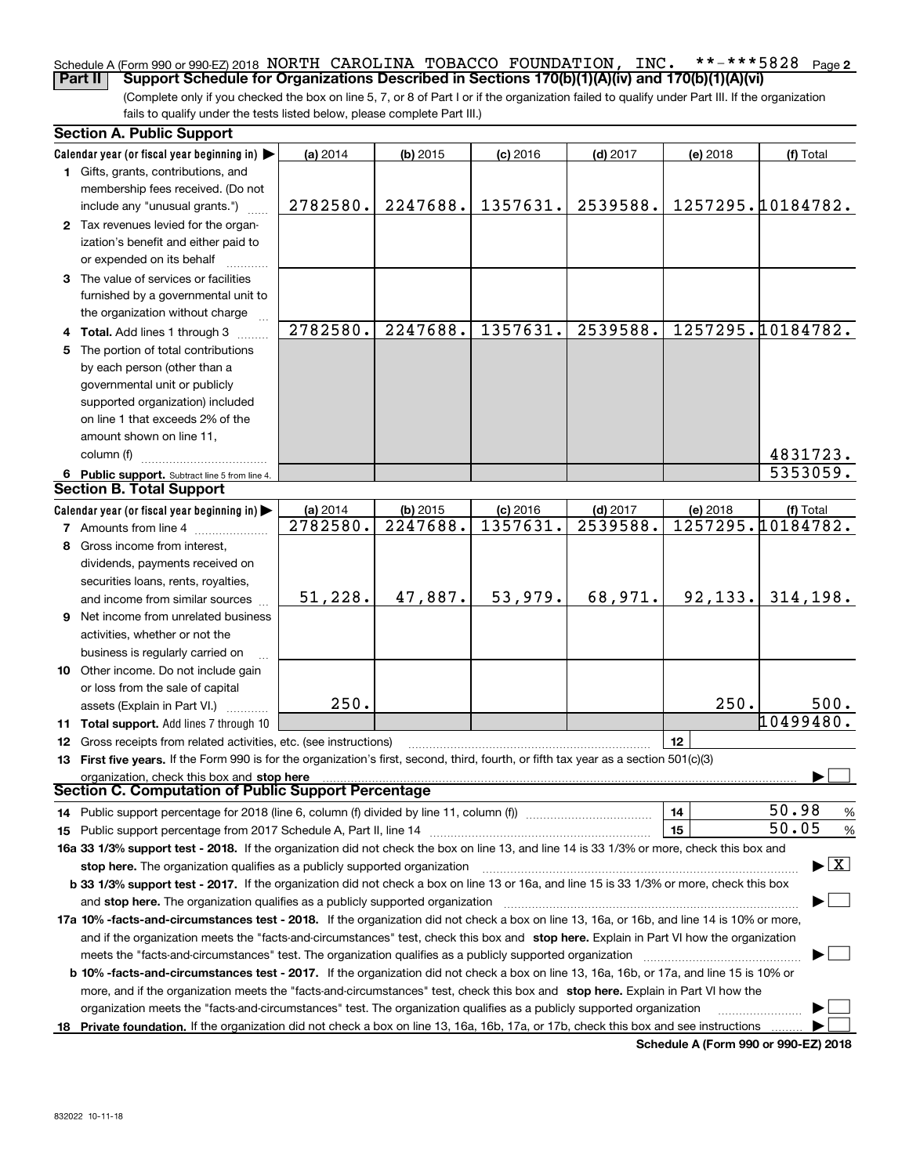#### **2** Schedule A (Form 990 or 990-EZ) 2018 Page NORTH CAROLINA TOBACCO FOUNDATION, INC. \*\*-\*\*\*5828**Part II Support Schedule for Organizations Described in Sections 170(b)(1)(A)(iv) and 170(b)(1)(A)(vi)**

(Complete only if you checked the box on line 5, 7, or 8 of Part I or if the organization failed to qualify under Part III. If the organization fails to qualify under the tests listed below, please complete Part III.)

| <b>Section A. Public Support</b>                                                                                                                                                                                                                     |          |                        |            |            |          |                                          |  |  |  |
|------------------------------------------------------------------------------------------------------------------------------------------------------------------------------------------------------------------------------------------------------|----------|------------------------|------------|------------|----------|------------------------------------------|--|--|--|
| Calendar year (or fiscal year beginning in) $\blacktriangleright$                                                                                                                                                                                    | (a) 2014 | $(b)$ 2015             | $(c)$ 2016 | $(d)$ 2017 | (e) 2018 | (f) Total                                |  |  |  |
| 1 Gifts, grants, contributions, and                                                                                                                                                                                                                  |          |                        |            |            |          |                                          |  |  |  |
| membership fees received. (Do not                                                                                                                                                                                                                    |          |                        |            |            |          |                                          |  |  |  |
| include any "unusual grants.")                                                                                                                                                                                                                       | 2782580. | 2247688.               | 1357631.   | 2539588.   |          | 1257295.10184782.                        |  |  |  |
| 2 Tax revenues levied for the organ-                                                                                                                                                                                                                 |          |                        |            |            |          |                                          |  |  |  |
| ization's benefit and either paid to                                                                                                                                                                                                                 |          |                        |            |            |          |                                          |  |  |  |
| or expended on its behalf                                                                                                                                                                                                                            |          |                        |            |            |          |                                          |  |  |  |
| 3 The value of services or facilities                                                                                                                                                                                                                |          |                        |            |            |          |                                          |  |  |  |
| furnished by a governmental unit to                                                                                                                                                                                                                  |          |                        |            |            |          |                                          |  |  |  |
| the organization without charge                                                                                                                                                                                                                      |          |                        |            |            |          |                                          |  |  |  |
| 4 Total. Add lines 1 through 3                                                                                                                                                                                                                       | 2782580. | 2247688.               | 1357631.   | 2539588.   |          | 1257295.10184782.                        |  |  |  |
| 5 The portion of total contributions                                                                                                                                                                                                                 |          |                        |            |            |          |                                          |  |  |  |
| by each person (other than a                                                                                                                                                                                                                         |          |                        |            |            |          |                                          |  |  |  |
| governmental unit or publicly                                                                                                                                                                                                                        |          |                        |            |            |          |                                          |  |  |  |
| supported organization) included                                                                                                                                                                                                                     |          |                        |            |            |          |                                          |  |  |  |
| on line 1 that exceeds 2% of the                                                                                                                                                                                                                     |          |                        |            |            |          |                                          |  |  |  |
| amount shown on line 11,                                                                                                                                                                                                                             |          |                        |            |            |          |                                          |  |  |  |
| column (f)                                                                                                                                                                                                                                           |          |                        |            |            |          | 4831723.                                 |  |  |  |
|                                                                                                                                                                                                                                                      |          |                        |            |            |          | 5353059.                                 |  |  |  |
| 6 Public support. Subtract line 5 from line 4.<br><b>Section B. Total Support</b>                                                                                                                                                                    |          |                        |            |            |          |                                          |  |  |  |
|                                                                                                                                                                                                                                                      |          |                        |            |            |          |                                          |  |  |  |
| Calendar year (or fiscal year beginning in)                                                                                                                                                                                                          | (a) 2014 | $(b)$ 2015<br>2247688. | $(c)$ 2016 | $(d)$ 2017 | (e) 2018 | (f) Total<br>1257295.10184782.           |  |  |  |
| <b>7</b> Amounts from line 4                                                                                                                                                                                                                         | 2782580. |                        | 1357631.   | 2539588.   |          |                                          |  |  |  |
| 8 Gross income from interest,                                                                                                                                                                                                                        |          |                        |            |            |          |                                          |  |  |  |
| dividends, payments received on                                                                                                                                                                                                                      |          |                        |            |            |          |                                          |  |  |  |
| securities loans, rents, royalties,                                                                                                                                                                                                                  |          |                        |            |            |          |                                          |  |  |  |
| and income from similar sources                                                                                                                                                                                                                      | 51,228.  | 47,887.                | 53,979.    | 68,971.    | 92,133.  | 314, 198.                                |  |  |  |
| 9 Net income from unrelated business                                                                                                                                                                                                                 |          |                        |            |            |          |                                          |  |  |  |
| activities, whether or not the                                                                                                                                                                                                                       |          |                        |            |            |          |                                          |  |  |  |
| business is regularly carried on                                                                                                                                                                                                                     |          |                        |            |            |          |                                          |  |  |  |
| 10 Other income. Do not include gain                                                                                                                                                                                                                 |          |                        |            |            |          |                                          |  |  |  |
| or loss from the sale of capital                                                                                                                                                                                                                     |          |                        |            |            |          |                                          |  |  |  |
| assets (Explain in Part VI.)                                                                                                                                                                                                                         | 250.     |                        |            |            | 250.     | 500.                                     |  |  |  |
| 11 Total support. Add lines 7 through 10                                                                                                                                                                                                             |          |                        |            |            |          | 10499480.                                |  |  |  |
| <b>12</b> Gross receipts from related activities, etc. (see instructions)                                                                                                                                                                            |          |                        |            |            | 12       |                                          |  |  |  |
| 13 First five years. If the Form 990 is for the organization's first, second, third, fourth, or fifth tax year as a section 501(c)(3)                                                                                                                |          |                        |            |            |          |                                          |  |  |  |
| organization, check this box and stop here                                                                                                                                                                                                           |          |                        |            |            |          |                                          |  |  |  |
| Section C. Computation of Public Support Percentage                                                                                                                                                                                                  |          |                        |            |            |          |                                          |  |  |  |
| 14 Public support percentage for 2018 (line 6, column (f) divided by line 11, column (f) <i>mummumumumum</i>                                                                                                                                         |          |                        |            |            | 14       | 50.98<br>$\%$                            |  |  |  |
|                                                                                                                                                                                                                                                      |          |                        |            |            | 15       | 50.05<br>%                               |  |  |  |
| 16a 33 1/3% support test - 2018. If the organization did not check the box on line 13, and line 14 is 33 1/3% or more, check this box and                                                                                                            |          |                        |            |            |          |                                          |  |  |  |
| stop here. The organization qualifies as a publicly supported organization                                                                                                                                                                           |          |                        |            |            |          | $\blacktriangleright$ $\boxed{\text{X}}$ |  |  |  |
| b 33 1/3% support test - 2017. If the organization did not check a box on line 13 or 16a, and line 15 is 33 1/3% or more, check this box                                                                                                             |          |                        |            |            |          |                                          |  |  |  |
| and stop here. The organization qualifies as a publicly supported organization                                                                                                                                                                       |          |                        |            |            |          |                                          |  |  |  |
| 17a 10% -facts-and-circumstances test - 2018. If the organization did not check a box on line 13, 16a, or 16b, and line 14 is 10% or more,                                                                                                           |          |                        |            |            |          |                                          |  |  |  |
|                                                                                                                                                                                                                                                      |          |                        |            |            |          |                                          |  |  |  |
| and if the organization meets the "facts-and-circumstances" test, check this box and stop here. Explain in Part VI how the organization<br>meets the "facts-and-circumstances" test. The organization qualifies as a publicly supported organization |          |                        |            |            |          |                                          |  |  |  |
|                                                                                                                                                                                                                                                      |          |                        |            |            |          |                                          |  |  |  |
| <b>b 10% -facts-and-circumstances test - 2017.</b> If the organization did not check a box on line 13, 16a, 16b, or 17a, and line 15 is 10% or                                                                                                       |          |                        |            |            |          |                                          |  |  |  |
| more, and if the organization meets the "facts-and-circumstances" test, check this box and stop here. Explain in Part VI how the                                                                                                                     |          |                        |            |            |          |                                          |  |  |  |
| organization meets the "facts-and-circumstances" test. The organization qualifies as a publicly supported organization                                                                                                                               |          |                        |            |            |          |                                          |  |  |  |
| 18 Private foundation. If the organization did not check a box on line 13, 16a, 16b, 17a, or 17b, check this box and see instructions                                                                                                                |          |                        |            |            |          |                                          |  |  |  |

**Schedule A (Form 990 or 990-EZ) 2018**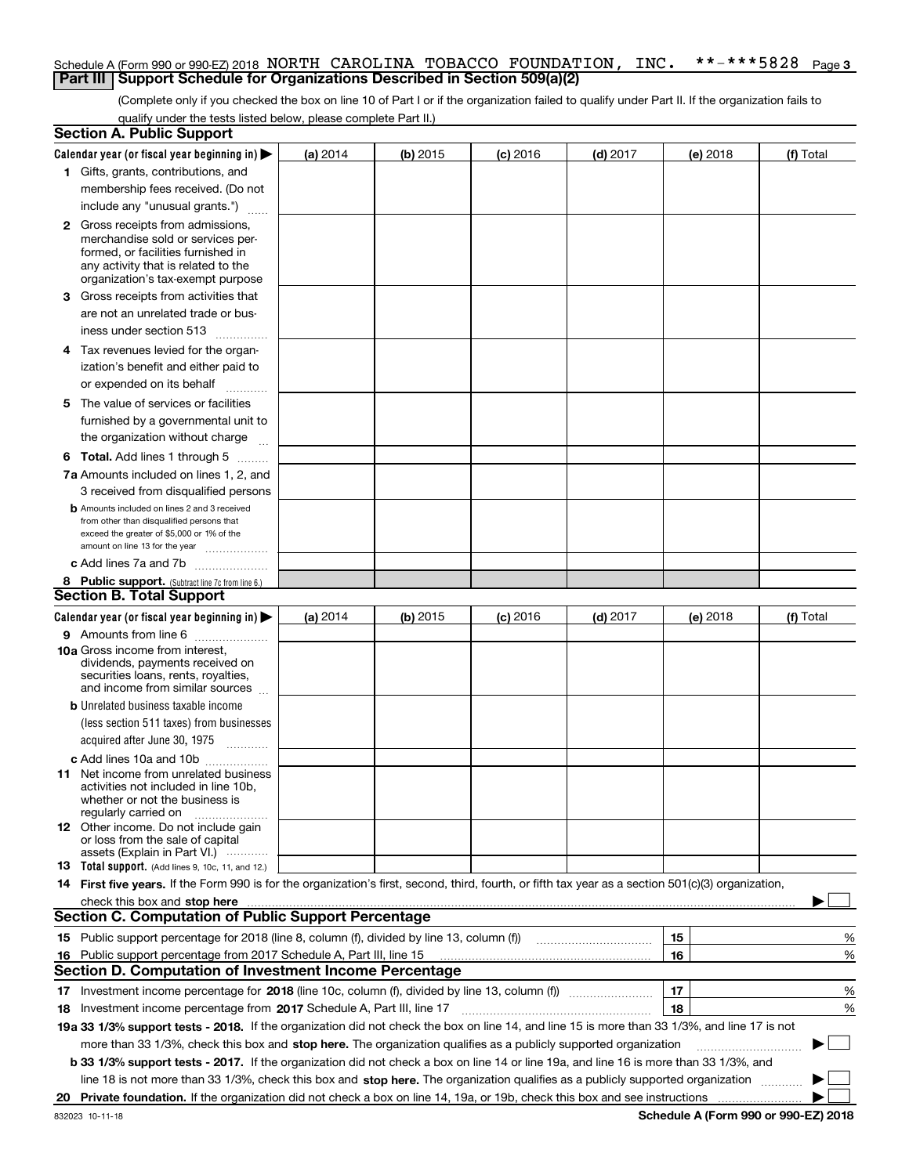#### **3** Schedule A (Form 990 or 990-EZ) 2018 Page NORTH CAROLINA TOBACCO FOUNDATION, INC. \*\*-\*\*\*5828**Part III** | Support Schedule for Organizations Described in Section 509(a)(2)

(Complete only if you checked the box on line 10 of Part I or if the organization failed to qualify under Part II. If the organization fails to qualify under the tests listed below, please complete Part II.)

| <b>Section A. Public Support</b>                                                                                                                                                                                               |          |            |                 |                                       |          |             |
|--------------------------------------------------------------------------------------------------------------------------------------------------------------------------------------------------------------------------------|----------|------------|-----------------|---------------------------------------|----------|-------------|
| Calendar year (or fiscal year beginning in) $\blacktriangleright$                                                                                                                                                              | (a) 2014 | (b) 2015   | <b>(c)</b> 2016 | $(d)$ 2017                            | (e) 2018 | (f) Total   |
| 1 Gifts, grants, contributions, and                                                                                                                                                                                            |          |            |                 |                                       |          |             |
| membership fees received. (Do not                                                                                                                                                                                              |          |            |                 |                                       |          |             |
| include any "unusual grants.")                                                                                                                                                                                                 |          |            |                 |                                       |          |             |
| <b>2</b> Gross receipts from admissions,                                                                                                                                                                                       |          |            |                 |                                       |          |             |
| merchandise sold or services per-                                                                                                                                                                                              |          |            |                 |                                       |          |             |
| formed, or facilities furnished in                                                                                                                                                                                             |          |            |                 |                                       |          |             |
| any activity that is related to the<br>organization's tax-exempt purpose                                                                                                                                                       |          |            |                 |                                       |          |             |
| 3 Gross receipts from activities that                                                                                                                                                                                          |          |            |                 |                                       |          |             |
| are not an unrelated trade or bus-                                                                                                                                                                                             |          |            |                 |                                       |          |             |
|                                                                                                                                                                                                                                |          |            |                 |                                       |          |             |
| iness under section 513                                                                                                                                                                                                        |          |            |                 |                                       |          |             |
| 4 Tax revenues levied for the organ-                                                                                                                                                                                           |          |            |                 |                                       |          |             |
| ization's benefit and either paid to                                                                                                                                                                                           |          |            |                 |                                       |          |             |
| or expended on its behalf<br>.                                                                                                                                                                                                 |          |            |                 |                                       |          |             |
| 5 The value of services or facilities                                                                                                                                                                                          |          |            |                 |                                       |          |             |
| furnished by a governmental unit to                                                                                                                                                                                            |          |            |                 |                                       |          |             |
| the organization without charge                                                                                                                                                                                                |          |            |                 |                                       |          |             |
| <b>6 Total.</b> Add lines 1 through 5                                                                                                                                                                                          |          |            |                 |                                       |          |             |
| 7a Amounts included on lines 1, 2, and                                                                                                                                                                                         |          |            |                 |                                       |          |             |
| 3 received from disqualified persons                                                                                                                                                                                           |          |            |                 |                                       |          |             |
| <b>b</b> Amounts included on lines 2 and 3 received                                                                                                                                                                            |          |            |                 |                                       |          |             |
| from other than disqualified persons that                                                                                                                                                                                      |          |            |                 |                                       |          |             |
| exceed the greater of \$5,000 or 1% of the<br>amount on line 13 for the year                                                                                                                                                   |          |            |                 |                                       |          |             |
| c Add lines 7a and 7b                                                                                                                                                                                                          |          |            |                 |                                       |          |             |
| 8 Public support. (Subtract line 7c from line 6.)                                                                                                                                                                              |          |            |                 |                                       |          |             |
| <b>Section B. Total Support</b>                                                                                                                                                                                                |          |            |                 |                                       |          |             |
| Calendar year (or fiscal year beginning in) $\blacktriangleright$                                                                                                                                                              | (a) 2014 | $(b)$ 2015 | $(c)$ 2016      | $(d)$ 2017                            | (e) 2018 | (f) Total   |
| 9 Amounts from line 6                                                                                                                                                                                                          |          |            |                 |                                       |          |             |
| 10a Gross income from interest,                                                                                                                                                                                                |          |            |                 |                                       |          |             |
| dividends, payments received on                                                                                                                                                                                                |          |            |                 |                                       |          |             |
| securities loans, rents, royalties,<br>and income from similar sources                                                                                                                                                         |          |            |                 |                                       |          |             |
| <b>b</b> Unrelated business taxable income                                                                                                                                                                                     |          |            |                 |                                       |          |             |
| (less section 511 taxes) from businesses                                                                                                                                                                                       |          |            |                 |                                       |          |             |
| acquired after June 30, 1975                                                                                                                                                                                                   |          |            |                 |                                       |          |             |
|                                                                                                                                                                                                                                |          |            |                 |                                       |          |             |
| c Add lines 10a and 10b<br>11 Net income from unrelated business                                                                                                                                                               |          |            |                 |                                       |          |             |
| activities not included in line 10b.                                                                                                                                                                                           |          |            |                 |                                       |          |             |
| whether or not the business is                                                                                                                                                                                                 |          |            |                 |                                       |          |             |
| regularly carried on                                                                                                                                                                                                           |          |            |                 |                                       |          |             |
| 12 Other income. Do not include gain<br>or loss from the sale of capital                                                                                                                                                       |          |            |                 |                                       |          |             |
| assets (Explain in Part VI.)                                                                                                                                                                                                   |          |            |                 |                                       |          |             |
| <b>13</b> Total support. (Add lines 9, 10c, 11, and 12.)                                                                                                                                                                       |          |            |                 |                                       |          |             |
| 14 First five years. If the Form 990 is for the organization's first, second, third, fourth, or fifth tax year as a section 501(c)(3) organization,                                                                            |          |            |                 |                                       |          |             |
| check this box and stop here measurements are all the state of the state of the state of the state of the state of the state of the state of the state of the state of the state of the state of the state of the state of the |          |            |                 |                                       |          |             |
| <b>Section C. Computation of Public Support Percentage</b>                                                                                                                                                                     |          |            |                 |                                       |          |             |
| 15 Public support percentage for 2018 (line 8, column (f), divided by line 13, column (f))                                                                                                                                     |          |            |                 | <u> 1986 - Januar Start, martin a</u> | 15       | %           |
| 16 Public support percentage from 2017 Schedule A, Part III, line 15                                                                                                                                                           |          |            |                 |                                       | 16       | %           |
| <b>Section D. Computation of Investment Income Percentage</b>                                                                                                                                                                  |          |            |                 |                                       |          |             |
|                                                                                                                                                                                                                                |          |            |                 |                                       | 17       | %           |
| <b>18</b> Investment income percentage from <b>2017</b> Schedule A, Part III, line 17                                                                                                                                          |          |            |                 |                                       | 18       | %           |
| 19a 33 1/3% support tests - 2018. If the organization did not check the box on line 14, and line 15 is more than 33 1/3%, and line 17 is not                                                                                   |          |            |                 |                                       |          |             |
| more than 33 1/3%, check this box and stop here. The organization qualifies as a publicly supported organization                                                                                                               |          |            |                 |                                       |          | $\sim$<br>▶ |
| b 33 1/3% support tests - 2017. If the organization did not check a box on line 14 or line 19a, and line 16 is more than 33 1/3%, and                                                                                          |          |            |                 |                                       |          |             |
| line 18 is not more than 33 1/3%, check this box and stop here. The organization qualifies as a publicly supported organization                                                                                                |          |            |                 |                                       |          |             |
| 20                                                                                                                                                                                                                             |          |            |                 |                                       |          |             |

**Schedule A (Form 990 or 990-EZ) 2018**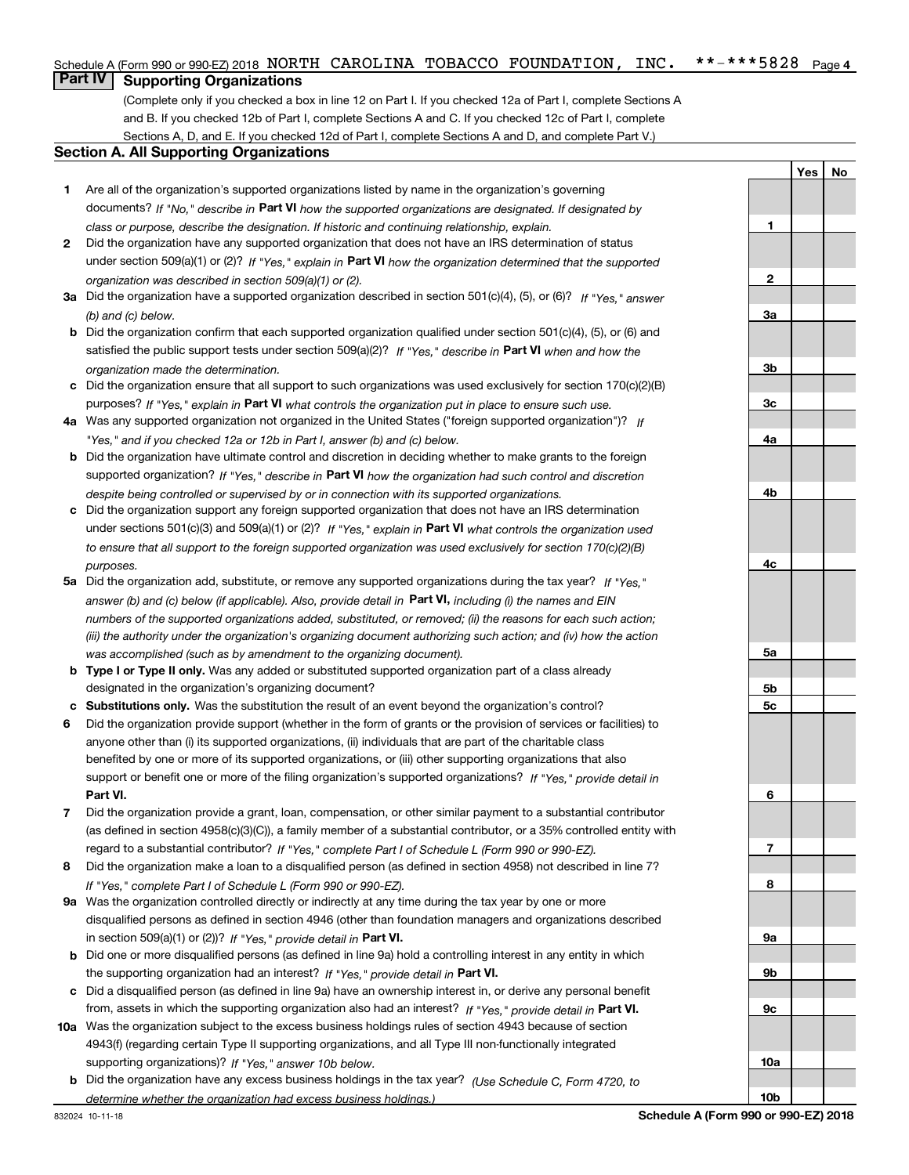#### $***$   $***$  5828 Page 4 Schedule A (Form 990 or 990-EZ) 2018 Page NORTH CAROLINA TOBACCO FOUNDATION, INC. \*\*-\*\*\*5828

# **Part IV Supporting Organizations**

(Complete only if you checked a box in line 12 on Part I. If you checked 12a of Part I, complete Sections A and B. If you checked 12b of Part I, complete Sections A and C. If you checked 12c of Part I, complete Sections A, D, and E. If you checked 12d of Part I, complete Sections A and D, and complete Part V.)

### **Section A. All Supporting Organizations**

- **1** Are all of the organization's supported organizations listed by name in the organization's governing documents? If "No," describe in **Part VI** how the supported organizations are designated. If designated by *class or purpose, describe the designation. If historic and continuing relationship, explain.*
- **2** Did the organization have any supported organization that does not have an IRS determination of status under section 509(a)(1) or (2)? If "Yes," explain in Part VI how the organization determined that the supported *organization was described in section 509(a)(1) or (2).*
- **3a** Did the organization have a supported organization described in section 501(c)(4), (5), or (6)? If "Yes," answer *(b) and (c) below.*
- **b** Did the organization confirm that each supported organization qualified under section 501(c)(4), (5), or (6) and satisfied the public support tests under section 509(a)(2)? If "Yes," describe in **Part VI** when and how the *organization made the determination.*
- **c**Did the organization ensure that all support to such organizations was used exclusively for section 170(c)(2)(B) purposes? If "Yes," explain in **Part VI** what controls the organization put in place to ensure such use.
- **4a***If* Was any supported organization not organized in the United States ("foreign supported organization")? *"Yes," and if you checked 12a or 12b in Part I, answer (b) and (c) below.*
- **b** Did the organization have ultimate control and discretion in deciding whether to make grants to the foreign supported organization? If "Yes," describe in **Part VI** how the organization had such control and discretion *despite being controlled or supervised by or in connection with its supported organizations.*
- **c** Did the organization support any foreign supported organization that does not have an IRS determination under sections 501(c)(3) and 509(a)(1) or (2)? If "Yes," explain in **Part VI** what controls the organization used *to ensure that all support to the foreign supported organization was used exclusively for section 170(c)(2)(B) purposes.*
- **5a***If "Yes,"* Did the organization add, substitute, or remove any supported organizations during the tax year? answer (b) and (c) below (if applicable). Also, provide detail in **Part VI,** including (i) the names and EIN *numbers of the supported organizations added, substituted, or removed; (ii) the reasons for each such action; (iii) the authority under the organization's organizing document authorizing such action; and (iv) how the action was accomplished (such as by amendment to the organizing document).*
- **b** Type I or Type II only. Was any added or substituted supported organization part of a class already designated in the organization's organizing document?
- **cSubstitutions only.**  Was the substitution the result of an event beyond the organization's control?
- **6** Did the organization provide support (whether in the form of grants or the provision of services or facilities) to **Part VI.** *If "Yes," provide detail in* support or benefit one or more of the filing organization's supported organizations? anyone other than (i) its supported organizations, (ii) individuals that are part of the charitable class benefited by one or more of its supported organizations, or (iii) other supporting organizations that also
- **7**Did the organization provide a grant, loan, compensation, or other similar payment to a substantial contributor *If "Yes," complete Part I of Schedule L (Form 990 or 990-EZ).* regard to a substantial contributor? (as defined in section 4958(c)(3)(C)), a family member of a substantial contributor, or a 35% controlled entity with
- **8** Did the organization make a loan to a disqualified person (as defined in section 4958) not described in line 7? *If "Yes," complete Part I of Schedule L (Form 990 or 990-EZ).*
- **9a** Was the organization controlled directly or indirectly at any time during the tax year by one or more in section 509(a)(1) or (2))? If "Yes," *provide detail in* <code>Part VI.</code> disqualified persons as defined in section 4946 (other than foundation managers and organizations described
- **b** Did one or more disqualified persons (as defined in line 9a) hold a controlling interest in any entity in which the supporting organization had an interest? If "Yes," provide detail in P**art VI**.
- **c**Did a disqualified person (as defined in line 9a) have an ownership interest in, or derive any personal benefit from, assets in which the supporting organization also had an interest? If "Yes," provide detail in P**art VI.**
- **10a** Was the organization subject to the excess business holdings rules of section 4943 because of section supporting organizations)? If "Yes," answer 10b below. 4943(f) (regarding certain Type II supporting organizations, and all Type III non-functionally integrated
- **b** Did the organization have any excess business holdings in the tax year? (Use Schedule C, Form 4720, to *determine whether the organization had excess business holdings.)*

**YesNo**

**1**

**2**

**3a**

**3b**

**3c**

**4a**

**4b**

**4c**

**5a**

**5b5c**

**6**

**7**

**8**

**9a**

**9b**

**9c**

**10a**

**10b**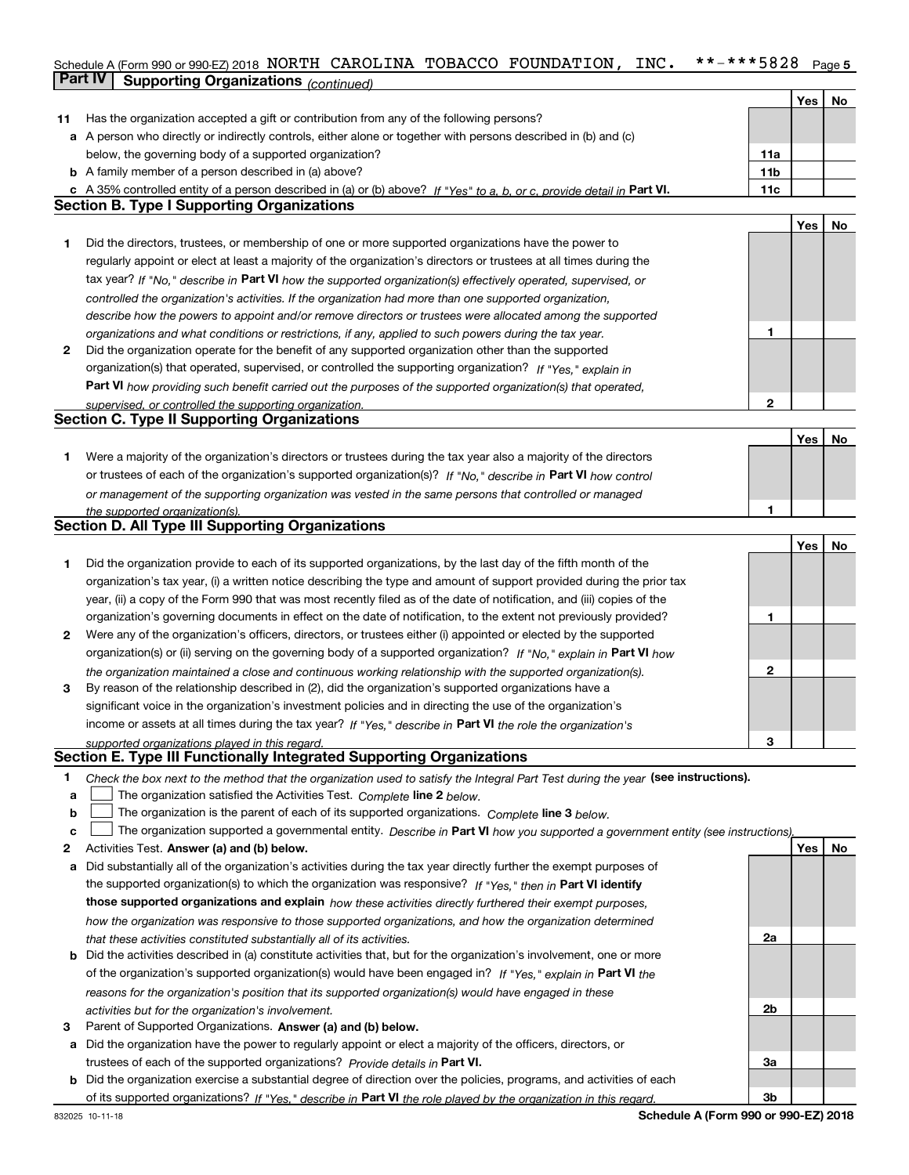# **5** Schedule A (Form 990 or 990-EZ) 2018 Page NORTH CAROLINA TOBACCO FOUNDATION, INC. \*\*-\*\*\*5828**Part IV Supporting Organizations** *(continued)*

|    |                                                                                                                                   |     | Yes   No |    |
|----|-----------------------------------------------------------------------------------------------------------------------------------|-----|----------|----|
| 11 | Has the organization accepted a gift or contribution from any of the following persons?                                           |     |          |    |
|    | a A person who directly or indirectly controls, either alone or together with persons described in (b) and (c)                    |     |          |    |
|    | below, the governing body of a supported organization?                                                                            | 11a |          |    |
|    | <b>b</b> A family member of a person described in (a) above?                                                                      | 11b |          |    |
|    | c A 35% controlled entity of a person described in (a) or (b) above? If "Yes" to a, b, or c, provide detail in Part VI.           | 11c |          |    |
|    | <b>Section B. Type I Supporting Organizations</b>                                                                                 |     |          |    |
|    |                                                                                                                                   |     |          |    |
|    |                                                                                                                                   |     | Yes      | No |
| 1  | Did the directors, trustees, or membership of one or more supported organizations have the power to                               |     |          |    |
|    | regularly appoint or elect at least a majority of the organization's directors or trustees at all times during the                |     |          |    |
|    | tax year? If "No," describe in Part VI how the supported organization(s) effectively operated, supervised, or                     |     |          |    |
|    | controlled the organization's activities. If the organization had more than one supported organization,                           |     |          |    |
|    | describe how the powers to appoint and/or remove directors or trustees were allocated among the supported                         |     |          |    |
|    | organizations and what conditions or restrictions, if any, applied to such powers during the tax year.                            | 1   |          |    |
| 2  | Did the organization operate for the benefit of any supported organization other than the supported                               |     |          |    |
|    | organization(s) that operated, supervised, or controlled the supporting organization? If "Yes," explain in                        |     |          |    |
|    | Part VI how providing such benefit carried out the purposes of the supported organization(s) that operated,                       |     |          |    |
|    | supervised, or controlled the supporting organization.                                                                            | 2   |          |    |
|    | <b>Section C. Type II Supporting Organizations</b>                                                                                |     |          |    |
|    |                                                                                                                                   |     |          |    |
|    |                                                                                                                                   |     | Yes      | No |
| 1  | Were a majority of the organization's directors or trustees during the tax year also a majority of the directors                  |     |          |    |
|    | or trustees of each of the organization's supported organization(s)? If "No," describe in Part VI how control                     |     |          |    |
|    | or management of the supporting organization was vested in the same persons that controlled or managed                            |     |          |    |
|    | the supported organization(s).                                                                                                    | 1   |          |    |
|    | <b>Section D. All Type III Supporting Organizations</b>                                                                           |     |          |    |
|    |                                                                                                                                   |     | Yes      | No |
| 1  | Did the organization provide to each of its supported organizations, by the last day of the fifth month of the                    |     |          |    |
|    | organization's tax year, (i) a written notice describing the type and amount of support provided during the prior tax             |     |          |    |
|    | year, (ii) a copy of the Form 990 that was most recently filed as of the date of notification, and (iii) copies of the            |     |          |    |
|    | organization's governing documents in effect on the date of notification, to the extent not previously provided?                  | 1   |          |    |
| 2  | Were any of the organization's officers, directors, or trustees either (i) appointed or elected by the supported                  |     |          |    |
|    | organization(s) or (ii) serving on the governing body of a supported organization? If "No," explain in Part VI how                |     |          |    |
|    |                                                                                                                                   | 2   |          |    |
|    | the organization maintained a close and continuous working relationship with the supported organization(s).                       |     |          |    |
| 3  | By reason of the relationship described in (2), did the organization's supported organizations have a                             |     |          |    |
|    | significant voice in the organization's investment policies and in directing the use of the organization's                        |     |          |    |
|    | income or assets at all times during the tax year? If "Yes," describe in Part VI the role the organization's                      |     |          |    |
|    | supported organizations played in this regard.                                                                                    | 3   |          |    |
|    | Section E. Type III Functionally Integrated Supporting Organizations                                                              |     |          |    |
| 1  | Check the box next to the method that the organization used to satisfy the Integral Part Test during the year (see instructions). |     |          |    |
| a  | The organization satisfied the Activities Test. Complete line 2 below.                                                            |     |          |    |
| b  | The organization is the parent of each of its supported organizations. Complete line 3 below.                                     |     |          |    |
| c  | The organization supported a governmental entity. Describe in Part VI how you supported a government entity (see instructions),   |     |          |    |
| 2  | Activities Test. Answer (a) and (b) below.                                                                                        |     | Yes      | No |
| а  | Did substantially all of the organization's activities during the tax year directly further the exempt purposes of                |     |          |    |
|    | the supported organization(s) to which the organization was responsive? If "Yes," then in Part VI identify                        |     |          |    |
|    | those supported organizations and explain how these activities directly furthered their exempt purposes,                          |     |          |    |
|    | how the organization was responsive to those supported organizations, and how the organization determined                         |     |          |    |
|    |                                                                                                                                   | 2a  |          |    |
|    | that these activities constituted substantially all of its activities.                                                            |     |          |    |
| b  | Did the activities described in (a) constitute activities that, but for the organization's involvement, one or more               |     |          |    |
|    | of the organization's supported organization(s) would have been engaged in? If "Yes," explain in Part VI the                      |     |          |    |
|    | reasons for the organization's position that its supported organization(s) would have engaged in these                            |     |          |    |
|    | activities but for the organization's involvement.                                                                                | 2b  |          |    |
| З  | Parent of Supported Organizations. Answer (a) and (b) below.                                                                      |     |          |    |
|    | a Did the organization have the power to regularly appoint or elect a majority of the officers, directors, or                     |     |          |    |
|    | trustees of each of the supported organizations? Provide details in Part VI.                                                      | За  |          |    |
|    | <b>b</b> Did the organization exercise a substantial degree of direction over the policies, programs, and activities of each      |     |          |    |
|    | of its supported organizations? If "Yes." describe in Part VI the role played by the organization in this regard.                 | 3b  |          |    |
|    |                                                                                                                                   |     |          |    |

**Schedule A (Form 990 or 990-EZ) 2018**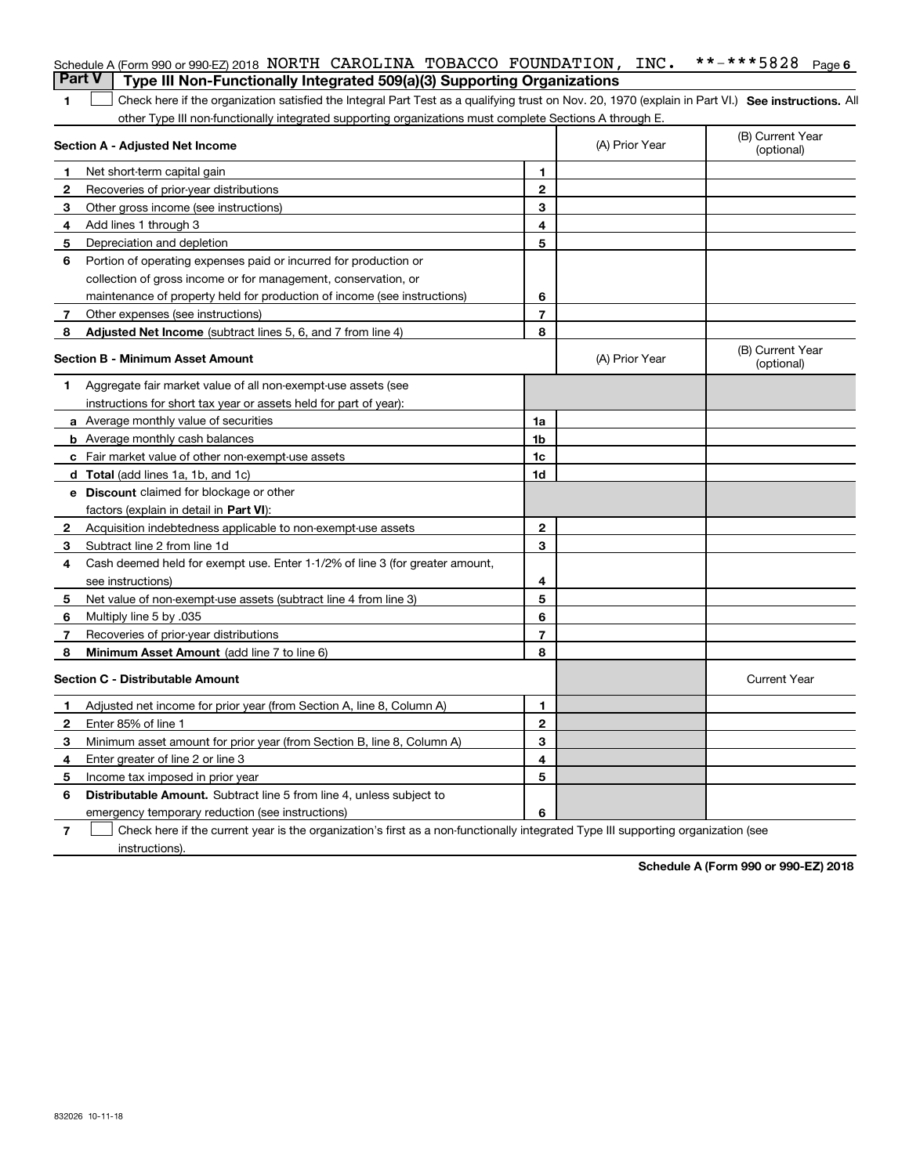|   | Schedule A (Form 990 or 990-EZ) 2018 NORTH CAROLINA TOBACCO FOUNDATION, $INC$ .<br><b>Part V</b>                                                   |                |                | **-***5828<br>Page 6           |
|---|----------------------------------------------------------------------------------------------------------------------------------------------------|----------------|----------------|--------------------------------|
|   | Type III Non-Functionally Integrated 509(a)(3) Supporting Organizations                                                                            |                |                |                                |
| 1 | Check here if the organization satisfied the Integral Part Test as a qualifying trust on Nov. 20, 1970 (explain in Part VI.) See instructions. All |                |                |                                |
|   | other Type III non-functionally integrated supporting organizations must complete Sections A through E.                                            |                |                |                                |
|   | Section A - Adjusted Net Income                                                                                                                    |                | (A) Prior Year | (B) Current Year<br>(optional) |
| 1 | Net short-term capital gain                                                                                                                        | 1              |                |                                |
| 2 | Recoveries of prior-year distributions                                                                                                             | $\overline{2}$ |                |                                |
| 3 | Other gross income (see instructions)                                                                                                              | 3              |                |                                |
| 4 | Add lines 1 through 3                                                                                                                              | 4              |                |                                |
| 5 | Depreciation and depletion                                                                                                                         | 5              |                |                                |
| 6 | Portion of operating expenses paid or incurred for production or                                                                                   |                |                |                                |
|   | collection of gross income or for management, conservation, or                                                                                     |                |                |                                |
|   | maintenance of property held for production of income (see instructions)                                                                           | 6              |                |                                |
| 7 | Other expenses (see instructions)                                                                                                                  | $\overline{7}$ |                |                                |
| 8 | <b>Adjusted Net Income</b> (subtract lines 5, 6, and 7 from line 4)                                                                                | 8              |                |                                |
|   | <b>Section B - Minimum Asset Amount</b>                                                                                                            |                | (A) Prior Year | (B) Current Year<br>(optional) |
| 1 | Aggregate fair market value of all non-exempt-use assets (see                                                                                      |                |                |                                |
|   | instructions for short tax year or assets held for part of year):                                                                                  |                |                |                                |
|   | a Average monthly value of securities                                                                                                              | 1a             |                |                                |
|   | <b>b</b> Average monthly cash balances                                                                                                             | 1b             |                |                                |
|   | c Fair market value of other non-exempt-use assets                                                                                                 | 1 <sub>c</sub> |                |                                |
|   | d Total (add lines 1a, 1b, and 1c)                                                                                                                 | 1d             |                |                                |
|   | <b>e</b> Discount claimed for blockage or other                                                                                                    |                |                |                                |
|   | factors (explain in detail in Part VI):                                                                                                            |                |                |                                |
| 2 | Acquisition indebtedness applicable to non-exempt-use assets                                                                                       | $\overline{2}$ |                |                                |
| 3 | Subtract line 2 from line 1d                                                                                                                       | 3              |                |                                |
| 4 | Cash deemed held for exempt use. Enter 1-1/2% of line 3 (for greater amount,                                                                       |                |                |                                |
|   | see instructions)                                                                                                                                  | 4              |                |                                |
| 5 | Net value of non-exempt-use assets (subtract line 4 from line 3)                                                                                   | 5              |                |                                |
| 6 | Multiply line 5 by .035                                                                                                                            | 6              |                |                                |
| 7 | Recoveries of prior-year distributions                                                                                                             | $\overline{7}$ |                |                                |
| 8 | Minimum Asset Amount (add line 7 to line 6)                                                                                                        | 8              |                |                                |
|   | <b>Section C - Distributable Amount</b>                                                                                                            |                |                | <b>Current Year</b>            |
| 1 | Adjusted net income for prior year (from Section A, line 8, Column A)                                                                              | 1              |                |                                |
| 2 | Enter 85% of line 1                                                                                                                                | $\mathbf{2}$   |                |                                |
| 3 | Minimum asset amount for prior year (from Section B, line 8, Column A)                                                                             | 3              |                |                                |
| 4 | Enter greater of line 2 or line 3                                                                                                                  | 4              |                |                                |
| 5 | Income tax imposed in prior year                                                                                                                   | 5              |                |                                |
| 6 | <b>Distributable Amount.</b> Subtract line 5 from line 4, unless subject to                                                                        |                |                |                                |
|   | emergency temporary reduction (see instructions)                                                                                                   | 6              |                |                                |
|   |                                                                                                                                                    |                |                |                                |

**7** Check here if the current year is the organization's first as a non-functionally integrated Type III supporting organization (see instructions).

**Schedule A (Form 990 or 990-EZ) 2018**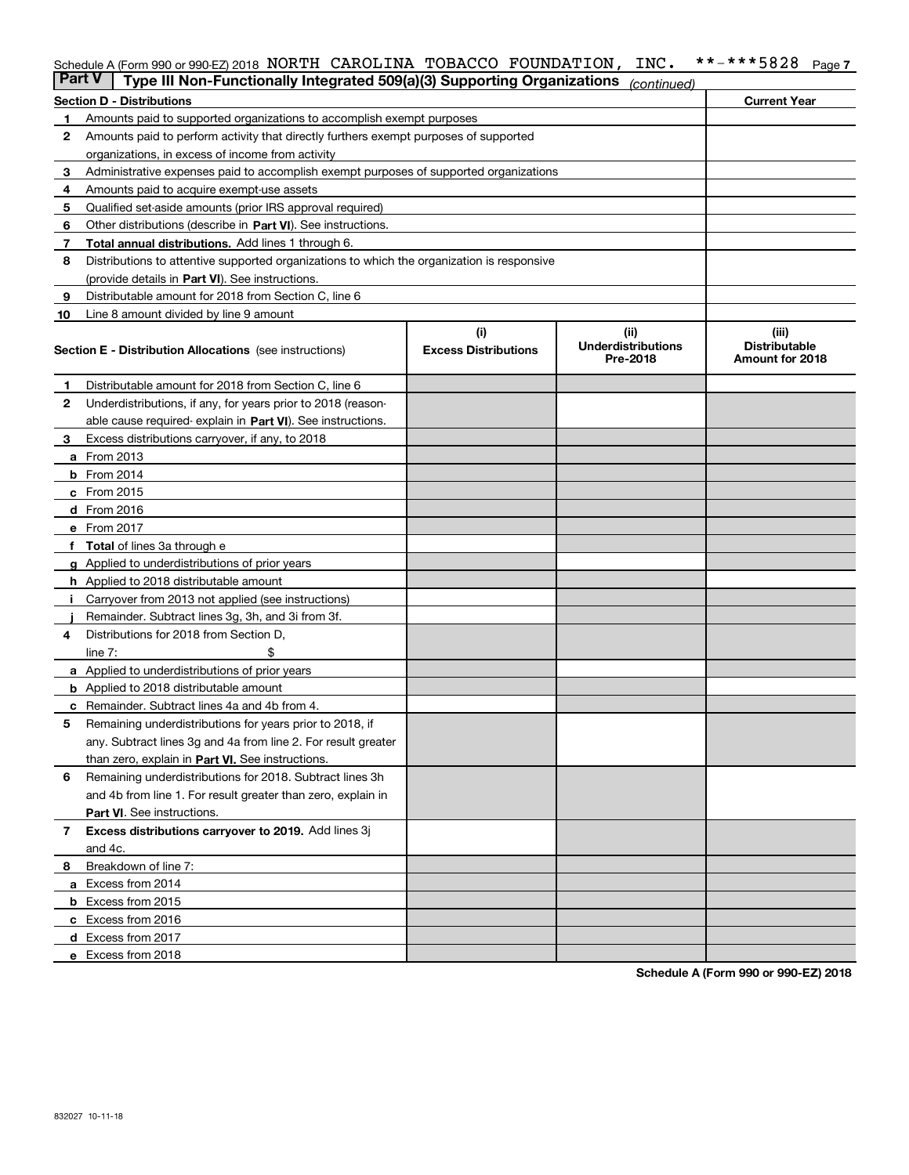## Schedule A (Form 990 or 990-EZ) 2018 NORTH CAROLINA TOBACCO FOUNDATION , INC<sub>\*</sub> \*\*-\*\*\*5828 <sub>Page 7</sub>

| <b>Part V</b> | Type III Non-Functionally Integrated 509(a)(3) Supporting Organizations                    |                                    | (continued)                                   |                                                  |
|---------------|--------------------------------------------------------------------------------------------|------------------------------------|-----------------------------------------------|--------------------------------------------------|
|               | Section D - Distributions                                                                  |                                    |                                               | <b>Current Year</b>                              |
| 1             | Amounts paid to supported organizations to accomplish exempt purposes                      |                                    |                                               |                                                  |
| 2             | Amounts paid to perform activity that directly furthers exempt purposes of supported       |                                    |                                               |                                                  |
|               | organizations, in excess of income from activity                                           |                                    |                                               |                                                  |
| 3             | Administrative expenses paid to accomplish exempt purposes of supported organizations      |                                    |                                               |                                                  |
| 4             | Amounts paid to acquire exempt-use assets                                                  |                                    |                                               |                                                  |
| 5             | Qualified set-aside amounts (prior IRS approval required)                                  |                                    |                                               |                                                  |
| 6             | Other distributions (describe in Part VI). See instructions.                               |                                    |                                               |                                                  |
| 7             | <b>Total annual distributions.</b> Add lines 1 through 6.                                  |                                    |                                               |                                                  |
| 8             | Distributions to attentive supported organizations to which the organization is responsive |                                    |                                               |                                                  |
|               | (provide details in Part VI). See instructions.                                            |                                    |                                               |                                                  |
| 9             | Distributable amount for 2018 from Section C, line 6                                       |                                    |                                               |                                                  |
| 10            | Line 8 amount divided by line 9 amount                                                     |                                    |                                               |                                                  |
|               | <b>Section E - Distribution Allocations</b> (see instructions)                             | (i)<br><b>Excess Distributions</b> | (ii)<br><b>Underdistributions</b><br>Pre-2018 | (iii)<br><b>Distributable</b><br>Amount for 2018 |
| 1             | Distributable amount for 2018 from Section C, line 6                                       |                                    |                                               |                                                  |
| 2             | Underdistributions, if any, for years prior to 2018 (reason-                               |                                    |                                               |                                                  |
|               | able cause required- explain in Part VI). See instructions.                                |                                    |                                               |                                                  |
| 3             | Excess distributions carryover, if any, to 2018                                            |                                    |                                               |                                                  |
|               | <b>a</b> From 2013                                                                         |                                    |                                               |                                                  |
|               | $b$ From 2014                                                                              |                                    |                                               |                                                  |
|               | $c$ From 2015                                                                              |                                    |                                               |                                                  |
|               | d From 2016                                                                                |                                    |                                               |                                                  |
|               | e From 2017                                                                                |                                    |                                               |                                                  |
|               | <b>Total</b> of lines 3a through e                                                         |                                    |                                               |                                                  |
|               | <b>g</b> Applied to underdistributions of prior years                                      |                                    |                                               |                                                  |
|               | <b>h</b> Applied to 2018 distributable amount                                              |                                    |                                               |                                                  |
|               | Carryover from 2013 not applied (see instructions)                                         |                                    |                                               |                                                  |
|               | Remainder. Subtract lines 3g, 3h, and 3i from 3f.                                          |                                    |                                               |                                                  |
| 4             | Distributions for 2018 from Section D,                                                     |                                    |                                               |                                                  |
|               | line $7:$                                                                                  |                                    |                                               |                                                  |
|               | <b>a</b> Applied to underdistributions of prior years                                      |                                    |                                               |                                                  |
|               | <b>b</b> Applied to 2018 distributable amount                                              |                                    |                                               |                                                  |
| c             | Remainder. Subtract lines 4a and 4b from 4.                                                |                                    |                                               |                                                  |
| 5             | Remaining underdistributions for years prior to 2018, if                                   |                                    |                                               |                                                  |
|               | any. Subtract lines 3g and 4a from line 2. For result greater                              |                                    |                                               |                                                  |
|               | than zero, explain in Part VI. See instructions.                                           |                                    |                                               |                                                  |
| 6             | Remaining underdistributions for 2018. Subtract lines 3h                                   |                                    |                                               |                                                  |
|               | and 4b from line 1. For result greater than zero, explain in                               |                                    |                                               |                                                  |
|               | Part VI. See instructions.                                                                 |                                    |                                               |                                                  |
| 7             | Excess distributions carryover to 2019. Add lines 3j                                       |                                    |                                               |                                                  |
|               | and 4c.                                                                                    |                                    |                                               |                                                  |
| 8             | Breakdown of line 7:                                                                       |                                    |                                               |                                                  |
|               | a Excess from 2014                                                                         |                                    |                                               |                                                  |
|               | <b>b</b> Excess from 2015                                                                  |                                    |                                               |                                                  |
|               | c Excess from 2016                                                                         |                                    |                                               |                                                  |
|               | d Excess from 2017                                                                         |                                    |                                               |                                                  |
|               | e Excess from 2018                                                                         |                                    |                                               |                                                  |

**Schedule A (Form 990 or 990-EZ) 2018**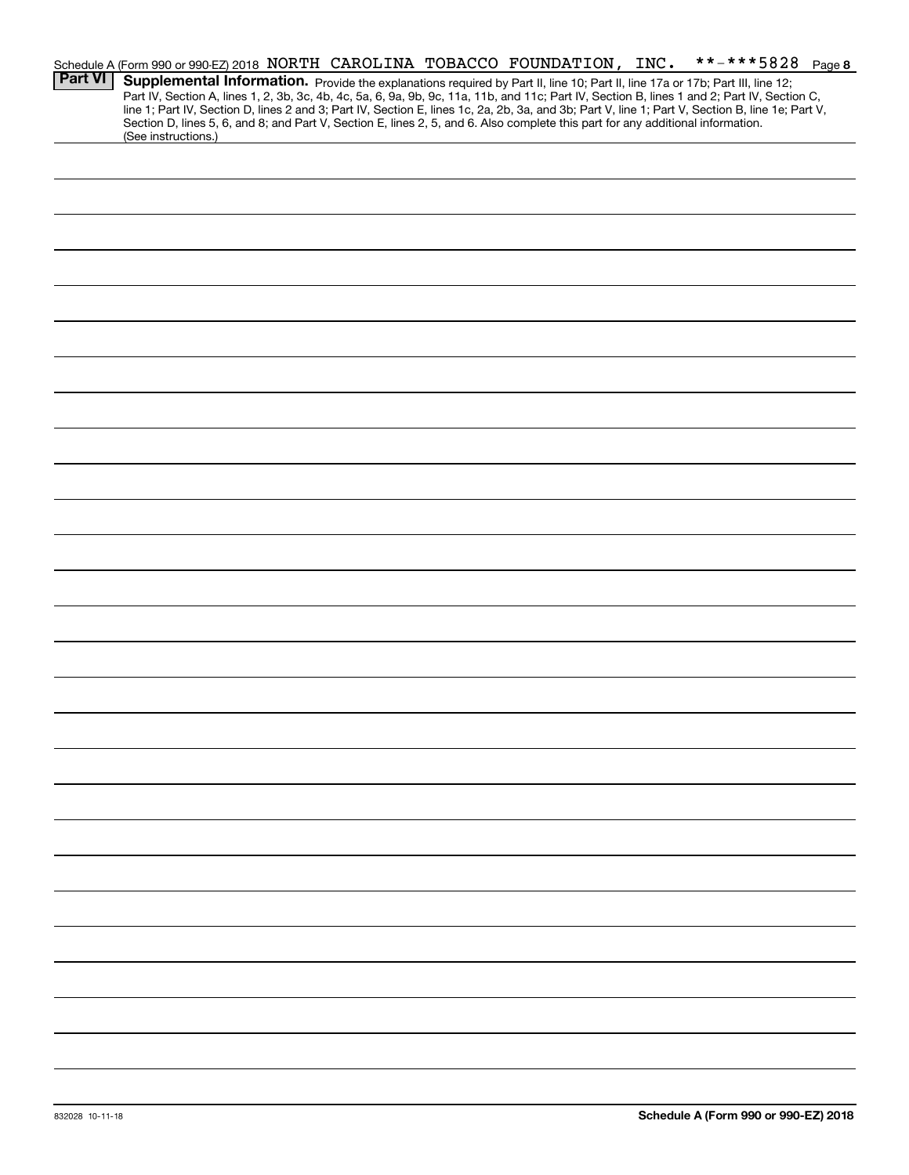|                | **-***5828 Page 8<br>Schedule A (Form 990 or 990-EZ) 2018 NORTH CAROLINA TOBACCO FOUNDATION, INC.                                                                                                                                                                                                |
|----------------|--------------------------------------------------------------------------------------------------------------------------------------------------------------------------------------------------------------------------------------------------------------------------------------------------|
| <b>Part VI</b> | Supplemental Information. Provide the explanations required by Part II, line 10; Part II, line 17a or 17b; Part III, line 12;                                                                                                                                                                    |
|                | Part IV, Section A, lines 1, 2, 3b, 3c, 4b, 4c, 5a, 6, 9a, 9b, 9c, 11a, 11b, and 11c; Part IV, Section B, lines 1 and 2; Part IV, Section C,<br>line 1; Part IV, Section D, lines 2 and 3; Part IV, Section E, lines 1c, 2a, 2b, 3a, and 3b; Part V, line 1; Part V, Section B, line 1e; Part V, |
|                | Section D, lines 5, 6, and 8; and Part V, Section E, lines 2, 5, and 6. Also complete this part for any additional information.                                                                                                                                                                  |
|                | (See instructions.)                                                                                                                                                                                                                                                                              |
|                |                                                                                                                                                                                                                                                                                                  |
|                |                                                                                                                                                                                                                                                                                                  |
|                |                                                                                                                                                                                                                                                                                                  |
|                |                                                                                                                                                                                                                                                                                                  |
|                |                                                                                                                                                                                                                                                                                                  |
|                |                                                                                                                                                                                                                                                                                                  |
|                |                                                                                                                                                                                                                                                                                                  |
|                |                                                                                                                                                                                                                                                                                                  |
|                |                                                                                                                                                                                                                                                                                                  |
|                |                                                                                                                                                                                                                                                                                                  |
|                |                                                                                                                                                                                                                                                                                                  |
|                |                                                                                                                                                                                                                                                                                                  |
|                |                                                                                                                                                                                                                                                                                                  |
|                |                                                                                                                                                                                                                                                                                                  |
|                |                                                                                                                                                                                                                                                                                                  |
|                |                                                                                                                                                                                                                                                                                                  |
|                |                                                                                                                                                                                                                                                                                                  |
|                |                                                                                                                                                                                                                                                                                                  |
|                |                                                                                                                                                                                                                                                                                                  |
|                |                                                                                                                                                                                                                                                                                                  |
|                |                                                                                                                                                                                                                                                                                                  |
|                |                                                                                                                                                                                                                                                                                                  |
|                |                                                                                                                                                                                                                                                                                                  |
|                |                                                                                                                                                                                                                                                                                                  |
|                |                                                                                                                                                                                                                                                                                                  |
|                |                                                                                                                                                                                                                                                                                                  |
|                |                                                                                                                                                                                                                                                                                                  |
|                |                                                                                                                                                                                                                                                                                                  |
|                |                                                                                                                                                                                                                                                                                                  |
|                |                                                                                                                                                                                                                                                                                                  |
|                |                                                                                                                                                                                                                                                                                                  |
|                |                                                                                                                                                                                                                                                                                                  |
|                |                                                                                                                                                                                                                                                                                                  |
|                |                                                                                                                                                                                                                                                                                                  |
|                |                                                                                                                                                                                                                                                                                                  |
|                |                                                                                                                                                                                                                                                                                                  |
|                |                                                                                                                                                                                                                                                                                                  |
|                |                                                                                                                                                                                                                                                                                                  |
|                |                                                                                                                                                                                                                                                                                                  |
|                |                                                                                                                                                                                                                                                                                                  |
|                |                                                                                                                                                                                                                                                                                                  |
|                |                                                                                                                                                                                                                                                                                                  |
|                |                                                                                                                                                                                                                                                                                                  |
|                |                                                                                                                                                                                                                                                                                                  |
|                |                                                                                                                                                                                                                                                                                                  |
|                |                                                                                                                                                                                                                                                                                                  |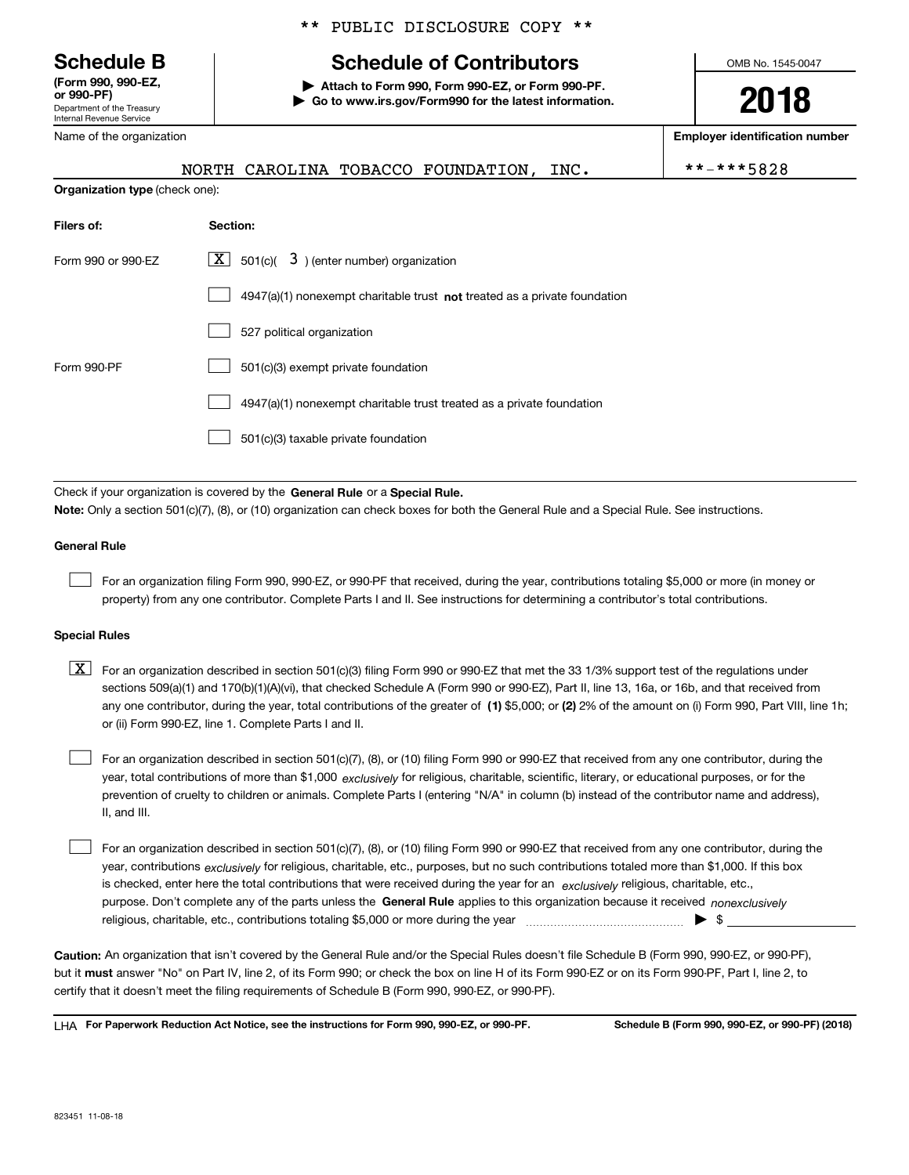Department of the Treasury Internal Revenue Service **(Form 990, 990-EZ, or 990-PF)**

Name of the organization

\*\* PUBLIC DISCLOSURE COPY \*\*

# **Schedule B Schedule of Contributors**

**| Attach to Form 990, Form 990-EZ, or Form 990-PF. | Go to www.irs.gov/Form990 for the latest information.** OMB No. 1545-0047

**2018**

**Employer identification number**

 $***-***5828$ 

|                                       | NORTH CAROLINA TOBACCO FOUNDATION,<br>INC.                                  |  |
|---------------------------------------|-----------------------------------------------------------------------------|--|
| <b>Organization type</b> (check one): |                                                                             |  |
|                                       |                                                                             |  |
| Filers of:                            | Section:                                                                    |  |
|                                       |                                                                             |  |
| Form 990 or 990-EZ                    | $\boxed{\textbf{X}}$ 501(c)( 3) (enter number) organization                 |  |
|                                       |                                                                             |  |
|                                       | $4947(a)(1)$ nonexempt charitable trust not treated as a private foundation |  |
|                                       |                                                                             |  |
|                                       | 527 political organization                                                  |  |
|                                       |                                                                             |  |

Form 990-PF 501(c)(3) exempt private foundation 4947(a)(1) nonexempt charitable trust treated as a private foundation 501(c)(3) taxable private foundation  $\mathcal{L}^{\text{max}}$  $\mathcal{L}^{\text{max}}$  $\mathcal{L}^{\text{max}}$ 

Check if your organization is covered by the **General Rule** or a **Special Rule. Note:**  Only a section 501(c)(7), (8), or (10) organization can check boxes for both the General Rule and a Special Rule. See instructions.

### **General Rule**

 $\mathcal{L}^{\text{max}}$ 

For an organization filing Form 990, 990-EZ, or 990-PF that received, during the year, contributions totaling \$5,000 or more (in money or property) from any one contributor. Complete Parts I and II. See instructions for determining a contributor's total contributions.

### **Special Rules**

any one contributor, during the year, total contributions of the greater of  $\,$  (1) \$5,000; or **(2)** 2% of the amount on (i) Form 990, Part VIII, line 1h;  $\boxed{\textbf{X}}$  For an organization described in section 501(c)(3) filing Form 990 or 990-EZ that met the 33 1/3% support test of the regulations under sections 509(a)(1) and 170(b)(1)(A)(vi), that checked Schedule A (Form 990 or 990-EZ), Part II, line 13, 16a, or 16b, and that received from or (ii) Form 990-EZ, line 1. Complete Parts I and II.

year, total contributions of more than \$1,000 *exclusively* for religious, charitable, scientific, literary, or educational purposes, or for the For an organization described in section 501(c)(7), (8), or (10) filing Form 990 or 990-EZ that received from any one contributor, during the prevention of cruelty to children or animals. Complete Parts I (entering "N/A" in column (b) instead of the contributor name and address), II, and III.  $\mathcal{L}^{\text{max}}$ 

purpose. Don't complete any of the parts unless the **General Rule** applies to this organization because it received *nonexclusively* year, contributions <sub>exclusively</sub> for religious, charitable, etc., purposes, but no such contributions totaled more than \$1,000. If this box is checked, enter here the total contributions that were received during the year for an  $\;$ exclusively religious, charitable, etc., For an organization described in section 501(c)(7), (8), or (10) filing Form 990 or 990-EZ that received from any one contributor, during the religious, charitable, etc., contributions totaling \$5,000 or more during the year  $\Box$ — $\Box$  =  $\Box$  $\mathcal{L}^{\text{max}}$ 

**Caution:**  An organization that isn't covered by the General Rule and/or the Special Rules doesn't file Schedule B (Form 990, 990-EZ, or 990-PF),  **must** but it answer "No" on Part IV, line 2, of its Form 990; or check the box on line H of its Form 990-EZ or on its Form 990-PF, Part I, line 2, to certify that it doesn't meet the filing requirements of Schedule B (Form 990, 990-EZ, or 990-PF).

**For Paperwork Reduction Act Notice, see the instructions for Form 990, 990-EZ, or 990-PF. Schedule B (Form 990, 990-EZ, or 990-PF) (2018)** LHA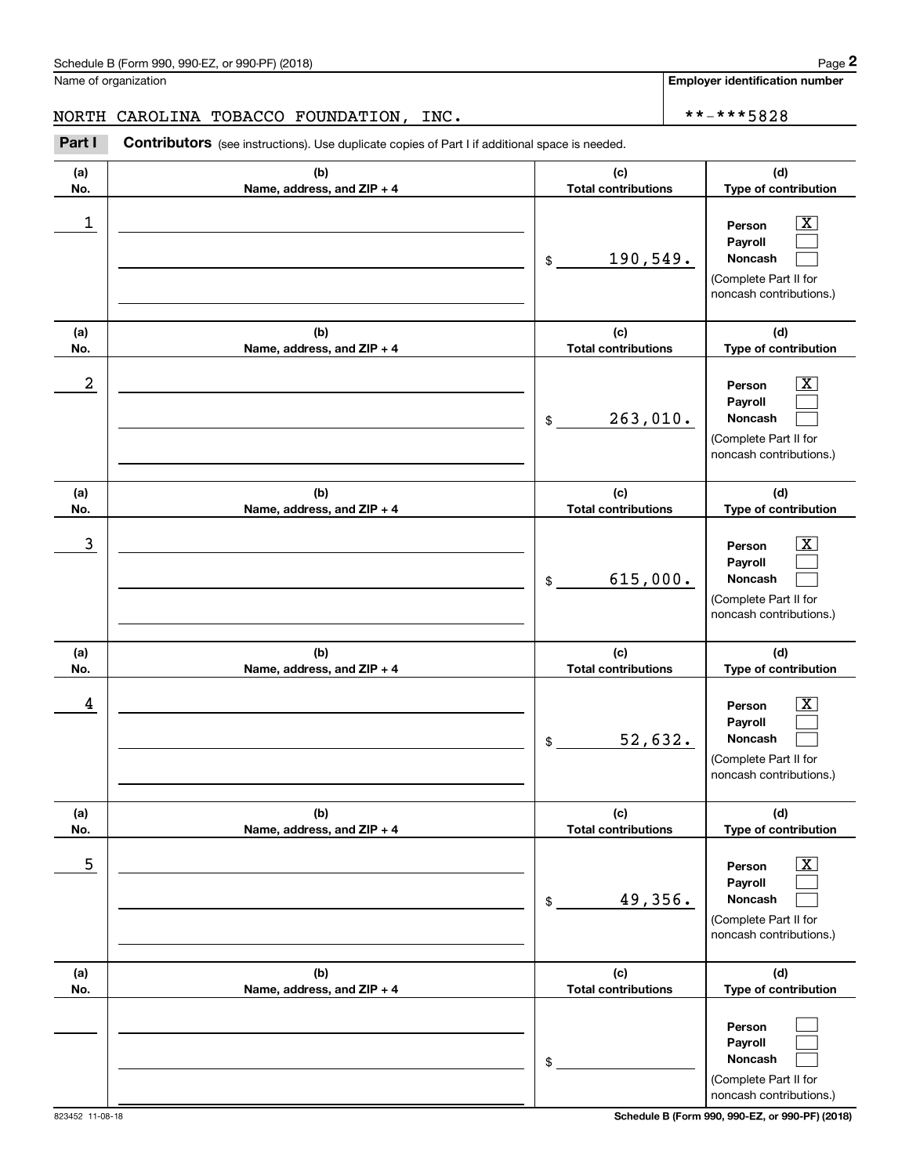# NORTH CAROLINA TOBACCO FOUNDATION, INC. \*\*-\*\*\*5828

|                         | Schedule B (Form 990, 990-EZ, or 990-PF) (2018)                                                       |                                              | Page 2                                                                                                                              |  |  |  |
|-------------------------|-------------------------------------------------------------------------------------------------------|----------------------------------------------|-------------------------------------------------------------------------------------------------------------------------------------|--|--|--|
| Name of organization    |                                                                                                       |                                              | <b>Employer identification number</b>                                                                                               |  |  |  |
|                         | NORTH CAROLINA TOBACCO FOUNDATION,<br>INC.                                                            |                                              | **-***5828                                                                                                                          |  |  |  |
| Part I                  | <b>Contributors</b> (see instructions). Use duplicate copies of Part I if additional space is needed. |                                              |                                                                                                                                     |  |  |  |
| (a)<br>No.              | (b)<br>Name, address, and ZIP + 4                                                                     | (c)<br><b>Total contributions</b>            | (d)<br>Type of contribution                                                                                                         |  |  |  |
| 1                       |                                                                                                       | 190,549.<br>\$                               | $\overline{\mathbf{X}}$<br>Person<br>Payroll<br>Noncash<br>(Complete Part II for<br>noncash contributions.)                         |  |  |  |
| (a)                     | (b)                                                                                                   | (c)                                          | (d)                                                                                                                                 |  |  |  |
| No.<br>$\boldsymbol{2}$ | Name, address, and ZIP + 4                                                                            | <b>Total contributions</b><br>263,010.<br>\$ | Type of contribution<br>$\overline{\mathbf{X}}$<br>Person<br>Payroll<br>Noncash<br>(Complete Part II for<br>noncash contributions.) |  |  |  |
| (a)<br>No.              | (b)<br>Name, address, and ZIP + 4                                                                     | (c)<br><b>Total contributions</b>            | (d)<br>Type of contribution                                                                                                         |  |  |  |
| 3                       |                                                                                                       | 615,000.<br>\$                               | $\overline{\mathbf{X}}$<br>Person<br>Payroll<br>Noncash<br>(Complete Part II for<br>noncash contributions.)                         |  |  |  |
| (a)<br>No.              | (b)<br>Name, address, and ZIP + 4                                                                     | (c)<br><b>Total contributions</b>            | (d)<br>Type of contribution                                                                                                         |  |  |  |
| 4                       |                                                                                                       | 52,632.<br>\$                                | $\mathbf{X}$<br>Person<br>Payroll<br>Noncash<br>(Complete Part II for<br>noncash contributions.)                                    |  |  |  |
| (a)<br>No.              | (b)<br>Name, address, and ZIP + 4                                                                     | (c)<br><b>Total contributions</b>            | (d)<br>Type of contribution                                                                                                         |  |  |  |
| 5                       |                                                                                                       | 49,356.<br>\$                                | $\boxed{\text{X}}$<br>Person<br>Payroll<br>Noncash<br>(Complete Part II for<br>noncash contributions.)                              |  |  |  |
| (a)<br>No.              | (b)<br>Name, address, and ZIP + 4                                                                     | (c)<br><b>Total contributions</b>            | (d)<br>Type of contribution                                                                                                         |  |  |  |
|                         |                                                                                                       | \$                                           | Person<br>Payroll<br>Noncash<br>(Complete Part II for<br>noncash contributions.)                                                    |  |  |  |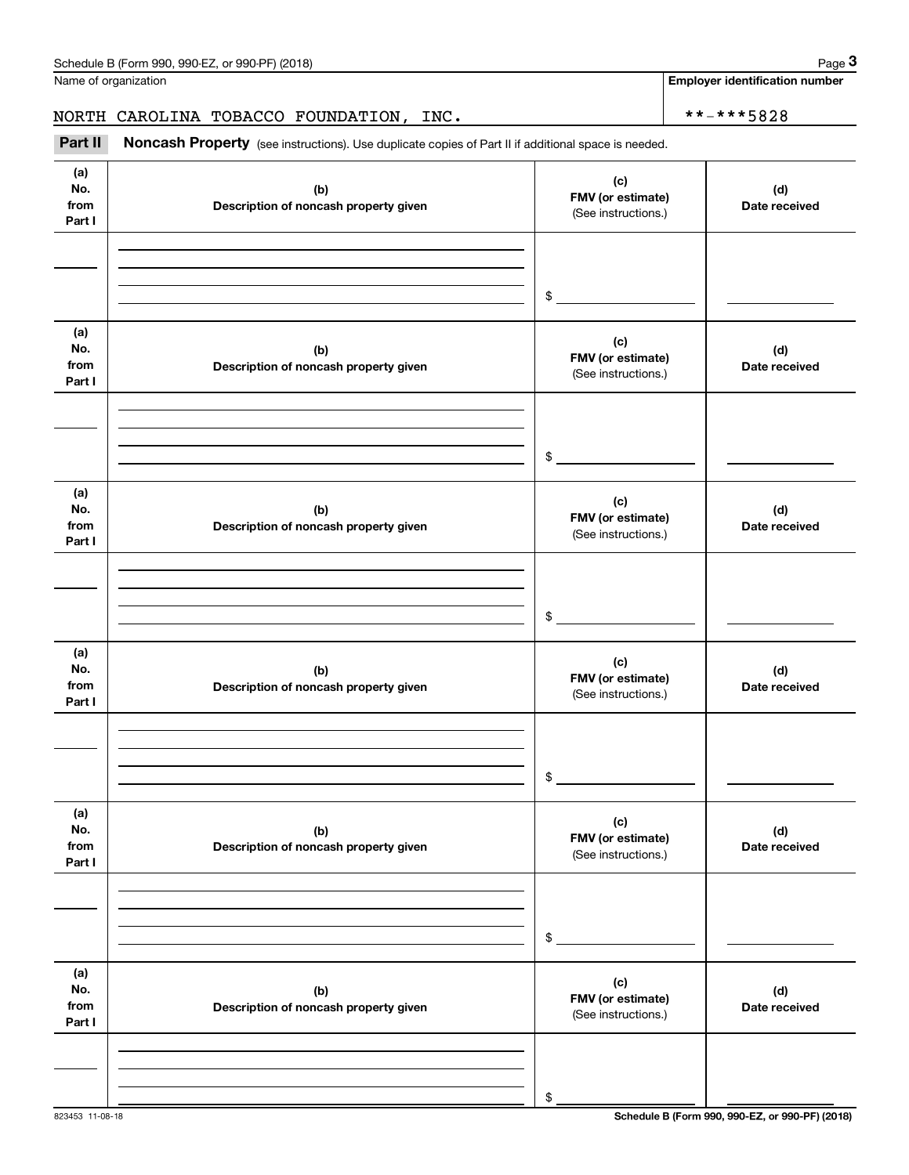**Employer identification number**

# NORTH CAROLINA TOBACCO FOUNDATION, INC.  $\left\vert \frac{***-**5828}{*+***5828}\right\vert$

Chedule B (Form 990, 990-EZ, or 990-PF) (2018)<br>
Iame of organization<br> **3Part II** CAROLINA TOBACCO FOUNDATION, INC.<br> **Part II** Noncash Property (see instructions). Use duplicate copies of Part II if additional space is need

| (a)<br>No.<br>from<br>Part I | (b)<br>Description of noncash property given | (c)<br>FMV (or estimate)<br>(See instructions.) | (d)<br>Date received |
|------------------------------|----------------------------------------------|-------------------------------------------------|----------------------|
|                              |                                              |                                                 |                      |
|                              |                                              | $\frac{1}{2}$                                   |                      |
| (a)<br>No.<br>from<br>Part I | (b)<br>Description of noncash property given | (c)<br>FMV (or estimate)<br>(See instructions.) | (d)<br>Date received |
|                              |                                              |                                                 |                      |
|                              |                                              | $\frac{1}{2}$                                   |                      |
| (a)<br>No.<br>from<br>Part I | (b)<br>Description of noncash property given | (c)<br>FMV (or estimate)<br>(See instructions.) | (d)<br>Date received |
|                              |                                              |                                                 |                      |
|                              |                                              | $\frac{1}{2}$                                   |                      |
| (a)<br>No.<br>from<br>Part I | (b)<br>Description of noncash property given | (c)<br>FMV (or estimate)<br>(See instructions.) | (d)<br>Date received |
|                              |                                              |                                                 |                      |
|                              |                                              | $\frac{1}{2}$                                   |                      |
| (a)<br>No.<br>from<br>Part I | (b)<br>Description of noncash property given | (c)<br>FMV (or estimate)<br>(See instructions.) | (d)<br>Date received |
|                              |                                              |                                                 |                      |
|                              |                                              | \$                                              |                      |
| (a)<br>No.<br>from<br>Part I | (b)<br>Description of noncash property given | (c)<br>FMV (or estimate)<br>(See instructions.) | (d)<br>Date received |
|                              |                                              |                                                 |                      |
|                              |                                              | \$                                              |                      |

823453 11-08-18 **Schedule B (Form 990, 990-EZ, or 990-PF) (2018)**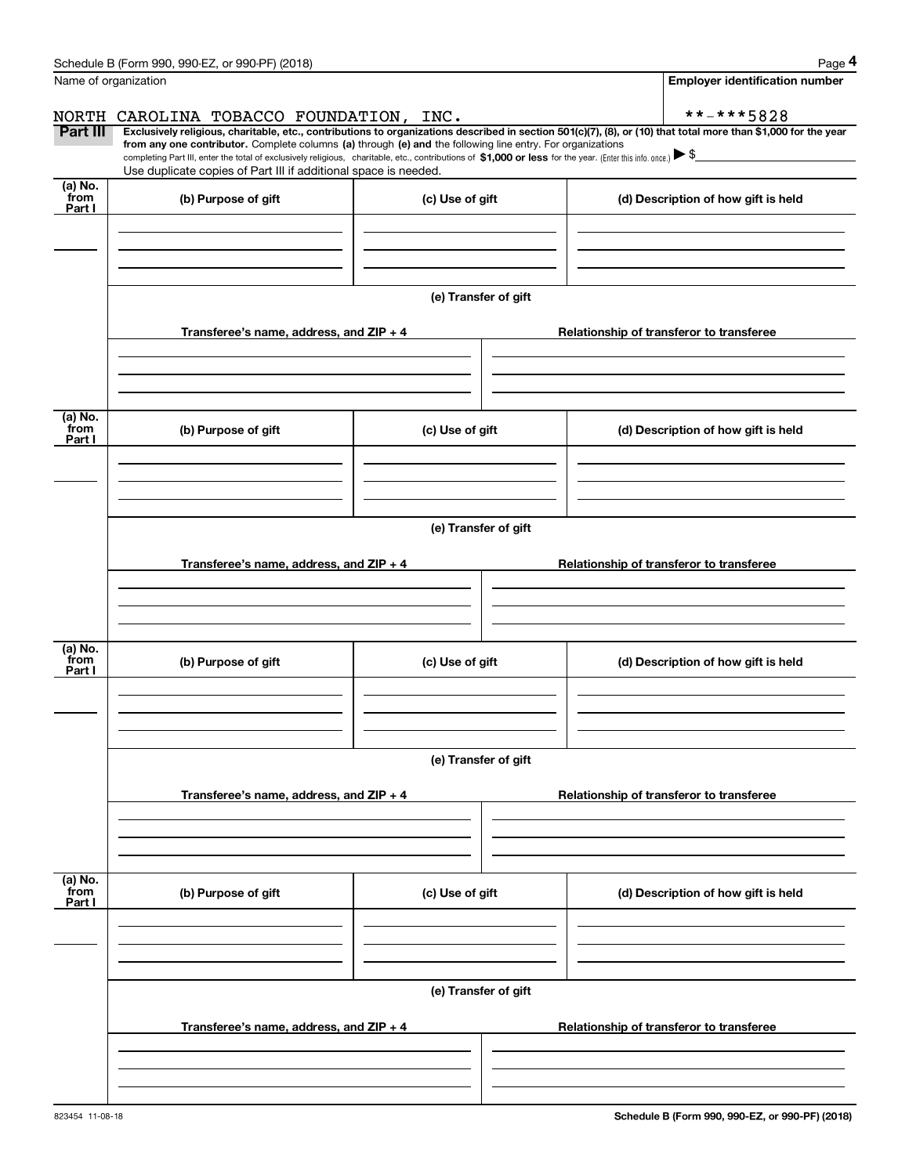|                 | Schedule B (Form 990, 990-EZ, or 990-PF) (2018)                                                                                                                                                                                                                              |                      |                                          | Page 4                                   |  |  |
|-----------------|------------------------------------------------------------------------------------------------------------------------------------------------------------------------------------------------------------------------------------------------------------------------------|----------------------|------------------------------------------|------------------------------------------|--|--|
|                 | Name of organization                                                                                                                                                                                                                                                         |                      |                                          | <b>Employer identification number</b>    |  |  |
| NORTH           | CAROLINA TOBACCO FOUNDATION, INC.                                                                                                                                                                                                                                            |                      |                                          | **-***5828                               |  |  |
| Part III        | Exclusively religious, charitable, etc., contributions to organizations described in section 501(c)(7), (8), or (10) that total more than \$1,000 for the year<br>from any one contributor. Complete columns (a) through (e) and the following line entry. For organizations |                      |                                          |                                          |  |  |
|                 | completing Part III, enter the total of exclusively religious, charitable, etc., contributions of \$1,000 or less for the year. (Enter this info. once.) \\$<br>Use duplicate copies of Part III if additional space is needed.                                              |                      |                                          |                                          |  |  |
| (a) No.         |                                                                                                                                                                                                                                                                              |                      |                                          |                                          |  |  |
| from<br>Part I  | (b) Purpose of gift                                                                                                                                                                                                                                                          | (c) Use of gift      |                                          | (d) Description of how gift is held      |  |  |
|                 |                                                                                                                                                                                                                                                                              |                      |                                          |                                          |  |  |
|                 |                                                                                                                                                                                                                                                                              |                      |                                          |                                          |  |  |
|                 |                                                                                                                                                                                                                                                                              |                      |                                          |                                          |  |  |
|                 |                                                                                                                                                                                                                                                                              | (e) Transfer of gift |                                          |                                          |  |  |
|                 | Transferee's name, address, and ZIP + 4                                                                                                                                                                                                                                      |                      |                                          | Relationship of transferor to transferee |  |  |
|                 |                                                                                                                                                                                                                                                                              |                      |                                          |                                          |  |  |
|                 |                                                                                                                                                                                                                                                                              |                      |                                          |                                          |  |  |
|                 |                                                                                                                                                                                                                                                                              |                      |                                          |                                          |  |  |
| (a) No.<br>from | (b) Purpose of gift                                                                                                                                                                                                                                                          | (c) Use of gift      |                                          | (d) Description of how gift is held      |  |  |
| Part I          |                                                                                                                                                                                                                                                                              |                      |                                          |                                          |  |  |
|                 |                                                                                                                                                                                                                                                                              |                      |                                          |                                          |  |  |
|                 |                                                                                                                                                                                                                                                                              |                      |                                          |                                          |  |  |
|                 |                                                                                                                                                                                                                                                                              | (e) Transfer of gift |                                          |                                          |  |  |
|                 |                                                                                                                                                                                                                                                                              |                      |                                          |                                          |  |  |
|                 | Transferee's name, address, and ZIP + 4                                                                                                                                                                                                                                      |                      | Relationship of transferor to transferee |                                          |  |  |
|                 |                                                                                                                                                                                                                                                                              |                      |                                          |                                          |  |  |
|                 |                                                                                                                                                                                                                                                                              |                      |                                          |                                          |  |  |
| (a) No.         |                                                                                                                                                                                                                                                                              |                      |                                          |                                          |  |  |
| from<br>Part I  | (b) Purpose of gift                                                                                                                                                                                                                                                          | (c) Use of gift      |                                          | (d) Description of how gift is held      |  |  |
|                 |                                                                                                                                                                                                                                                                              |                      |                                          |                                          |  |  |
|                 |                                                                                                                                                                                                                                                                              |                      |                                          |                                          |  |  |
|                 |                                                                                                                                                                                                                                                                              |                      |                                          |                                          |  |  |
|                 | (e) Transfer of gift                                                                                                                                                                                                                                                         |                      |                                          |                                          |  |  |
|                 | Transferee's name, address, and $ZIP + 4$                                                                                                                                                                                                                                    |                      |                                          | Relationship of transferor to transferee |  |  |
|                 |                                                                                                                                                                                                                                                                              |                      |                                          |                                          |  |  |
|                 |                                                                                                                                                                                                                                                                              |                      |                                          |                                          |  |  |
|                 |                                                                                                                                                                                                                                                                              |                      |                                          |                                          |  |  |
| (a) No.<br>from | (b) Purpose of gift<br>(c) Use of gift                                                                                                                                                                                                                                       |                      |                                          | (d) Description of how gift is held      |  |  |
| Part I          |                                                                                                                                                                                                                                                                              |                      |                                          |                                          |  |  |
|                 |                                                                                                                                                                                                                                                                              |                      |                                          |                                          |  |  |
|                 |                                                                                                                                                                                                                                                                              |                      |                                          |                                          |  |  |
|                 |                                                                                                                                                                                                                                                                              | (e) Transfer of gift |                                          |                                          |  |  |
|                 |                                                                                                                                                                                                                                                                              |                      |                                          |                                          |  |  |
|                 | Transferee's name, address, and $ZIP + 4$                                                                                                                                                                                                                                    |                      |                                          | Relationship of transferor to transferee |  |  |
|                 |                                                                                                                                                                                                                                                                              |                      |                                          |                                          |  |  |
|                 |                                                                                                                                                                                                                                                                              |                      |                                          |                                          |  |  |
|                 |                                                                                                                                                                                                                                                                              |                      |                                          |                                          |  |  |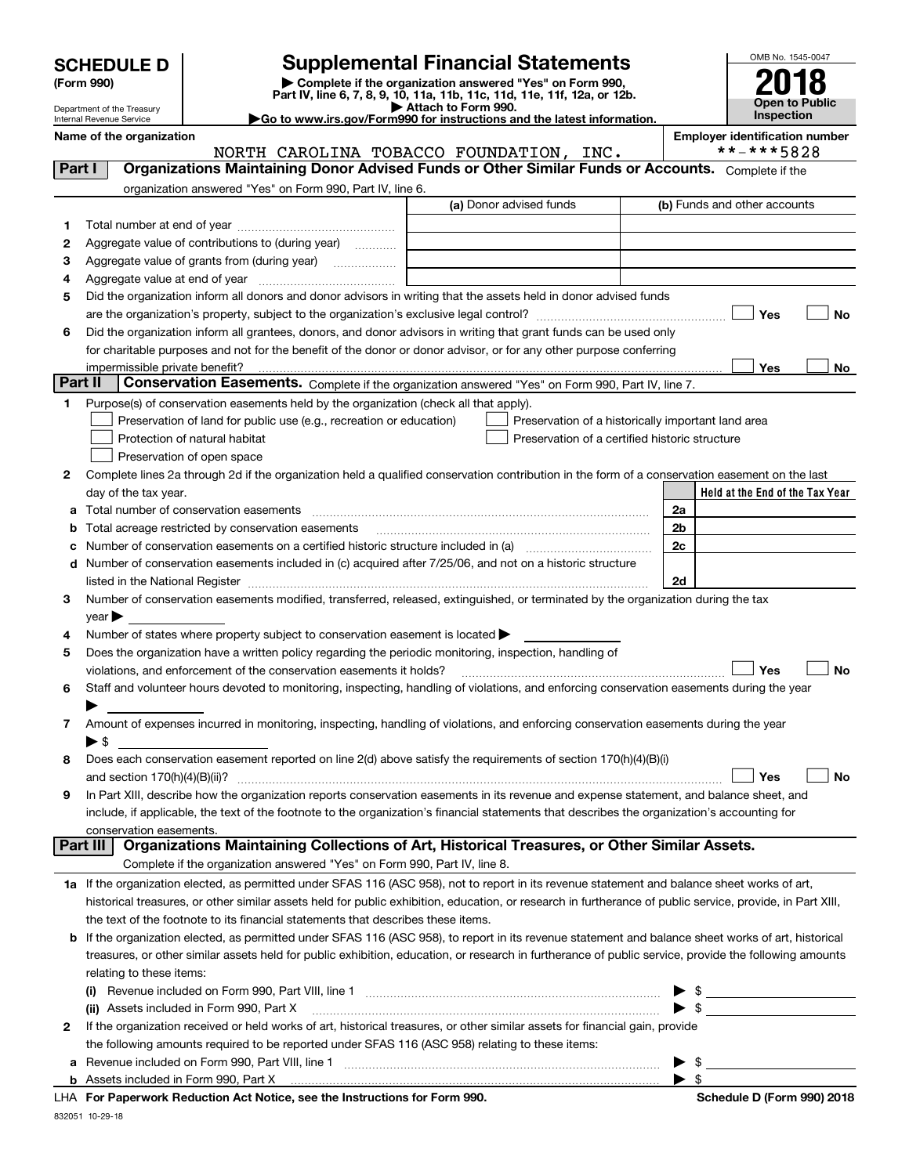|  | <b>SCHEDULE D</b> |  |  |  |
|--|-------------------|--|--|--|
|--|-------------------|--|--|--|

# **SCHEDULE D Supplemental Financial Statements**<br> **Supplemental Financial Statements**<br> **P** Complete if the organization answered "Yes" on Form 990,

(Form 990)<br>
Pepartment of the Treasury<br>
Department of the Treasury<br>
Department of the Treasury<br>
Department of the Treasury<br> **Co to www.irs.gov/Form990 for instructions and the latest information.**<br> **Co to www.irs.gov/Form9** 



Department of the Treasury Internal Revenue Service

|  |  | Name of the organization |
|--|--|--------------------------|
|--|--|--------------------------|

NORTH CAROLINA TOBACCO FOUNDATION, INC. \*\*-\*\*\*5828

**Name of the organization Employer identification number**

| Part I  | Organizations Maintaining Donor Advised Funds or Other Similar Funds or Accounts. Complete if the                                                                                                                |                         |                                                    |
|---------|------------------------------------------------------------------------------------------------------------------------------------------------------------------------------------------------------------------|-------------------------|----------------------------------------------------|
|         | organization answered "Yes" on Form 990, Part IV, line 6.                                                                                                                                                        | (a) Donor advised funds | (b) Funds and other accounts                       |
| 1.      |                                                                                                                                                                                                                  |                         |                                                    |
| 2       | Aggregate value of contributions to (during year)                                                                                                                                                                |                         |                                                    |
| 3       |                                                                                                                                                                                                                  |                         |                                                    |
| 4       |                                                                                                                                                                                                                  |                         |                                                    |
| 5       | Did the organization inform all donors and donor advisors in writing that the assets held in donor advised funds                                                                                                 |                         |                                                    |
|         |                                                                                                                                                                                                                  |                         | Yes<br>No                                          |
| 6       | Did the organization inform all grantees, donors, and donor advisors in writing that grant funds can be used only                                                                                                |                         |                                                    |
|         | for charitable purposes and not for the benefit of the donor or donor advisor, or for any other purpose conferring                                                                                               |                         |                                                    |
|         |                                                                                                                                                                                                                  |                         | Yes<br>No                                          |
| Part II | Conservation Easements. Complete if the organization answered "Yes" on Form 990, Part IV, line 7.                                                                                                                |                         |                                                    |
| 1       | Purpose(s) of conservation easements held by the organization (check all that apply).                                                                                                                            |                         |                                                    |
|         | Preservation of land for public use (e.g., recreation or education)                                                                                                                                              |                         | Preservation of a historically important land area |
|         | Protection of natural habitat                                                                                                                                                                                    |                         | Preservation of a certified historic structure     |
|         | Preservation of open space                                                                                                                                                                                       |                         |                                                    |
| 2       | Complete lines 2a through 2d if the organization held a qualified conservation contribution in the form of a conservation easement on the last                                                                   |                         |                                                    |
|         | day of the tax year.                                                                                                                                                                                             |                         | Held at the End of the Tax Year                    |
| а       | Total number of conservation easements                                                                                                                                                                           |                         | 2a                                                 |
| b       | Total acreage restricted by conservation easements                                                                                                                                                               |                         | 2b                                                 |
| с       |                                                                                                                                                                                                                  |                         | 2c                                                 |
| d       | Number of conservation easements included in (c) acquired after 7/25/06, and not on a historic structure                                                                                                         |                         |                                                    |
|         |                                                                                                                                                                                                                  |                         | 2d                                                 |
| 3       | Number of conservation easements modified, transferred, released, extinguished, or terminated by the organization during the tax                                                                                 |                         |                                                    |
|         | $year \blacktriangleright$                                                                                                                                                                                       |                         |                                                    |
| 4       | Number of states where property subject to conservation easement is located $\blacktriangleright$                                                                                                                |                         |                                                    |
| 5       | Does the organization have a written policy regarding the periodic monitoring, inspection, handling of                                                                                                           |                         | Yes                                                |
|         | violations, and enforcement of the conservation easements it holds?<br>Staff and volunteer hours devoted to monitoring, inspecting, handling of violations, and enforcing conservation easements during the year |                         | No                                                 |
| 6       |                                                                                                                                                                                                                  |                         |                                                    |
| 7       | Amount of expenses incurred in monitoring, inspecting, handling of violations, and enforcing conservation easements during the year                                                                              |                         |                                                    |
|         | $\blacktriangleright$ \$                                                                                                                                                                                         |                         |                                                    |
| 8       | Does each conservation easement reported on line 2(d) above satisfy the requirements of section 170(h)(4)(B)(i)                                                                                                  |                         |                                                    |
|         |                                                                                                                                                                                                                  |                         | Yes<br>No                                          |
| 9       | In Part XIII, describe how the organization reports conservation easements in its revenue and expense statement, and balance sheet, and                                                                          |                         |                                                    |
|         | include, if applicable, the text of the footnote to the organization's financial statements that describes the organization's accounting for                                                                     |                         |                                                    |
|         | conservation easements.                                                                                                                                                                                          |                         |                                                    |
|         | Organizations Maintaining Collections of Art, Historical Treasures, or Other Similar Assets.<br>Part III                                                                                                         |                         |                                                    |
|         | Complete if the organization answered "Yes" on Form 990, Part IV, line 8.                                                                                                                                        |                         |                                                    |
|         | 1a If the organization elected, as permitted under SFAS 116 (ASC 958), not to report in its revenue statement and balance sheet works of art,                                                                    |                         |                                                    |
|         | historical treasures, or other similar assets held for public exhibition, education, or research in furtherance of public service, provide, in Part XIII,                                                        |                         |                                                    |
|         | the text of the footnote to its financial statements that describes these items.                                                                                                                                 |                         |                                                    |
| b       | If the organization elected, as permitted under SFAS 116 (ASC 958), to report in its revenue statement and balance sheet works of art, historical                                                                |                         |                                                    |
|         | treasures, or other similar assets held for public exhibition, education, or research in furtherance of public service, provide the following amounts                                                            |                         |                                                    |
|         | relating to these items:                                                                                                                                                                                         |                         |                                                    |
|         | (i) Revenue included on Form 990, Part VIII, line 1 <b>Manual Community Contract Community</b> Revenue included on Form 990, Part VIII, line 1                                                                   |                         | $\frac{1}{2}$                                      |
|         | (ii) Assets included in Form 990, Part X                                                                                                                                                                         |                         | $\triangleright$ \$                                |
| 2       | If the organization received or held works of art, historical treasures, or other similar assets for financial gain, provide                                                                                     |                         |                                                    |
|         | the following amounts required to be reported under SFAS 116 (ASC 958) relating to these items:                                                                                                                  |                         |                                                    |
| а       | Revenue included on Form 990, Part VIII, line 1 [2000] [2000] [2000] [2000] [3000] [3000] [3000] [3000] [3000                                                                                                    |                         | $\frac{1}{2}$<br>▶                                 |
|         |                                                                                                                                                                                                                  |                         | $\blacktriangleright$ \$                           |

**For Paperwork Reduction Act Notice, see the Instructions for Form 990. Schedule D (Form 990) 2018** LHA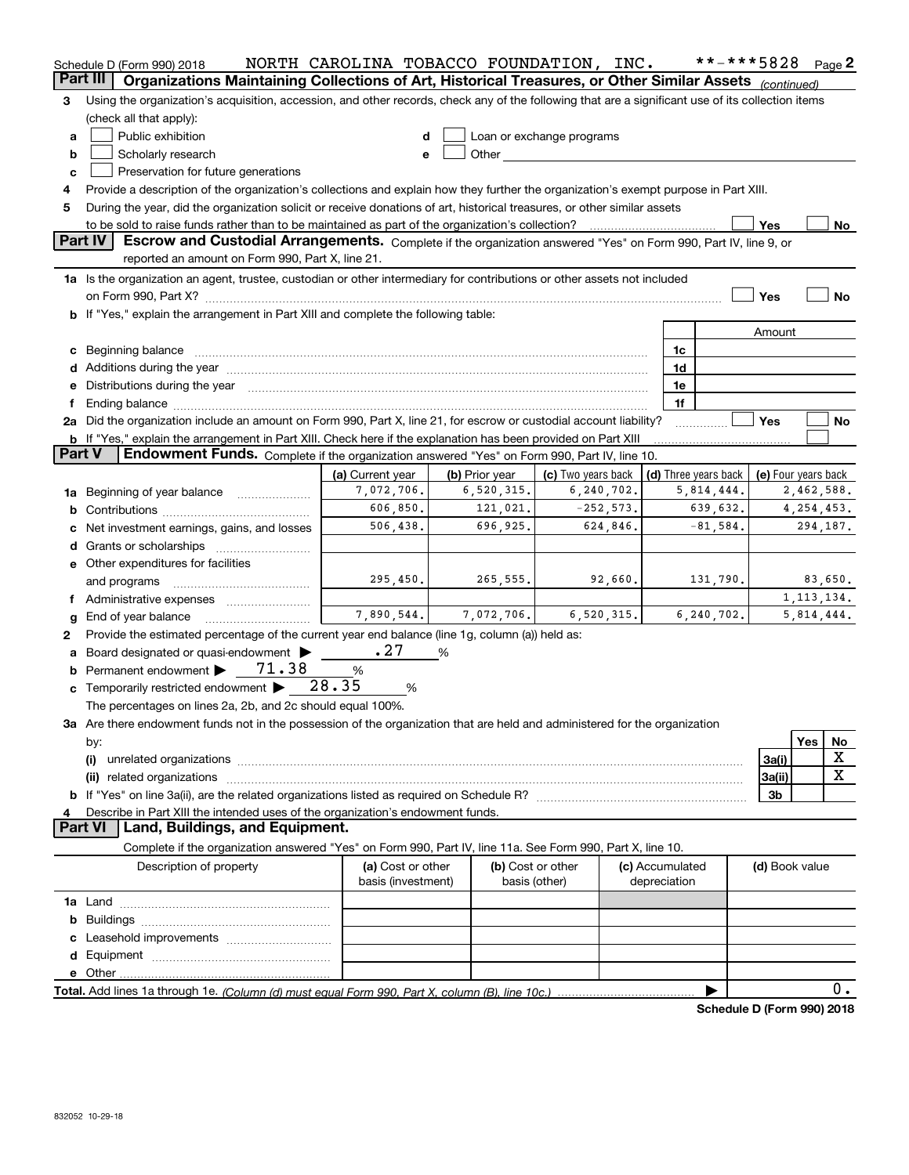| Part III                                                                                                                             | Schedule D (Form 990) 2018<br>Organizations Maintaining Collections of Art, Historical Treasures, or Other Similar Assets (continued)                                                                                          | NORTH CAROLINA TOBACCO FOUNDATION, INC. |                |                                                                                                                                                                                                                               |                 | **-***5828           |                         |            | Page $2$ |  |
|--------------------------------------------------------------------------------------------------------------------------------------|--------------------------------------------------------------------------------------------------------------------------------------------------------------------------------------------------------------------------------|-----------------------------------------|----------------|-------------------------------------------------------------------------------------------------------------------------------------------------------------------------------------------------------------------------------|-----------------|----------------------|-------------------------|------------|----------|--|
| з                                                                                                                                    | Using the organization's acquisition, accession, and other records, check any of the following that are a significant use of its collection items                                                                              |                                         |                |                                                                                                                                                                                                                               |                 |                      |                         |            |          |  |
|                                                                                                                                      | (check all that apply):                                                                                                                                                                                                        |                                         |                |                                                                                                                                                                                                                               |                 |                      |                         |            |          |  |
| a                                                                                                                                    | Public exhibition                                                                                                                                                                                                              |                                         |                | Loan or exchange programs                                                                                                                                                                                                     |                 |                      |                         |            |          |  |
| b                                                                                                                                    | Scholarly research                                                                                                                                                                                                             | e                                       |                | Other and the contract of the contract of the contract of the contract of the contract of the contract of the contract of the contract of the contract of the contract of the contract of the contract of the contract of the |                 |                      |                         |            |          |  |
| c                                                                                                                                    | Preservation for future generations                                                                                                                                                                                            |                                         |                |                                                                                                                                                                                                                               |                 |                      |                         |            |          |  |
| Provide a description of the organization's collections and explain how they further the organization's exempt purpose in Part XIII. |                                                                                                                                                                                                                                |                                         |                |                                                                                                                                                                                                                               |                 |                      |                         |            |          |  |
| 5                                                                                                                                    | During the year, did the organization solicit or receive donations of art, historical treasures, or other similar assets                                                                                                       |                                         |                |                                                                                                                                                                                                                               |                 |                      |                         |            |          |  |
|                                                                                                                                      | to be sold to raise funds rather than to be maintained as part of the organization's collection?                                                                                                                               |                                         |                |                                                                                                                                                                                                                               |                 |                      | Yes                     |            | No       |  |
|                                                                                                                                      | <b>Part IV</b><br>Escrow and Custodial Arrangements. Complete if the organization answered "Yes" on Form 990, Part IV, line 9, or                                                                                              |                                         |                |                                                                                                                                                                                                                               |                 |                      |                         |            |          |  |
|                                                                                                                                      | reported an amount on Form 990, Part X, line 21.                                                                                                                                                                               |                                         |                |                                                                                                                                                                                                                               |                 |                      |                         |            |          |  |
|                                                                                                                                      | 1a Is the organization an agent, trustee, custodian or other intermediary for contributions or other assets not included                                                                                                       |                                         |                |                                                                                                                                                                                                                               |                 |                      |                         |            |          |  |
|                                                                                                                                      |                                                                                                                                                                                                                                |                                         |                |                                                                                                                                                                                                                               |                 |                      | Yes                     |            | No       |  |
|                                                                                                                                      | b If "Yes," explain the arrangement in Part XIII and complete the following table:                                                                                                                                             |                                         |                |                                                                                                                                                                                                                               |                 |                      |                         |            |          |  |
|                                                                                                                                      |                                                                                                                                                                                                                                |                                         |                |                                                                                                                                                                                                                               |                 |                      | Amount                  |            |          |  |
|                                                                                                                                      | c Beginning balance measurements and the contract of the contract of the contract of the contract of the contract of the contract of the contract of the contract of the contract of the contract of the contract of the contr |                                         |                |                                                                                                                                                                                                                               | 1c              |                      |                         |            |          |  |
|                                                                                                                                      |                                                                                                                                                                                                                                |                                         |                |                                                                                                                                                                                                                               | 1d              |                      |                         |            |          |  |
|                                                                                                                                      | e Distributions during the year manufactured and continuum and contact the year manufactured and contact the year manufactured and contact the year manufactured and contact the year manufactured and contact the year manufa |                                         |                |                                                                                                                                                                                                                               | 1e              |                      |                         |            |          |  |
|                                                                                                                                      |                                                                                                                                                                                                                                |                                         |                |                                                                                                                                                                                                                               | 1f              |                      |                         |            |          |  |
|                                                                                                                                      | 2a Did the organization include an amount on Form 990, Part X, line 21, for escrow or custodial account liability?                                                                                                             |                                         |                |                                                                                                                                                                                                                               |                 |                      | Yes                     |            | No       |  |
|                                                                                                                                      | <b>b</b> If "Yes," explain the arrangement in Part XIII. Check here if the explanation has been provided on Part XIII                                                                                                          |                                         |                |                                                                                                                                                                                                                               |                 |                      |                         |            |          |  |
| <b>Part V</b>                                                                                                                        | Endowment Funds. Complete if the organization answered "Yes" on Form 990, Part IV, line 10.                                                                                                                                    |                                         |                |                                                                                                                                                                                                                               |                 |                      |                         |            |          |  |
|                                                                                                                                      |                                                                                                                                                                                                                                | (a) Current year                        | (b) Prior year | (c) Two years back                                                                                                                                                                                                            |                 | (d) Three years back | (e) Four years back     |            |          |  |
| 1a                                                                                                                                   | Beginning of year balance                                                                                                                                                                                                      | 7,072,706.                              | 6,520,315.     | 6,240,702.                                                                                                                                                                                                                    |                 | 5,814,444.           |                         | 2,462,588. |          |  |
|                                                                                                                                      |                                                                                                                                                                                                                                | 606,850.                                | 121,021.       | $-252,573.$                                                                                                                                                                                                                   |                 | 639,632.             | 4, 254, 453.            |            |          |  |
|                                                                                                                                      | Net investment earnings, gains, and losses                                                                                                                                                                                     | 506,438.                                | 696,925.       | 624,846.                                                                                                                                                                                                                      |                 | $-81,584.$           |                         | 294,187.   |          |  |
|                                                                                                                                      |                                                                                                                                                                                                                                |                                         |                |                                                                                                                                                                                                                               |                 |                      |                         |            |          |  |
|                                                                                                                                      | e Other expenditures for facilities                                                                                                                                                                                            |                                         |                |                                                                                                                                                                                                                               |                 |                      |                         |            |          |  |
|                                                                                                                                      | and programs                                                                                                                                                                                                                   | 295,450.                                | 265,555.       | 92,660.                                                                                                                                                                                                                       |                 | 131,790.             | 83,650.<br>1, 113, 134. |            |          |  |
|                                                                                                                                      | f Administrative expenses                                                                                                                                                                                                      | 7,890,544.                              |                |                                                                                                                                                                                                                               | 6, 240, 702.    |                      |                         |            |          |  |
| g                                                                                                                                    | End of year balance                                                                                                                                                                                                            |                                         | 7,072,706.     | 6,520,315.                                                                                                                                                                                                                    |                 |                      |                         | 5,814,444. |          |  |
| 2                                                                                                                                    | Provide the estimated percentage of the current year end balance (line 1g, column (a)) held as:                                                                                                                                | .27                                     |                |                                                                                                                                                                                                                               |                 |                      |                         |            |          |  |
|                                                                                                                                      | Board designated or quasi-endowment<br>71.38                                                                                                                                                                                   |                                         | %              |                                                                                                                                                                                                                               |                 |                      |                         |            |          |  |
|                                                                                                                                      | <b>b</b> Permanent endowment $\blacktriangleright$                                                                                                                                                                             | $\%$                                    |                |                                                                                                                                                                                                                               |                 |                      |                         |            |          |  |
|                                                                                                                                      | <b>c</b> Temporarily restricted endowment $\triangleright$ 28.35                                                                                                                                                               | %                                       |                |                                                                                                                                                                                                                               |                 |                      |                         |            |          |  |
|                                                                                                                                      | The percentages on lines 2a, 2b, and 2c should equal 100%.                                                                                                                                                                     |                                         |                |                                                                                                                                                                                                                               |                 |                      |                         |            |          |  |
|                                                                                                                                      | 3a Are there endowment funds not in the possession of the organization that are held and administered for the organization                                                                                                     |                                         |                |                                                                                                                                                                                                                               |                 |                      |                         | Yes        | No       |  |
|                                                                                                                                      | by:<br>(i)                                                                                                                                                                                                                     |                                         |                |                                                                                                                                                                                                                               |                 |                      | 3a(i)                   |            | X        |  |
|                                                                                                                                      |                                                                                                                                                                                                                                |                                         |                |                                                                                                                                                                                                                               |                 |                      | 3a(ii)                  |            | X        |  |
|                                                                                                                                      |                                                                                                                                                                                                                                |                                         |                |                                                                                                                                                                                                                               |                 |                      | 3b                      |            |          |  |
|                                                                                                                                      | Describe in Part XIII the intended uses of the organization's endowment funds.                                                                                                                                                 |                                         |                |                                                                                                                                                                                                                               |                 |                      |                         |            |          |  |
|                                                                                                                                      | <b>Part VI</b><br>Land, Buildings, and Equipment.                                                                                                                                                                              |                                         |                |                                                                                                                                                                                                                               |                 |                      |                         |            |          |  |
|                                                                                                                                      | Complete if the organization answered "Yes" on Form 990, Part IV, line 11a. See Form 990, Part X, line 10.                                                                                                                     |                                         |                |                                                                                                                                                                                                                               |                 |                      |                         |            |          |  |
|                                                                                                                                      | Description of property                                                                                                                                                                                                        | (a) Cost or other                       |                | (b) Cost or other                                                                                                                                                                                                             | (c) Accumulated |                      | (d) Book value          |            |          |  |
|                                                                                                                                      |                                                                                                                                                                                                                                | basis (investment)                      |                | basis (other)                                                                                                                                                                                                                 | depreciation    |                      |                         |            |          |  |
|                                                                                                                                      |                                                                                                                                                                                                                                |                                         |                |                                                                                                                                                                                                                               |                 |                      |                         |            |          |  |
|                                                                                                                                      |                                                                                                                                                                                                                                |                                         |                |                                                                                                                                                                                                                               |                 |                      |                         |            |          |  |
|                                                                                                                                      |                                                                                                                                                                                                                                |                                         |                |                                                                                                                                                                                                                               |                 |                      |                         |            |          |  |
|                                                                                                                                      |                                                                                                                                                                                                                                |                                         |                |                                                                                                                                                                                                                               |                 |                      |                         |            |          |  |
|                                                                                                                                      |                                                                                                                                                                                                                                |                                         |                |                                                                                                                                                                                                                               |                 |                      |                         |            |          |  |
|                                                                                                                                      |                                                                                                                                                                                                                                |                                         |                |                                                                                                                                                                                                                               |                 |                      |                         |            | 0.       |  |
|                                                                                                                                      |                                                                                                                                                                                                                                |                                         |                |                                                                                                                                                                                                                               |                 |                      |                         |            |          |  |

**Schedule D (Form 990) 2018**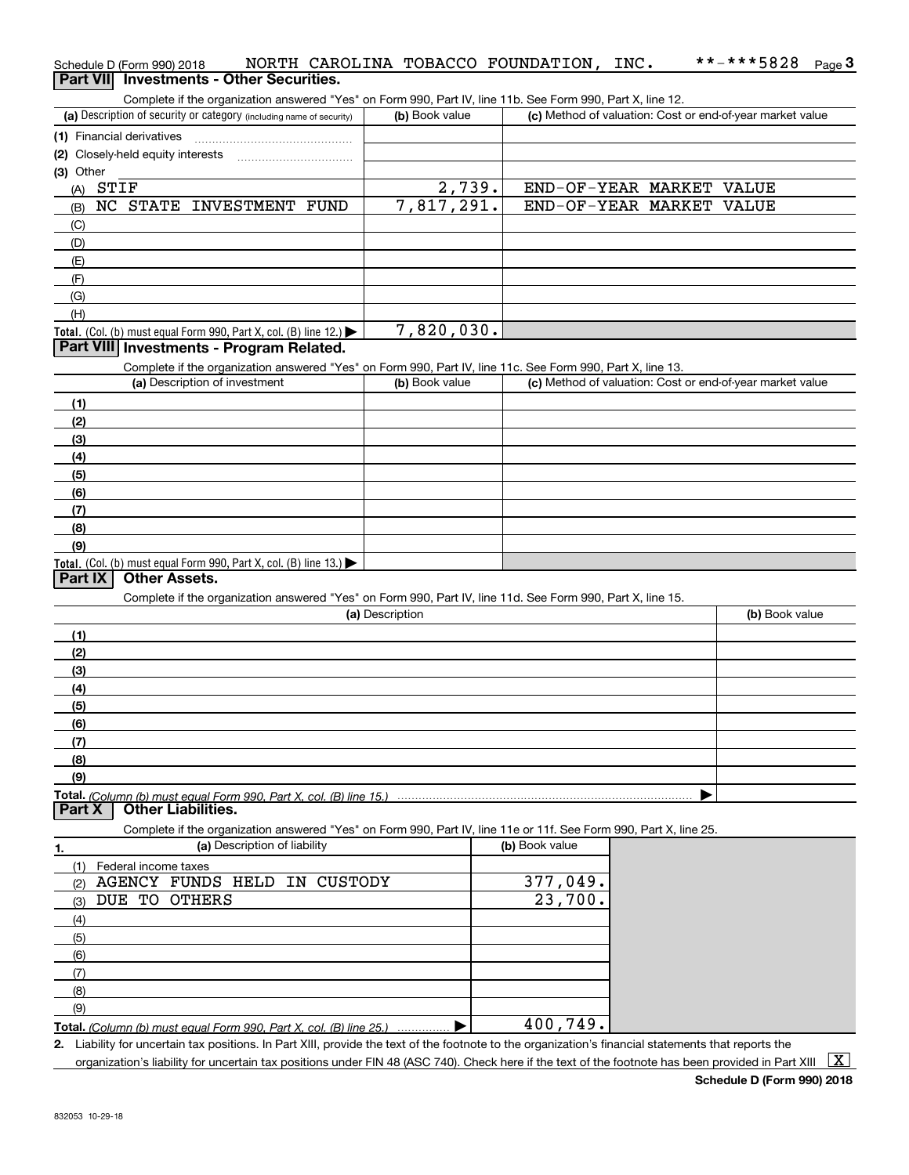|           | Schedule D (Form 990) 2018        |                      |                           |                                                                                        |                |                 |                | NORTH CAROLINA TOBACCO FOUNDATION,                                                                                                                   | INC. | **-***5828                                                | $Page$ <sup>3</sup> |
|-----------|-----------------------------------|----------------------|---------------------------|----------------------------------------------------------------------------------------|----------------|-----------------|----------------|------------------------------------------------------------------------------------------------------------------------------------------------------|------|-----------------------------------------------------------|---------------------|
|           |                                   |                      |                           | Part VII Investments - Other Securities.                                               |                |                 |                |                                                                                                                                                      |      |                                                           |                     |
|           |                                   |                      |                           |                                                                                        |                |                 |                | Complete if the organization answered "Yes" on Form 990, Part IV, line 11b. See Form 990, Part X, line 12.                                           |      |                                                           |                     |
|           |                                   |                      |                           | (a) Description of security or category (including name of security)                   |                |                 | (b) Book value |                                                                                                                                                      |      | (c) Method of valuation: Cost or end-of-year market value |                     |
|           | (1) Financial derivatives         |                      |                           |                                                                                        |                |                 |                |                                                                                                                                                      |      |                                                           |                     |
|           | (2) Closely-held equity interests |                      |                           |                                                                                        |                |                 |                |                                                                                                                                                      |      |                                                           |                     |
| (3) Other |                                   |                      |                           |                                                                                        |                |                 |                |                                                                                                                                                      |      |                                                           |                     |
| (A)       | STIF                              |                      |                           |                                                                                        |                |                 | 2,739.         | END-OF-YEAR MARKET VALUE                                                                                                                             |      |                                                           |                     |
| (B)       |                                   |                      |                           | NC STATE INVESTMENT FUND                                                               |                |                 | 7,817,291.     | END-OF-YEAR MARKET VALUE                                                                                                                             |      |                                                           |                     |
| (C)       |                                   |                      |                           |                                                                                        |                |                 |                |                                                                                                                                                      |      |                                                           |                     |
| (D)       |                                   |                      |                           |                                                                                        |                |                 |                |                                                                                                                                                      |      |                                                           |                     |
| (E)       |                                   |                      |                           |                                                                                        |                |                 |                |                                                                                                                                                      |      |                                                           |                     |
| (F)       |                                   |                      |                           |                                                                                        |                |                 |                |                                                                                                                                                      |      |                                                           |                     |
| (G)       |                                   |                      |                           |                                                                                        |                |                 |                |                                                                                                                                                      |      |                                                           |                     |
| (H)       |                                   |                      |                           |                                                                                        |                |                 |                |                                                                                                                                                      |      |                                                           |                     |
|           |                                   |                      |                           | Total. (Col. (b) must equal Form 990, Part X, col. (B) line 12.) $\blacktriangleright$ |                |                 | 7,820,030.     |                                                                                                                                                      |      |                                                           |                     |
|           |                                   |                      |                           | Part VIII Investments - Program Related.                                               |                |                 |                |                                                                                                                                                      |      |                                                           |                     |
|           |                                   |                      |                           |                                                                                        |                |                 |                | Complete if the organization answered "Yes" on Form 990, Part IV, line 11c. See Form 990, Part X, line 13.                                           |      |                                                           |                     |
|           |                                   |                      |                           | (a) Description of investment                                                          |                |                 | (b) Book value |                                                                                                                                                      |      | (c) Method of valuation: Cost or end-of-year market value |                     |
| (1)       |                                   |                      |                           |                                                                                        |                |                 |                |                                                                                                                                                      |      |                                                           |                     |
| (2)       |                                   |                      |                           |                                                                                        |                |                 |                |                                                                                                                                                      |      |                                                           |                     |
| (3)       |                                   |                      |                           |                                                                                        |                |                 |                |                                                                                                                                                      |      |                                                           |                     |
| (4)       |                                   |                      |                           |                                                                                        |                |                 |                |                                                                                                                                                      |      |                                                           |                     |
| (5)       |                                   |                      |                           |                                                                                        |                |                 |                |                                                                                                                                                      |      |                                                           |                     |
| (6)       |                                   |                      |                           |                                                                                        |                |                 |                |                                                                                                                                                      |      |                                                           |                     |
| (7)       |                                   |                      |                           |                                                                                        |                |                 |                |                                                                                                                                                      |      |                                                           |                     |
| (8)       |                                   |                      |                           |                                                                                        |                |                 |                |                                                                                                                                                      |      |                                                           |                     |
| (9)       |                                   |                      |                           |                                                                                        |                |                 |                |                                                                                                                                                      |      |                                                           |                     |
|           |                                   |                      |                           | Total. (Col. (b) must equal Form 990, Part X, col. (B) line $13.$ )                    |                |                 |                |                                                                                                                                                      |      |                                                           |                     |
| Part IX   |                                   | <b>Other Assets.</b> |                           |                                                                                        |                |                 |                |                                                                                                                                                      |      |                                                           |                     |
|           |                                   |                      |                           |                                                                                        |                |                 |                | Complete if the organization answered "Yes" on Form 990, Part IV, line 11d. See Form 990, Part X, line 15.                                           |      |                                                           |                     |
|           |                                   |                      |                           |                                                                                        |                | (a) Description |                |                                                                                                                                                      |      | (b) Book value                                            |                     |
| (1)       |                                   |                      |                           |                                                                                        |                |                 |                |                                                                                                                                                      |      |                                                           |                     |
| (2)       |                                   |                      |                           |                                                                                        |                |                 |                |                                                                                                                                                      |      |                                                           |                     |
| (3)       |                                   |                      |                           |                                                                                        |                |                 |                |                                                                                                                                                      |      |                                                           |                     |
| (4)       |                                   |                      |                           |                                                                                        |                |                 |                |                                                                                                                                                      |      |                                                           |                     |
| (5)       |                                   |                      |                           |                                                                                        |                |                 |                |                                                                                                                                                      |      |                                                           |                     |
| (6)       |                                   |                      |                           |                                                                                        |                |                 |                |                                                                                                                                                      |      |                                                           |                     |
| (7)       |                                   |                      |                           |                                                                                        |                |                 |                |                                                                                                                                                      |      |                                                           |                     |
| (8)       |                                   |                      |                           |                                                                                        |                |                 |                |                                                                                                                                                      |      |                                                           |                     |
| (9)       |                                   |                      |                           |                                                                                        |                |                 |                |                                                                                                                                                      |      |                                                           |                     |
| Part X    |                                   |                      | <b>Other Liabilities.</b> | Total. (Column (b) must equal Form 990. Part X, col. (B) line 15.)                     |                |                 |                |                                                                                                                                                      |      |                                                           |                     |
|           |                                   |                      |                           |                                                                                        |                |                 |                | Complete if the organization answered "Yes" on Form 990, Part IV, line 11e or 11f. See Form 990, Part X, line 25.                                    |      |                                                           |                     |
| 1.        |                                   |                      |                           | (a) Description of liability                                                           |                |                 |                | (b) Book value                                                                                                                                       |      |                                                           |                     |
| (1)       | Federal income taxes              |                      |                           |                                                                                        |                |                 |                |                                                                                                                                                      |      |                                                           |                     |
| (2)       |                                   |                      |                           | AGENCY FUNDS HELD IN                                                                   | <b>CUSTODY</b> |                 |                | $\overline{377}$ , 049.                                                                                                                              |      |                                                           |                     |
| (3)       | DUE TO OTHERS                     |                      |                           |                                                                                        |                |                 |                | 23,700.                                                                                                                                              |      |                                                           |                     |
| (4)       |                                   |                      |                           |                                                                                        |                |                 |                |                                                                                                                                                      |      |                                                           |                     |
| (5)       |                                   |                      |                           |                                                                                        |                |                 |                |                                                                                                                                                      |      |                                                           |                     |
| (6)       |                                   |                      |                           |                                                                                        |                |                 |                |                                                                                                                                                      |      |                                                           |                     |
| (7)       |                                   |                      |                           |                                                                                        |                |                 |                |                                                                                                                                                      |      |                                                           |                     |
| (8)       |                                   |                      |                           |                                                                                        |                |                 |                |                                                                                                                                                      |      |                                                           |                     |
| (9)       |                                   |                      |                           |                                                                                        |                |                 |                |                                                                                                                                                      |      |                                                           |                     |
|           |                                   |                      |                           | Total. (Column (b) must equal Form 990, Part X, col. (B) line 25.)                     |                |                 |                | 400, 749.                                                                                                                                            |      |                                                           |                     |
|           |                                   |                      |                           |                                                                                        |                |                 |                | 2. Liability for uncertain tax positions. In Part XIII, provide the text of the footnote to the organization's financial statements that reports the |      |                                                           |                     |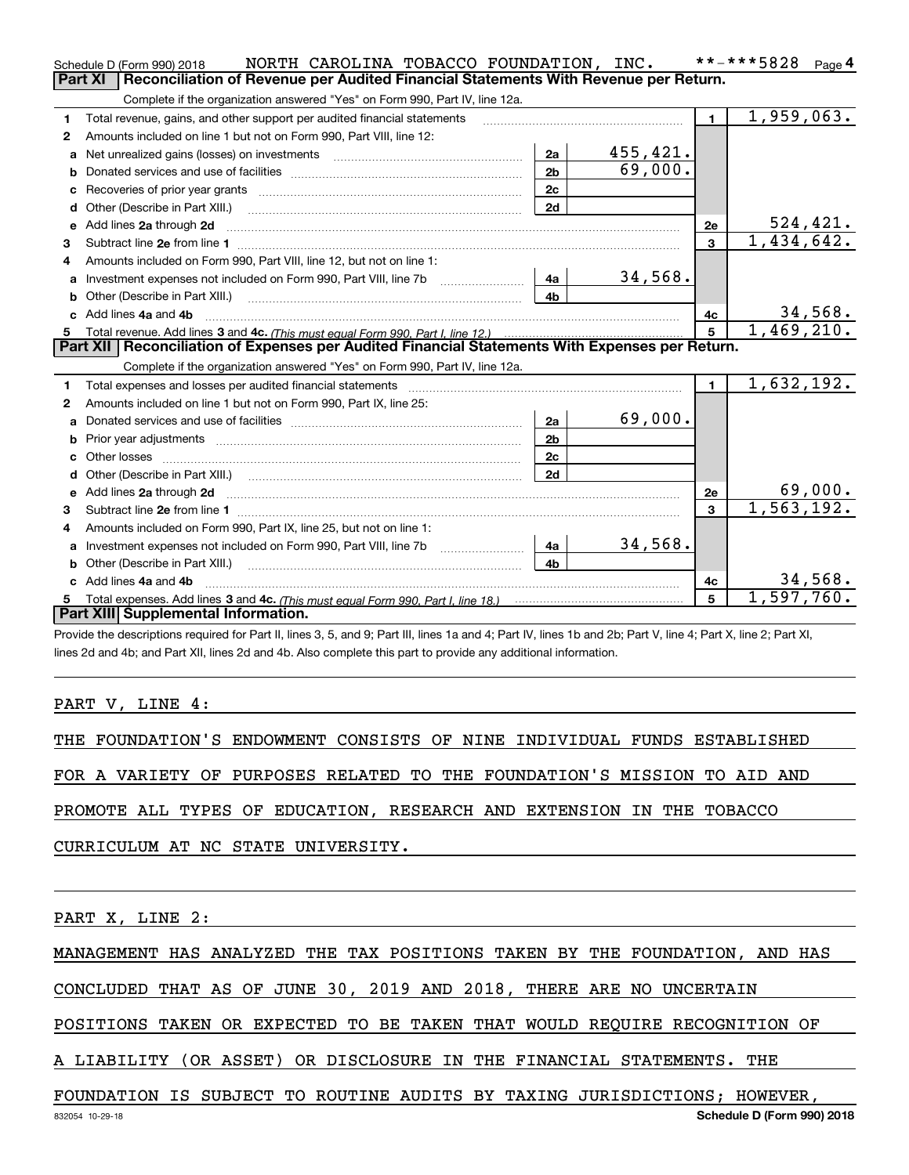|    | NORTH CAROLINA TOBACCO FOUNDATION, INC.<br>Schedule D (Form 990) 2018                                                                                                                                                               |                |           |                | **-***5828<br>Page $4$  |
|----|-------------------------------------------------------------------------------------------------------------------------------------------------------------------------------------------------------------------------------------|----------------|-----------|----------------|-------------------------|
|    | <b>Part XI</b><br>Reconciliation of Revenue per Audited Financial Statements With Revenue per Return.                                                                                                                               |                |           |                |                         |
|    | Complete if the organization answered "Yes" on Form 990, Part IV, line 12a.                                                                                                                                                         |                |           |                |                         |
| 1  | Total revenue, gains, and other support per audited financial statements                                                                                                                                                            |                |           | $\blacksquare$ | $\overline{1,959},063.$ |
| 2  | Amounts included on line 1 but not on Form 990, Part VIII, line 12:                                                                                                                                                                 |                |           |                |                         |
| a  | Net unrealized gains (losses) on investments [11] matter than the unrealized gains (losses) on investments                                                                                                                          | 2a             | 455, 421. |                |                         |
|    |                                                                                                                                                                                                                                     | 2 <sub>b</sub> | 69,000.   |                |                         |
| с  |                                                                                                                                                                                                                                     | 2c             |           |                |                         |
| d  | Other (Describe in Part XIII.) <b>2006</b> 2007 2010 2010 2010 2010 2011 2012 2013 2014 2014 2015 2016 2017 2018 2019 2016 2017 2018 2019 2016 2017 2018 2019 2016 2017 2018 2019 2018 2019 2019 2016 2017 2018 2019 2018 2019 2019 | 2d             |           |                |                         |
| е  | Add lines 2a through 2d                                                                                                                                                                                                             |                |           | 2e             | <u>524,421.</u>         |
| З. |                                                                                                                                                                                                                                     |                |           | $\overline{3}$ | 1,434,642.              |
| 4  | Amounts included on Form 990, Part VIII, line 12, but not on line 1:                                                                                                                                                                |                |           |                |                         |
|    | Investment expenses not included on Form 990, Part VIII, line 7b [1000000000000000000000000000000000                                                                                                                                | 4a             | 34,568.   |                |                         |
| b  |                                                                                                                                                                                                                                     | 4 <sub>h</sub> |           |                |                         |
|    | Add lines 4a and 4b                                                                                                                                                                                                                 |                |           | 4c             | 34,568.                 |
| 5. |                                                                                                                                                                                                                                     |                |           | 5 <sup>1</sup> | 1,469,210.              |
|    |                                                                                                                                                                                                                                     |                |           |                |                         |
|    | Part XII   Reconciliation of Expenses per Audited Financial Statements With Expenses per Return.                                                                                                                                    |                |           |                |                         |
|    | Complete if the organization answered "Yes" on Form 990, Part IV, line 12a.                                                                                                                                                         |                |           |                |                         |
| 1  |                                                                                                                                                                                                                                     |                |           | $\mathbf{1}$   | 1,632,192.              |
| 2  | Amounts included on line 1 but not on Form 990, Part IX, line 25:                                                                                                                                                                   |                |           |                |                         |
| a  |                                                                                                                                                                                                                                     | 2a             | 69,000.   |                |                         |
|    |                                                                                                                                                                                                                                     | 2 <sub>b</sub> |           |                |                         |
| c  |                                                                                                                                                                                                                                     | 2c             |           |                |                         |
|    |                                                                                                                                                                                                                                     | 2d             |           |                |                         |
| е  |                                                                                                                                                                                                                                     |                |           | 2e             | 69,000.                 |
| З. |                                                                                                                                                                                                                                     |                |           | $\mathbf{3}$   | 1,563,192.              |
| 4  | Amounts included on Form 990, Part IX, line 25, but not on line 1:                                                                                                                                                                  |                |           |                |                         |
| a  | Investment expenses not included on Form 990, Part VIII, line 7b [1000000000000000000000000000000000                                                                                                                                | 4a             | 34,568.   |                |                         |
|    |                                                                                                                                                                                                                                     | 4b             |           |                |                         |
|    | Add lines 4a and 4b                                                                                                                                                                                                                 |                |           | 4c             | 34,568.                 |
| 5  | Part XIII Supplemental Information.                                                                                                                                                                                                 |                |           | 5              | 1,597,760.              |

Provide the descriptions required for Part II, lines 3, 5, and 9; Part III, lines 1a and 4; Part IV, lines 1b and 2b; Part V, line 4; Part X, line 2; Part XI, lines 2d and 4b; and Part XII, lines 2d and 4b. Also complete this part to provide any additional information.

PART V, LINE 4:

THE FOUNDATION'S ENDOWMENT CONSISTS OF NINE INDIVIDUAL FUNDS ESTABLISHED

FOR A VARIETY OF PURPOSES RELATED TO THE FOUNDATION'S MISSION TO AID AND

PROMOTE ALL TYPES OF EDUCATION, RESEARCH AND EXTENSION IN THE TOBACCO

CURRICULUM AT NC STATE UNIVERSITY.

PART X, LINE 2:

MANAGEMENT HAS ANALYZED THE TAX POSITIONS TAKEN BY THE FOUNDATION, AND HAS

CONCLUDED THAT AS OF JUNE 30, 2019 AND 2018, THERE ARE NO UNCERTAIN

POSITIONS TAKEN OR EXPECTED TO BE TAKEN THAT WOULD REQUIRE RECOGNITION OF

A LIABILITY (OR ASSET) OR DISCLOSURE IN THE FINANCIAL STATEMENTS. THE

FOUNDATION IS SUBJECT TO ROUTINE AUDITS BY TAXING JURISDICTIONS; HOWEVER,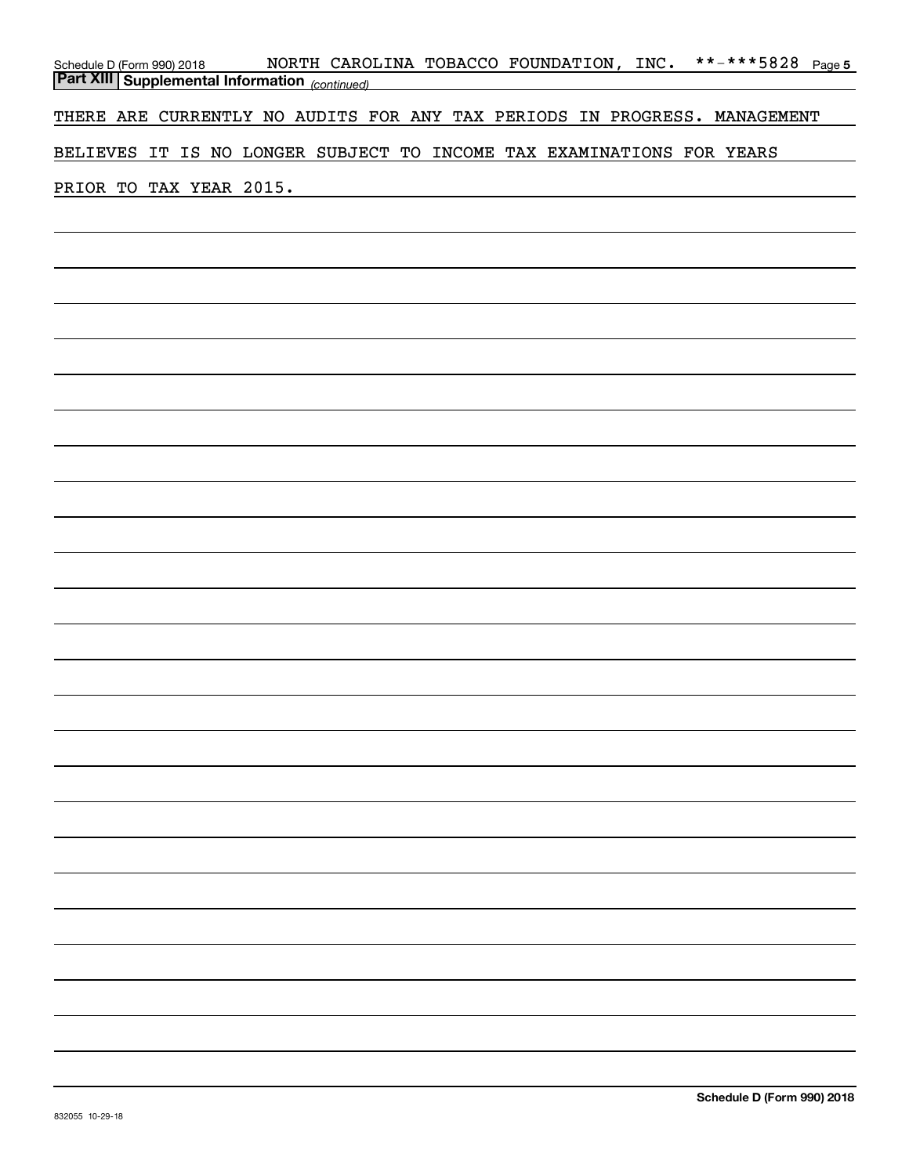| Schedule D (Form 990) 2018 NORTH CAROLINA TOBACCO FOUNDATION, INC. **-***5828 Page 5<br><b>Part XIII Supplemental Information</b> (continued) |  |  |  |                                                                                                                                                                                                                               |  |  |  |  |  |  |  |
|-----------------------------------------------------------------------------------------------------------------------------------------------|--|--|--|-------------------------------------------------------------------------------------------------------------------------------------------------------------------------------------------------------------------------------|--|--|--|--|--|--|--|
| THERE ARE CURRENTLY NO AUDITS FOR ANY TAX PERIODS IN PROGRESS. MANAGEMENT                                                                     |  |  |  |                                                                                                                                                                                                                               |  |  |  |  |  |  |  |
| BELIEVES IT IS NO LONGER SUBJECT TO INCOME TAX EXAMINATIONS FOR YEARS                                                                         |  |  |  |                                                                                                                                                                                                                               |  |  |  |  |  |  |  |
| PRIOR TO TAX YEAR 2015.                                                                                                                       |  |  |  | the control of the control of the control of the control of the control of the control of the control of the control of the control of the control of the control of the control of the control of the control of the control |  |  |  |  |  |  |  |
|                                                                                                                                               |  |  |  |                                                                                                                                                                                                                               |  |  |  |  |  |  |  |
|                                                                                                                                               |  |  |  |                                                                                                                                                                                                                               |  |  |  |  |  |  |  |
|                                                                                                                                               |  |  |  |                                                                                                                                                                                                                               |  |  |  |  |  |  |  |
|                                                                                                                                               |  |  |  |                                                                                                                                                                                                                               |  |  |  |  |  |  |  |
|                                                                                                                                               |  |  |  |                                                                                                                                                                                                                               |  |  |  |  |  |  |  |
|                                                                                                                                               |  |  |  |                                                                                                                                                                                                                               |  |  |  |  |  |  |  |
|                                                                                                                                               |  |  |  |                                                                                                                                                                                                                               |  |  |  |  |  |  |  |
|                                                                                                                                               |  |  |  |                                                                                                                                                                                                                               |  |  |  |  |  |  |  |
|                                                                                                                                               |  |  |  |                                                                                                                                                                                                                               |  |  |  |  |  |  |  |
|                                                                                                                                               |  |  |  |                                                                                                                                                                                                                               |  |  |  |  |  |  |  |
|                                                                                                                                               |  |  |  |                                                                                                                                                                                                                               |  |  |  |  |  |  |  |
|                                                                                                                                               |  |  |  |                                                                                                                                                                                                                               |  |  |  |  |  |  |  |
|                                                                                                                                               |  |  |  |                                                                                                                                                                                                                               |  |  |  |  |  |  |  |
|                                                                                                                                               |  |  |  |                                                                                                                                                                                                                               |  |  |  |  |  |  |  |
|                                                                                                                                               |  |  |  |                                                                                                                                                                                                                               |  |  |  |  |  |  |  |
|                                                                                                                                               |  |  |  |                                                                                                                                                                                                                               |  |  |  |  |  |  |  |
|                                                                                                                                               |  |  |  |                                                                                                                                                                                                                               |  |  |  |  |  |  |  |
|                                                                                                                                               |  |  |  |                                                                                                                                                                                                                               |  |  |  |  |  |  |  |
|                                                                                                                                               |  |  |  |                                                                                                                                                                                                                               |  |  |  |  |  |  |  |
|                                                                                                                                               |  |  |  |                                                                                                                                                                                                                               |  |  |  |  |  |  |  |
|                                                                                                                                               |  |  |  |                                                                                                                                                                                                                               |  |  |  |  |  |  |  |
|                                                                                                                                               |  |  |  |                                                                                                                                                                                                                               |  |  |  |  |  |  |  |
|                                                                                                                                               |  |  |  |                                                                                                                                                                                                                               |  |  |  |  |  |  |  |
|                                                                                                                                               |  |  |  |                                                                                                                                                                                                                               |  |  |  |  |  |  |  |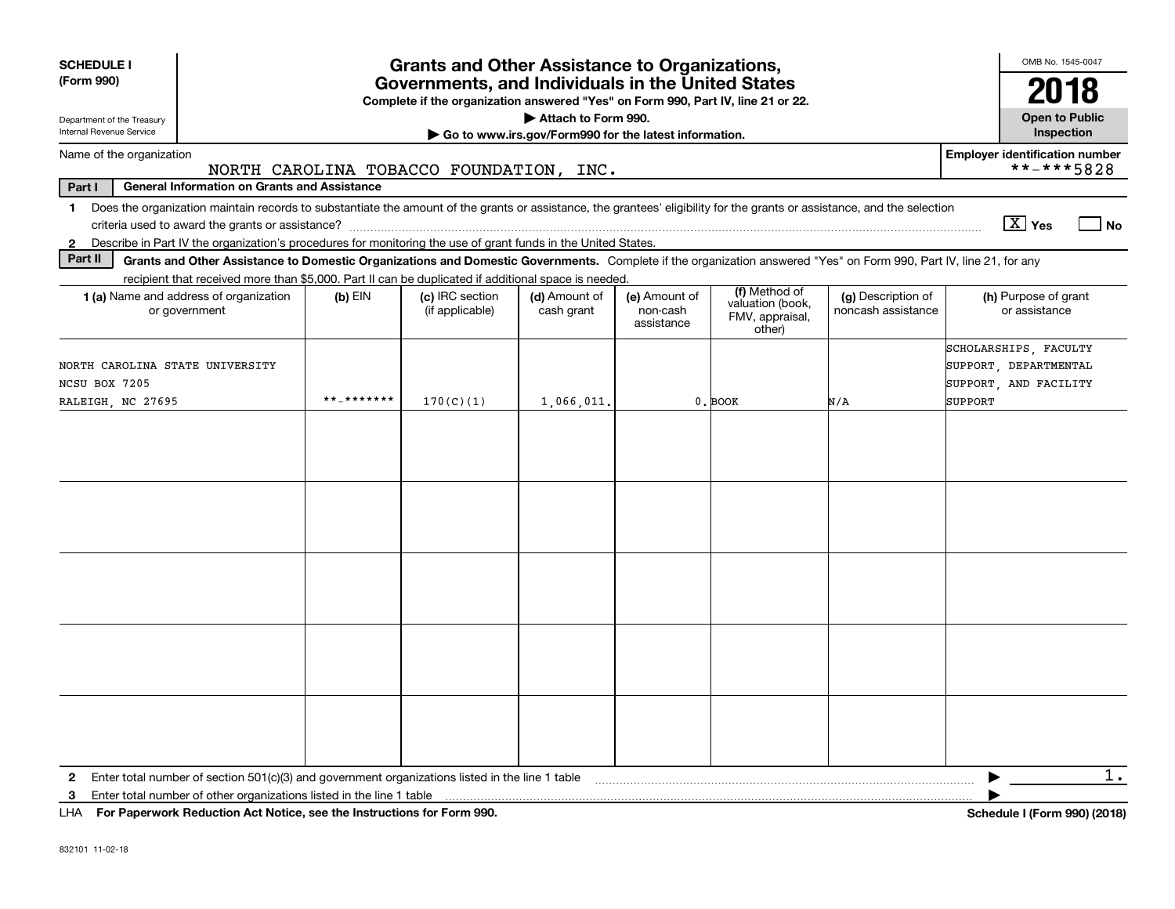| <b>SCHEDULE I</b>                                                                                                                                                                                                                                                         |            | <b>Grants and Other Assistance to Organizations,</b>                             |                                                                              |                                         |                                                                |                                          | OMB No. 1545-0047                                                                  |
|---------------------------------------------------------------------------------------------------------------------------------------------------------------------------------------------------------------------------------------------------------------------------|------------|----------------------------------------------------------------------------------|------------------------------------------------------------------------------|-----------------------------------------|----------------------------------------------------------------|------------------------------------------|------------------------------------------------------------------------------------|
| (Form 990)                                                                                                                                                                                                                                                                |            | Governments, and Individuals in the United States                                |                                                                              |                                         |                                                                |                                          | 2018                                                                               |
| Department of the Treasury<br>Internal Revenue Service                                                                                                                                                                                                                    |            | Complete if the organization answered "Yes" on Form 990, Part IV, line 21 or 22. | Attach to Form 990.<br>Go to www.irs.gov/Form990 for the latest information. |                                         |                                                                |                                          | <b>Open to Public</b><br>Inspection                                                |
| Name of the organization                                                                                                                                                                                                                                                  |            |                                                                                  |                                                                              |                                         |                                                                |                                          | <b>Employer identification number</b>                                              |
| <b>General Information on Grants and Assistance</b><br>Part I                                                                                                                                                                                                             |            | NORTH CAROLINA TOBACCO FOUNDATION, INC.                                          |                                                                              |                                         |                                                                |                                          | **-***5828                                                                         |
| Does the organization maintain records to substantiate the amount of the grants or assistance, the grantees' eligibility for the grants or assistance, and the selection<br>1.                                                                                            |            |                                                                                  |                                                                              |                                         |                                                                |                                          | $\boxed{\text{X}}$ Yes<br>  No                                                     |
| Describe in Part IV the organization's procedures for monitoring the use of grant funds in the United States.<br>$\mathbf{2}$<br>Part II                                                                                                                                  |            |                                                                                  |                                                                              |                                         |                                                                |                                          |                                                                                    |
| Grants and Other Assistance to Domestic Organizations and Domestic Governments. Complete if the organization answered "Yes" on Form 990, Part IV, line 21, for any<br>recipient that received more than \$5,000. Part II can be duplicated if additional space is needed. |            |                                                                                  |                                                                              |                                         |                                                                |                                          |                                                                                    |
| 1 (a) Name and address of organization<br>or government                                                                                                                                                                                                                   | $(b)$ EIN  | (c) IRC section<br>(if applicable)                                               | (d) Amount of<br>cash grant                                                  | (e) Amount of<br>non-cash<br>assistance | (f) Method of<br>valuation (book,<br>FMV, appraisal,<br>other) | (g) Description of<br>noncash assistance | (h) Purpose of grant<br>or assistance                                              |
| NORTH CAROLINA STATE UNIVERSITY<br>NCSU BOX 7205<br>RALEIGH, NC 27695                                                                                                                                                                                                     | **_******* | 170(C)(1)                                                                        | 1,066,011.                                                                   |                                         | $0.$ BOOK                                                      | N/A                                      | SCHOLARSHIPS, FACULTY<br>SUPPORT, DEPARTMENTAL<br>SUPPORT, AND FACILITY<br>SUPPORT |
|                                                                                                                                                                                                                                                                           |            |                                                                                  |                                                                              |                                         |                                                                |                                          |                                                                                    |
|                                                                                                                                                                                                                                                                           |            |                                                                                  |                                                                              |                                         |                                                                |                                          |                                                                                    |
|                                                                                                                                                                                                                                                                           |            |                                                                                  |                                                                              |                                         |                                                                |                                          |                                                                                    |
|                                                                                                                                                                                                                                                                           |            |                                                                                  |                                                                              |                                         |                                                                |                                          |                                                                                    |
|                                                                                                                                                                                                                                                                           |            |                                                                                  |                                                                              |                                         |                                                                |                                          |                                                                                    |
| Enter total number of section $501(c)(3)$ and government organizations listed in the line 1 table<br>$\mathbf{2}$<br>Enter total number of other organizations listed in the line 1 table<br>3                                                                            |            |                                                                                  |                                                                              |                                         |                                                                |                                          | 1.                                                                                 |
| LHA For Paperwork Reduction Act Notice, see the Instructions for Form 990.                                                                                                                                                                                                |            |                                                                                  |                                                                              |                                         |                                                                |                                          | Schedule I (Form 990) (2018)                                                       |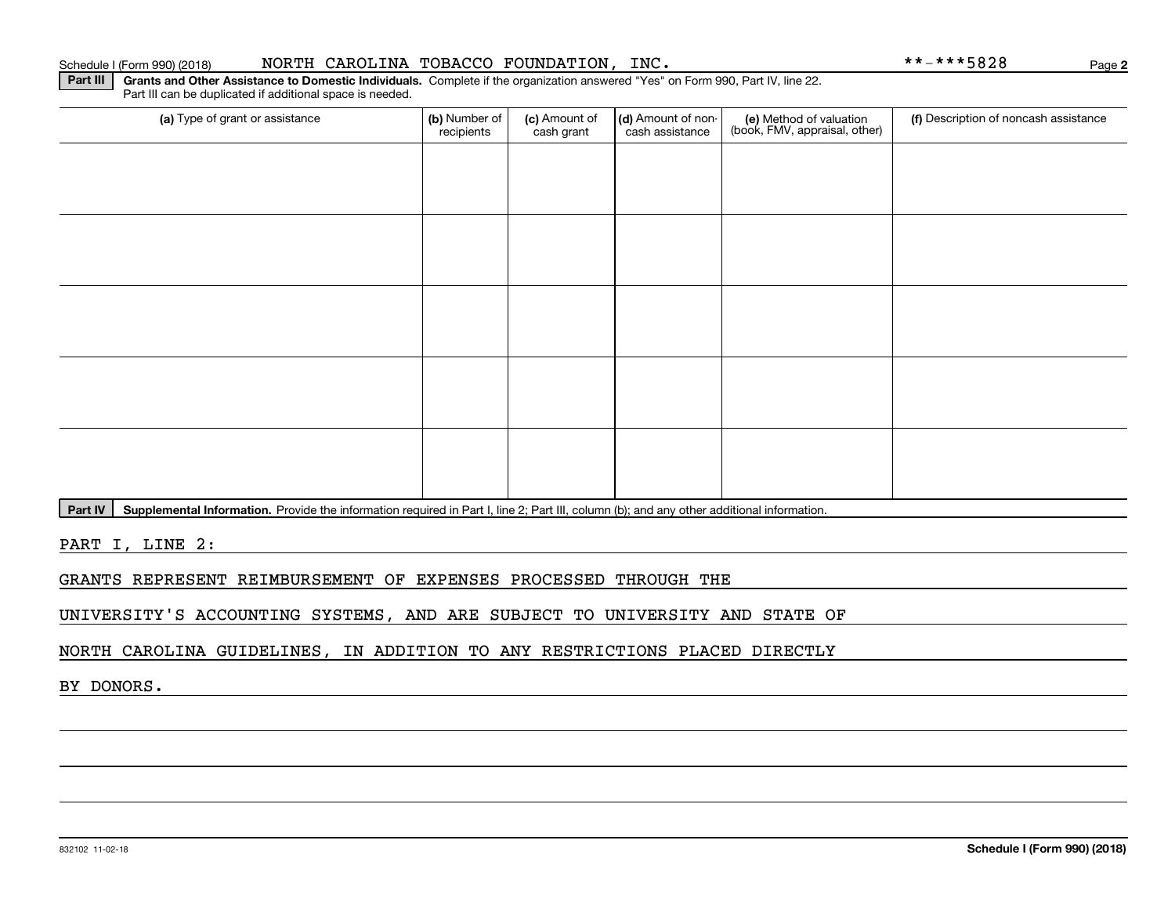## Schedule I (Form 990) (2018) NORTH CAROLINA TOBACCO FOUNDATION, INC。 \*\*-\*\*\*5828 Page

**Part III | Grants and Other Assistance to Domestic Individuals. Complete if the organization answered "Yes" on Form 990, Part IV, line 22.** Part III can be duplicated if additional space is needed.

| (a) Type of grant or assistance | (b) Number of<br>recipients | (c) Amount of<br>cash grant | (d) Amount of non-<br>cash assistance | (e) Method of valuation<br>(book, FMV, appraisal, other) | (f) Description of noncash assistance |
|---------------------------------|-----------------------------|-----------------------------|---------------------------------------|----------------------------------------------------------|---------------------------------------|
|                                 |                             |                             |                                       |                                                          |                                       |
|                                 |                             |                             |                                       |                                                          |                                       |
|                                 |                             |                             |                                       |                                                          |                                       |
|                                 |                             |                             |                                       |                                                          |                                       |
|                                 |                             |                             |                                       |                                                          |                                       |
|                                 |                             |                             |                                       |                                                          |                                       |
|                                 |                             |                             |                                       |                                                          |                                       |
|                                 |                             |                             |                                       |                                                          |                                       |
|                                 |                             |                             |                                       |                                                          |                                       |
|                                 |                             |                             |                                       |                                                          |                                       |

Part IV | Supplemental Information. Provide the information required in Part I, line 2; Part III, column (b); and any other additional information.

PART I, LINE 2:

GRANTS REPRESENT REIMBURSEMENT OF EXPENSES PROCESSED THROUGH THE

UNIVERSITY'S ACCOUNTING SYSTEMS, AND ARE SUBJECT TO UNIVERSITY AND STATE OF

NORTH CAROLINA GUIDELINES, IN ADDITION TO ANY RESTRICTIONS PLACED DIRECTLY

BY DONORS.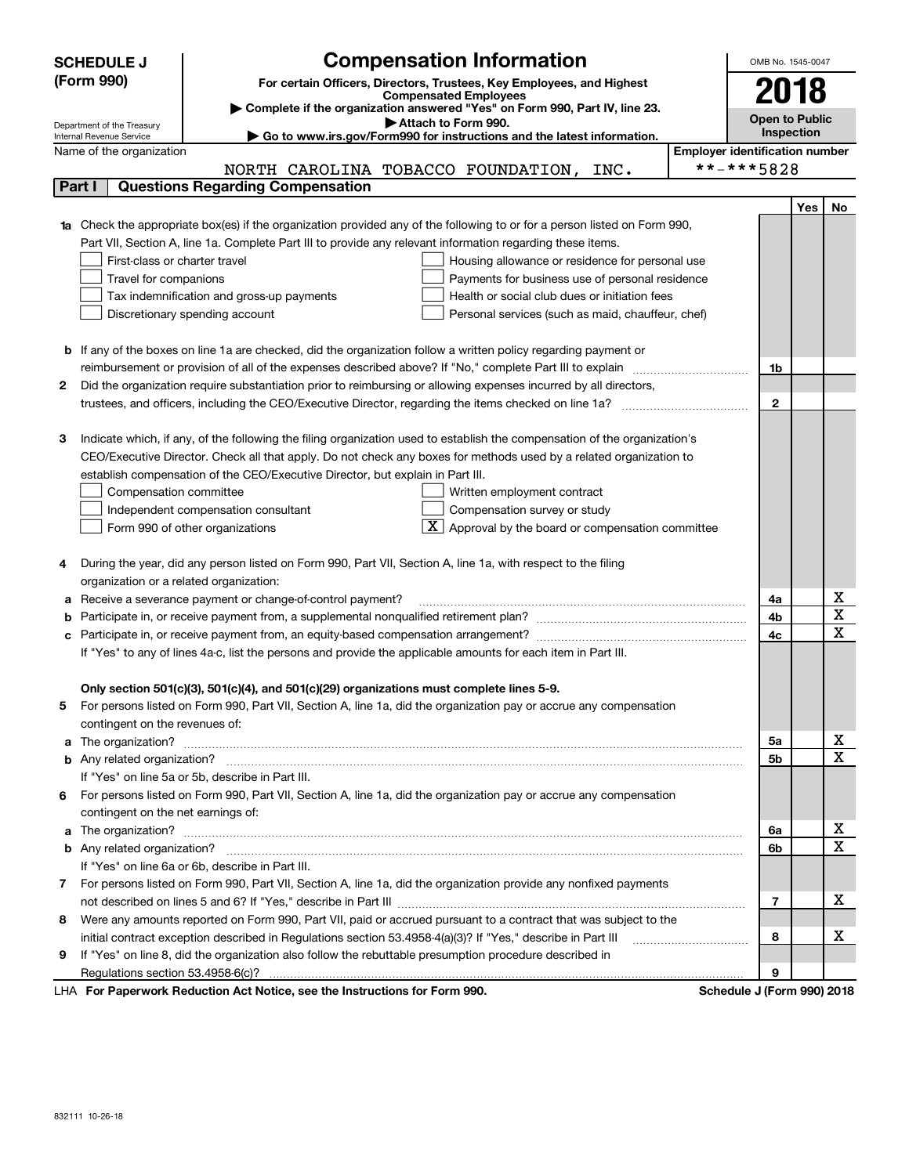|   | <b>Compensation Information</b><br><b>SCHEDULE J</b>                                                                                                      | OMB No. 1545-0047     |     |             |
|---|-----------------------------------------------------------------------------------------------------------------------------------------------------------|-----------------------|-----|-------------|
|   | (Form 990)<br>For certain Officers, Directors, Trustees, Key Employees, and Highest                                                                       |                       |     |             |
|   | <b>Compensated Employees</b>                                                                                                                              | 2018                  |     |             |
|   | Complete if the organization answered "Yes" on Form 990, Part IV, line 23.                                                                                | <b>Open to Public</b> |     |             |
|   | Attach to Form 990.<br>Department of the Treasury<br>► Go to www.irs.gov/Form990 for instructions and the latest information.<br>Internal Revenue Service | Inspection            |     |             |
|   | <b>Employer identification number</b><br>Name of the organization                                                                                         |                       |     |             |
|   | **-***5828<br>NORTH CAROLINA TOBACCO FOUNDATION, INC.                                                                                                     |                       |     |             |
|   | <b>Questions Regarding Compensation</b><br>Part I                                                                                                         |                       |     |             |
|   |                                                                                                                                                           |                       | Yes | No          |
|   | Check the appropriate box(es) if the organization provided any of the following to or for a person listed on Form 990,                                    |                       |     |             |
|   | Part VII, Section A, line 1a. Complete Part III to provide any relevant information regarding these items.                                                |                       |     |             |
|   | First-class or charter travel<br>Housing allowance or residence for personal use                                                                          |                       |     |             |
|   | Travel for companions<br>Payments for business use of personal residence                                                                                  |                       |     |             |
|   | Health or social club dues or initiation fees<br>Tax indemnification and gross-up payments                                                                |                       |     |             |
|   | Discretionary spending account<br>Personal services (such as maid, chauffeur, chef)                                                                       |                       |     |             |
|   |                                                                                                                                                           |                       |     |             |
| b | If any of the boxes on line 1a are checked, did the organization follow a written policy regarding payment or                                             |                       |     |             |
|   | reimbursement or provision of all of the expenses described above? If "No," complete Part III to explain                                                  | 1b                    |     |             |
| 2 | Did the organization require substantiation prior to reimbursing or allowing expenses incurred by all directors,                                          |                       |     |             |
|   |                                                                                                                                                           | $\mathbf{2}$          |     |             |
|   |                                                                                                                                                           |                       |     |             |
| з | Indicate which, if any, of the following the filing organization used to establish the compensation of the organization's                                 |                       |     |             |
|   | CEO/Executive Director. Check all that apply. Do not check any boxes for methods used by a related organization to                                        |                       |     |             |
|   | establish compensation of the CEO/Executive Director, but explain in Part III.                                                                            |                       |     |             |
|   | Written employment contract<br>Compensation committee                                                                                                     |                       |     |             |
|   | Compensation survey or study<br>Independent compensation consultant                                                                                       |                       |     |             |
|   | Approval by the board or compensation committee<br>Form 990 of other organizations                                                                        |                       |     |             |
|   |                                                                                                                                                           |                       |     |             |
| 4 | During the year, did any person listed on Form 990, Part VII, Section A, line 1a, with respect to the filing                                              |                       |     |             |
|   | organization or a related organization:                                                                                                                   |                       |     |             |
| а | Receive a severance payment or change-of-control payment?                                                                                                 | 4a                    |     | х           |
| b |                                                                                                                                                           | 4b                    |     | $\mathbf X$ |
|   |                                                                                                                                                           | 4c                    |     | $\mathbf X$ |
|   | If "Yes" to any of lines 4a-c, list the persons and provide the applicable amounts for each item in Part III.                                             |                       |     |             |
|   |                                                                                                                                                           |                       |     |             |
|   | Only section 501(c)(3), 501(c)(4), and 501(c)(29) organizations must complete lines 5-9.                                                                  |                       |     |             |
| 5 | For persons listed on Form 990, Part VII, Section A, line 1a, did the organization pay or accrue any compensation                                         |                       |     |             |
|   | contingent on the revenues of:                                                                                                                            |                       |     |             |
| a |                                                                                                                                                           | 5а                    |     | х           |
|   |                                                                                                                                                           | 5b                    |     | X           |
|   | If "Yes" on line 5a or 5b, describe in Part III.                                                                                                          |                       |     |             |
| 6 | For persons listed on Form 990, Part VII, Section A, line 1a, did the organization pay or accrue any compensation                                         |                       |     |             |
|   | contingent on the net earnings of:                                                                                                                        |                       |     |             |
| a |                                                                                                                                                           | 6a                    |     | х           |
|   |                                                                                                                                                           | 6b                    |     | $\mathbf X$ |
|   | If "Yes" on line 6a or 6b, describe in Part III.                                                                                                          |                       |     |             |
| 7 | For persons listed on Form 990, Part VII, Section A, line 1a, did the organization provide any nonfixed payments                                          |                       |     |             |
|   |                                                                                                                                                           | 7                     |     | x           |
| 8 | Were any amounts reported on Form 990, Part VII, paid or accrued pursuant to a contract that was subject to the                                           |                       |     |             |
|   | initial contract exception described in Regulations section 53.4958-4(a)(3)? If "Yes," describe in Part III                                               | 8                     |     | х           |
| 9 | If "Yes" on line 8, did the organization also follow the rebuttable presumption procedure described in                                                    |                       |     |             |
|   |                                                                                                                                                           | 9                     |     |             |

LHA For Paperwork Reduction Act Notice, see the Instructions for Form 990. Schedule J (Form 990) 2018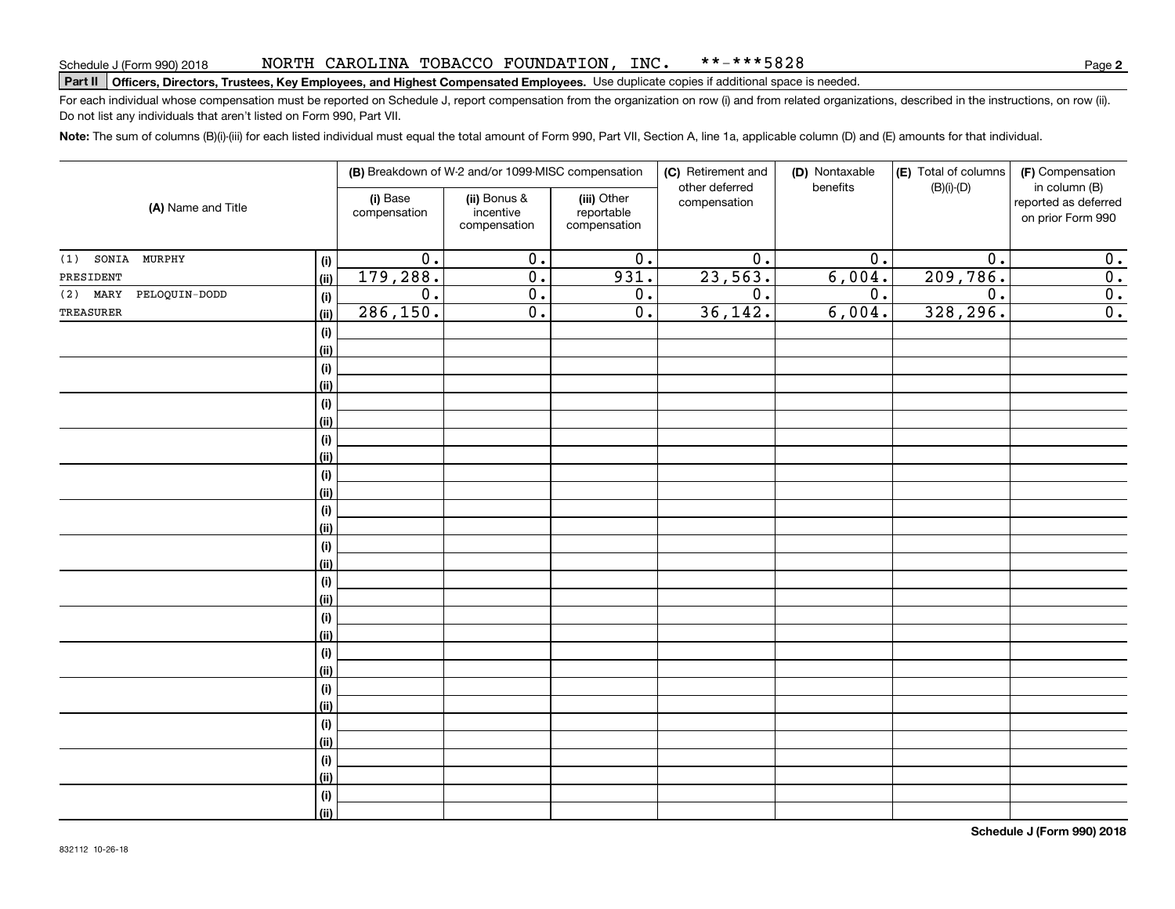#### NORTH CAROLINA TOBACCO FOUNDATION, INC. \*\*-\*\*\*5828

**2**

# Schedule J (Form 990) 2018 NORTH CAROLLINA 'I'OBACCO F'OUNDA'I' LON , LNC • \* \* ~ \* \* \* 5 8 2 8<br>Part II **Officers, Directors, Trustees, Key Employees, and Highest Compensated Employees**

For each individual whose compensation must be reported on Schedule J, report compensation from the organization on row (i) and from related organizations, described in the instructions, on row (ii). Do not list any individuals that aren't listed on Form 990, Part VII.

**Note:**  The sum of columns (B)(i)-(iii) for each listed individual must equal the total amount of Form 990, Part VII, Section A, line 1a, applicable column (D) and (E) amounts for that individual.

|                             |      |                          | (B) Breakdown of W-2 and/or 1099-MISC compensation |                                           | (C) Retirement and             | (D) Nontaxable | (E) Total of columns | (F) Compensation<br>in column (B)         |  |
|-----------------------------|------|--------------------------|----------------------------------------------------|-------------------------------------------|--------------------------------|----------------|----------------------|-------------------------------------------|--|
| (A) Name and Title          |      | (i) Base<br>compensation | (ii) Bonus &<br>incentive<br>compensation          | (iii) Other<br>reportable<br>compensation | other deferred<br>compensation | benefits       | $(B)(i)-(D)$         | reported as deferred<br>on prior Form 990 |  |
| SONIA MURPHY<br>(1)         | (i)  | $\overline{0}$ .         | $\overline{0}$ .                                   | $\overline{0}$ .                          | $\overline{0}$ .               | 0.             | 0.                   | $\overline{0}$ .                          |  |
| PRESIDENT                   | (ii) | 179,288.                 | $\overline{0}$ .                                   | 931.                                      | 23,563.                        | 6,004.         | 209,786.             | $\overline{\mathbf{0}}$ .                 |  |
| $(2)$ MARY<br>PELOQUIN-DODD | (i)  | 0.                       | $\overline{0}$ .                                   | 0.                                        | 0.                             | 0.             | 0.                   | $\overline{0}$ .                          |  |
| TREASURER                   | (ii) | 286, 150.                | $\overline{0}$ .                                   | $\overline{0}$ .                          | 36, 142.                       | 6,004.         | 328, 296.            | $\overline{0}$ .                          |  |
|                             | (i)  |                          |                                                    |                                           |                                |                |                      |                                           |  |
|                             | (ii) |                          |                                                    |                                           |                                |                |                      |                                           |  |
|                             | (i)  |                          |                                                    |                                           |                                |                |                      |                                           |  |
|                             | (ii) |                          |                                                    |                                           |                                |                |                      |                                           |  |
|                             | (i)  |                          |                                                    |                                           |                                |                |                      |                                           |  |
|                             | (ii) |                          |                                                    |                                           |                                |                |                      |                                           |  |
|                             | (i)  |                          |                                                    |                                           |                                |                |                      |                                           |  |
|                             | (ii) |                          |                                                    |                                           |                                |                |                      |                                           |  |
|                             | (i)  |                          |                                                    |                                           |                                |                |                      |                                           |  |
|                             | (ii) |                          |                                                    |                                           |                                |                |                      |                                           |  |
|                             | (i)  |                          |                                                    |                                           |                                |                |                      |                                           |  |
|                             | (ii) |                          |                                                    |                                           |                                |                |                      |                                           |  |
|                             | (i)  |                          |                                                    |                                           |                                |                |                      |                                           |  |
|                             | (ii) |                          |                                                    |                                           |                                |                |                      |                                           |  |
|                             | (i)  |                          |                                                    |                                           |                                |                |                      |                                           |  |
|                             | (ii) |                          |                                                    |                                           |                                |                |                      |                                           |  |
|                             | (i)  |                          |                                                    |                                           |                                |                |                      |                                           |  |
|                             | (ii) |                          |                                                    |                                           |                                |                |                      |                                           |  |
|                             | (i)  |                          |                                                    |                                           |                                |                |                      |                                           |  |
|                             | (ii) |                          |                                                    |                                           |                                |                |                      |                                           |  |
|                             | (i)  |                          |                                                    |                                           |                                |                |                      |                                           |  |
|                             | (ii) |                          |                                                    |                                           |                                |                |                      |                                           |  |
|                             | (i)  |                          |                                                    |                                           |                                |                |                      |                                           |  |
|                             | (ii) |                          |                                                    |                                           |                                |                |                      |                                           |  |
|                             | (i)  |                          |                                                    |                                           |                                |                |                      |                                           |  |
|                             | (ii) |                          |                                                    |                                           |                                |                |                      |                                           |  |
|                             | (i)  |                          |                                                    |                                           |                                |                |                      |                                           |  |
|                             | (ii) |                          |                                                    |                                           |                                |                |                      |                                           |  |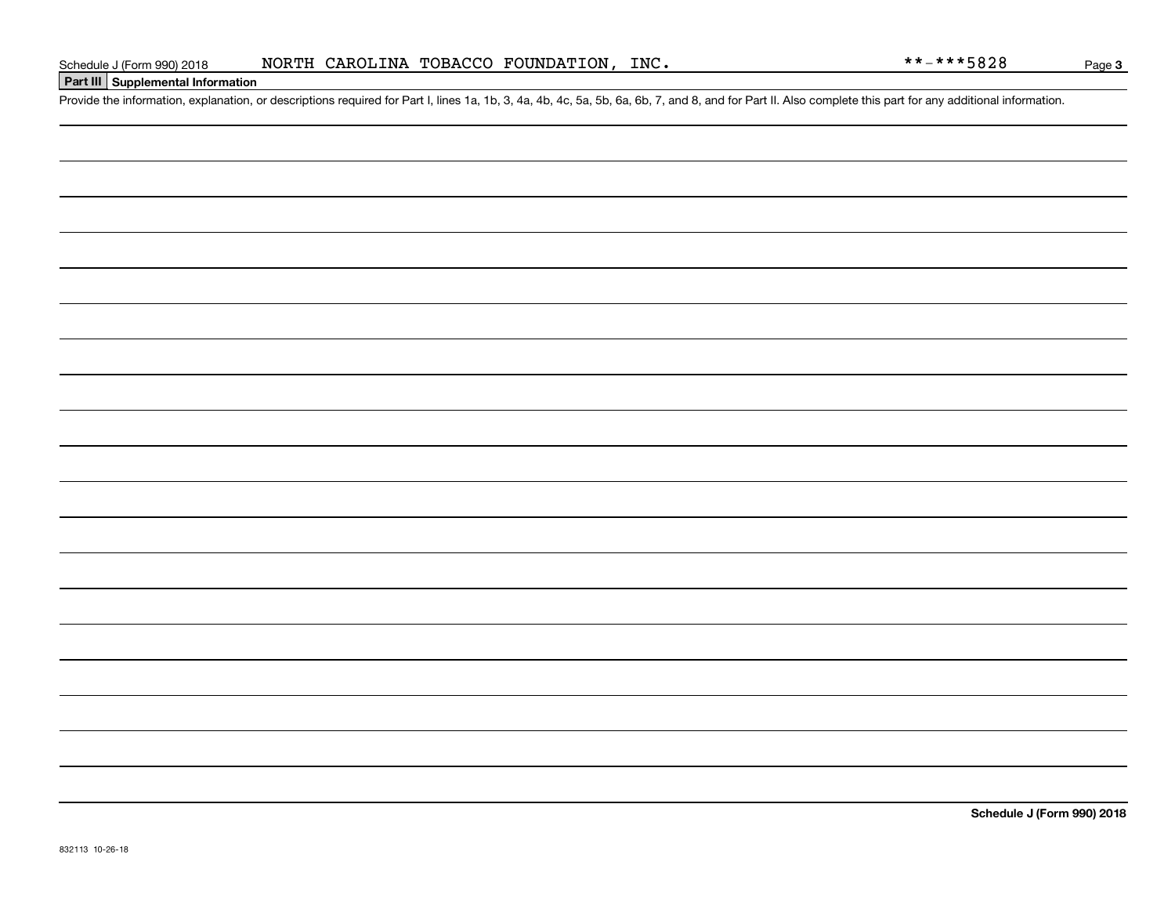| Schedule J (Form 990) 2018 |
|----------------------------|
|----------------------------|

Page 3

# **Part III Supplemental Information**

Schedule J (Form 990) 2018 NORTH CAROLINA TOBACCO FOUNDATION, INC.<br>Part III Supplemental Information<br>Provide the information, explanation, or descriptions required for Part I, lines 1a, 1b, 3, 4a, 4b, 4c, 5a, 5b, 6a, 6b,

**Schedule J (Form 990) 2018**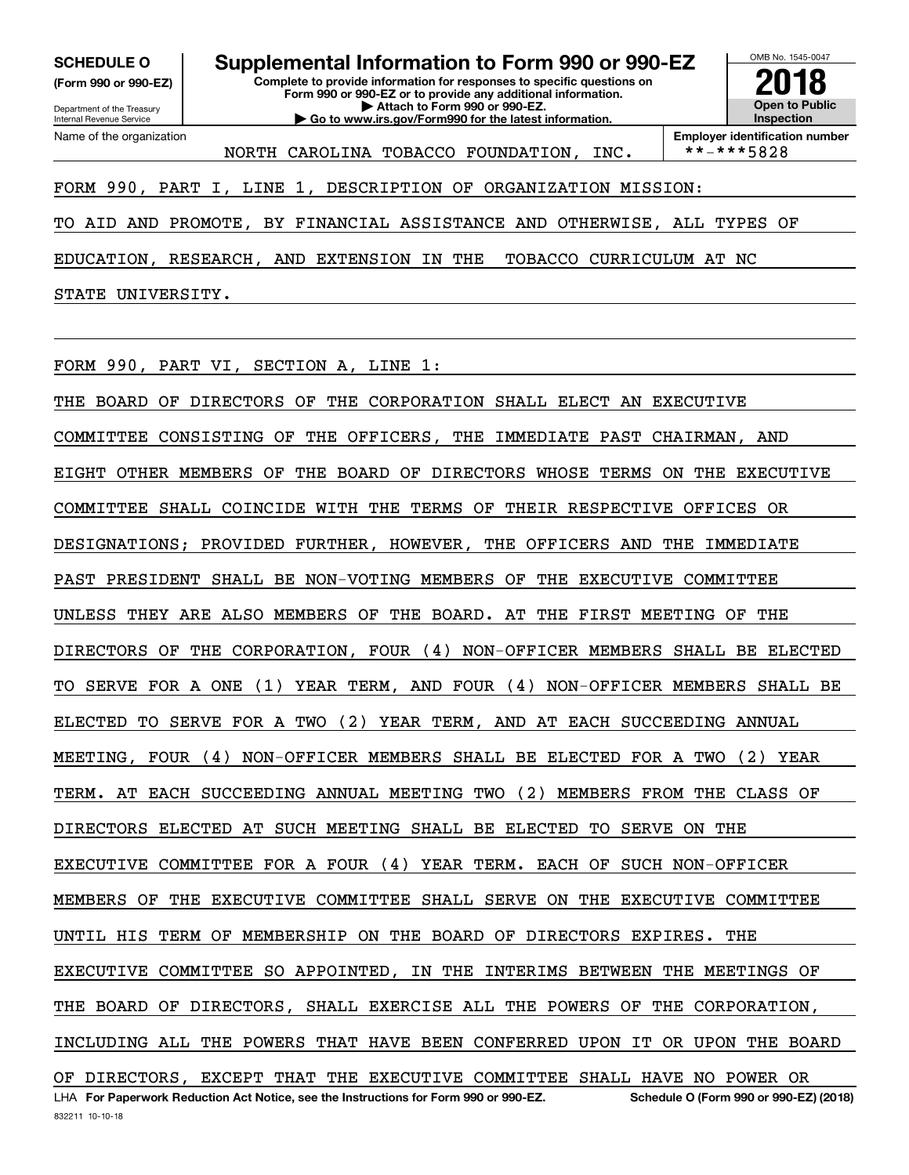**(Form 990 or 990-EZ)**

Department of the Treasury Internal Revenue Service Name of the organization

**Complete to provide information for responses to specific questions on Form 990 or 990-EZ or to provide any additional information. | Attach to Form 990 or 990-EZ. | Go to www.irs.gov/Form990 for the latest information. SCHEDULE O Supplemental Information to Form 990 or 990-EZ** OMB No. 1545-0047 **Open to Public Inspection2018**

NORTH CAROLINA TOBACCO FOUNDATION, INC.

**Employer identification number**<br>\*\*-\*\*\*5828

## FORM 990, PART I, LINE 1, DESCRIPTION OF ORGANIZATION MISSION:

TO AID AND PROMOTE, BY FINANCIAL ASSISTANCE AND OTHERWISE, ALL TYPES OF

EDUCATION, RESEARCH, AND EXTENSION IN THE TOBACCO CURRICULUM AT NC

STATE UNIVERSITY.

FORM 990, PART VI, SECTION A, LINE 1:

832211 10-10-18 LHA For Paperwork Reduction Act Notice, see the Instructions for Form 990 or 990-EZ. Schedule O (Form 990 or 990-EZ) (2018) THE BOARD OF DIRECTORS OF THE CORPORATION SHALL ELECT AN EXECUTIVE COMMITTEE CONSISTING OF THE OFFICERS, THE IMMEDIATE PAST CHAIRMAN, AND EIGHT OTHER MEMBERS OF THE BOARD OF DIRECTORS WHOSE TERMS ON THE EXECUTIVE COMMITTEE SHALL COINCIDE WITH THE TERMS OF THEIR RESPECTIVE OFFICES OR DESIGNATIONS; PROVIDED FURTHER, HOWEVER, THE OFFICERS AND THE IMMEDIATE PAST PRESIDENT SHALL BE NON-VOTING MEMBERS OF THE EXECUTIVE COMMITTEE UNLESS THEY ARE ALSO MEMBERS OF THE BOARD. AT THE FIRST MEETING OF THE DIRECTORS OF THE CORPORATION, FOUR (4) NON-OFFICER MEMBERS SHALL BE ELECTED TO SERVE FOR A ONE (1) YEAR TERM, AND FOUR (4) NON-OFFICER MEMBERS SHALL BE ELECTED TO SERVE FOR A TWO (2) YEAR TERM, AND AT EACH SUCCEEDING ANNUAL MEETING, FOUR (4) NON-OFFICER MEMBERS SHALL BE ELECTED FOR A TWO (2) YEAR TERM. AT EACH SUCCEEDING ANNUAL MEETING TWO (2) MEMBERS FROM THE CLASS OF DIRECTORS ELECTED AT SUCH MEETING SHALL BE ELECTED TO SERVE ON THE EXECUTIVE COMMITTEE FOR A FOUR (4) YEAR TERM. EACH OF SUCH NON-OFFICER MEMBERS OF THE EXECUTIVE COMMITTEE SHALL SERVE ON THE EXECUTIVE COMMITTEE UNTIL HIS TERM OF MEMBERSHIP ON THE BOARD OF DIRECTORS EXPIRES. THE EXECUTIVE COMMITTEE SO APPOINTED, IN THE INTERIMS BETWEEN THE MEETINGS OF THE BOARD OF DIRECTORS, SHALL EXERCISE ALL THE POWERS OF THE CORPORATION, INCLUDING ALL THE POWERS THAT HAVE BEEN CONFERRED UPON IT OR UPON THE BOARD OF DIRECTORS, EXCEPT THAT THE EXECUTIVE COMMITTEE SHALL HAVE NO POWER OR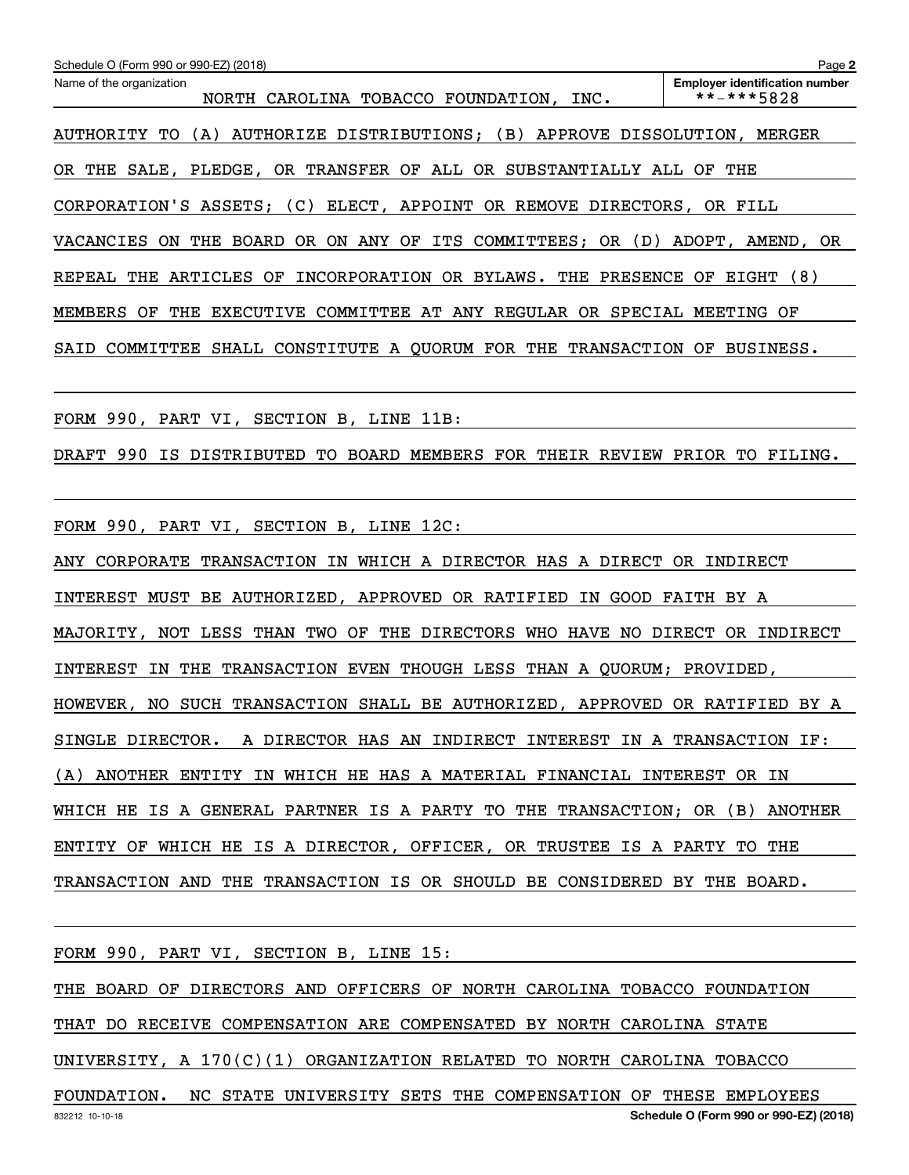| Schedule O (Form 990 or 990-EZ) (2018)                                             | Page 2                                              |
|------------------------------------------------------------------------------------|-----------------------------------------------------|
| Name of the organization<br>NORTH CAROLINA TOBACCO FOUNDATION, INC.                | <b>Employer identification number</b><br>**-***5828 |
| AUTHORITY TO (A) AUTHORIZE DISTRIBUTIONS; (B) APPROVE DISSOLUTION, MERGER          |                                                     |
| OR THE SALE, PLEDGE, OR TRANSFER OF ALL OR SUBSTANTIALLY ALL OF THE                |                                                     |
| CORPORATION'S ASSETS; (C) ELECT, APPOINT OR REMOVE DIRECTORS, OR FILL              |                                                     |
| VACANCIES ON THE BOARD OR ON ANY OF ITS COMMITTEES; OR (D) ADOPT, AMEND, OR        |                                                     |
| REPEAL THE ARTICLES OF INCORPORATION OR BYLAWS. THE PRESENCE OF EIGHT (8)          |                                                     |
| MEMBERS OF THE EXECUTIVE COMMITTEE AT ANY REGULAR OR SPECIAL MEETING OF            |                                                     |
| SAID COMMITTEE SHALL CONSTITUTE A QUORUM FOR THE TRANSACTION OF BUSINESS.          |                                                     |
| FORM 990, PART VI, SECTION B, LINE 11B:                                            |                                                     |
| DRAFT 990 IS DISTRIBUTED TO BOARD MEMBERS FOR THEIR REVIEW PRIOR TO FILING.        |                                                     |
| FORM 990, PART VI, SECTION B, LINE 12C:                                            |                                                     |
| ANY CORPORATE TRANSACTION IN WHICH A DIRECTOR HAS A DIRECT OR INDIRECT             |                                                     |
| INTEREST MUST BE AUTHORIZED, APPROVED OR RATIFIED IN GOOD FAITH BY A               |                                                     |
| NOT LESS THAN TWO OF THE DIRECTORS WHO HAVE NO DIRECT OR INDIRECT<br>MAJORITY,     |                                                     |
| TRANSACTION EVEN THOUGH LESS THAN A QUORUM; PROVIDED,<br><b>INTEREST</b><br>IN THE |                                                     |
| HOWEVER, NO SUCH TRANSACTION SHALL BE AUTHORIZED, APPROVED OR RATIFIED BY A        |                                                     |
| SINGLE DIRECTOR. A DIRECTOR HAS AN INDIRECT INTEREST IN A TRANSACTION IF:          |                                                     |
| (A) ANOTHER ENTITY IN WHICH HE HAS A MATERIAL FINANCIAL INTEREST OR IN             |                                                     |
| WHICH HE IS A GENERAL PARTNER IS A PARTY TO THE TRANSACTION; OR (B) ANOTHER        |                                                     |
| ENTITY OF WHICH HE IS A DIRECTOR, OFFICER, OR TRUSTEE IS A PARTY TO THE            |                                                     |
| TRANSACTION AND THE TRANSACTION IS OR SHOULD BE CONSIDERED BY THE BOARD.           |                                                     |
| FORM 990, PART VI, SECTION B, LINE 15:                                             |                                                     |
| THE BOARD OF DIRECTORS AND OFFICERS OF NORTH CAROLINA TOBACCO FOUNDATION           |                                                     |
| THAT DO RECEIVE COMPENSATION ARE COMPENSATED BY NORTH CAROLINA STATE               |                                                     |
| UNIVERSITY, A $170(C)(1)$ ORGANIZATION RELATED TO NORTH CAROLINA TOBACCO           |                                                     |

832212 10-10-18 **Schedule O (Form 990 or 990-EZ) (2018)** FOUNDATION. NC STATE UNIVERSITY SETS THE COMPENSATION OF THESE EMPLOYEES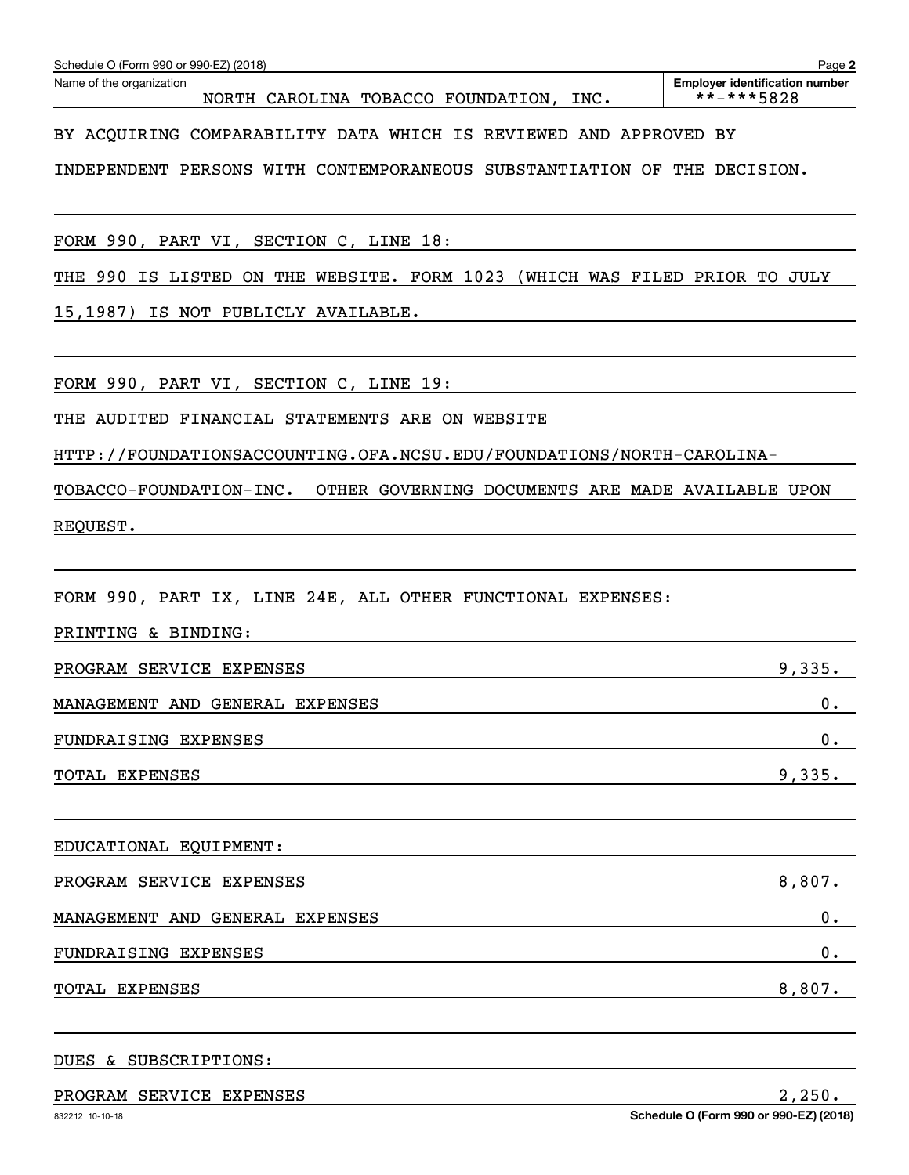| Schedule O (Form 990 or 990-EZ) (2018)                                       | Page 2                                              |
|------------------------------------------------------------------------------|-----------------------------------------------------|
| Name of the organization<br>NORTH CAROLINA TOBACCO FOUNDATION, INC.          | <b>Employer identification number</b><br>**-***5828 |
| BY ACQUIRING COMPARABILITY DATA WHICH IS REVIEWED AND APPROVED BY            |                                                     |
| INDEPENDENT PERSONS WITH CONTEMPORANEOUS SUBSTANTIATION OF THE DECISION.     |                                                     |
| FORM 990, PART VI, SECTION C, LINE 18:                                       |                                                     |
| THE 990 IS LISTED ON THE WEBSITE. FORM 1023 (WHICH WAS FILED PRIOR TO JULY   |                                                     |
| 15,1987) IS NOT PUBLICLY AVAILABLE.                                          |                                                     |
| FORM 990, PART VI, SECTION C, LINE 19:                                       |                                                     |
| THE AUDITED FINANCIAL STATEMENTS ARE ON WEBSITE                              |                                                     |
| HTTP://FOUNDATIONSACCOUNTING.OFA.NCSU.EDU/FOUNDATIONS/NORTH-CAROLINA-        |                                                     |
| TOBACCO-FOUNDATION-INC.<br>OTHER GOVERNING DOCUMENTS ARE MADE AVAILABLE UPON |                                                     |
| REQUEST.                                                                     |                                                     |
|                                                                              |                                                     |
| FORM 990, PART IX, LINE 24E, ALL OTHER FUNCTIONAL EXPENSES:                  |                                                     |
| PRINTING & BINDING:                                                          |                                                     |
| PROGRAM SERVICE EXPENSES                                                     | 9,335.                                              |
| MANAGEMENT AND GENERAL EXPENSES                                              | 0.                                                  |
| FUNDRAISING EXPENSES                                                         | 0.                                                  |
| TOTAL EXPENSES                                                               | 9,335.                                              |
|                                                                              |                                                     |
| EDUCATIONAL EQUIPMENT:                                                       |                                                     |
| PROGRAM SERVICE EXPENSES                                                     | 8,807.                                              |
| MANAGEMENT AND GENERAL EXPENSES                                              | $0$ .                                               |
| FUNDRAISING EXPENSES                                                         | 0.                                                  |
| TOTAL EXPENSES                                                               | 8,807.                                              |
|                                                                              |                                                     |

DUES & SUBSCRIPTIONS:

# PROGRAM SERVICE EXPENSES 2,250.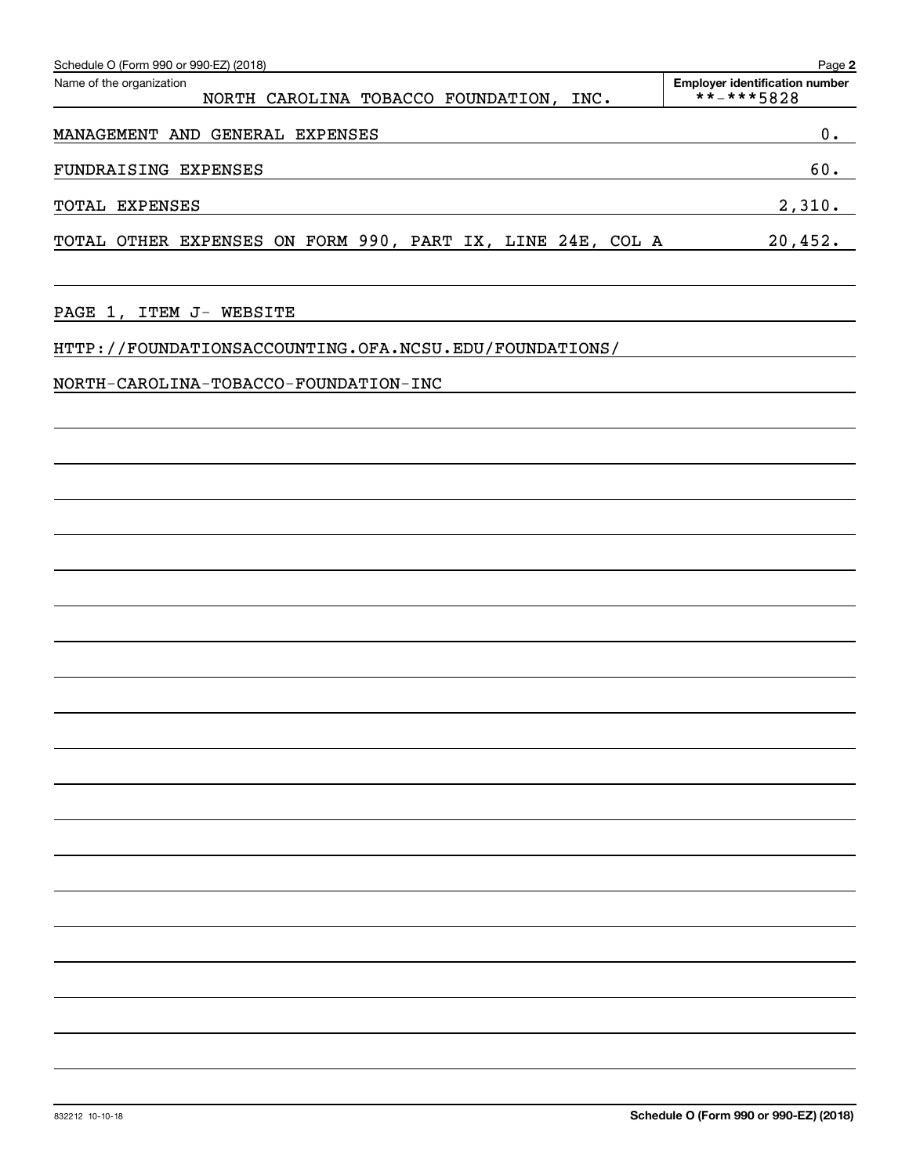| Schedule O (Form 990 or 990-EZ) (2018)                                            | Page 2                                              |
|-----------------------------------------------------------------------------------|-----------------------------------------------------|
| Name of the organization<br>NORTH CAROLINA TOBACCO FOUNDATION, INC.               | <b>Employer identification number</b><br>**-***5828 |
| MANAGEMENT AND GENERAL EXPENSES                                                   | 0.                                                  |
| FUNDRAISING EXPENSES                                                              | 60.                                                 |
| TOTAL EXPENSES                                                                    | 2,310.                                              |
| TOTAL OTHER EXPENSES ON FORM 990, PART IX, LINE 24E, COL A                        | 20,452.                                             |
| PAGE 1, ITEM J- WEBSITE<br>HTTP://FOUNDATIONSACCOUNTING.OFA.NCSU.EDU/FOUNDATIONS/ |                                                     |
| NORTH-CAROLINA-TOBACCO-FOUNDATION-INC                                             |                                                     |
|                                                                                   |                                                     |
|                                                                                   |                                                     |
|                                                                                   |                                                     |
|                                                                                   |                                                     |
|                                                                                   |                                                     |
|                                                                                   |                                                     |
|                                                                                   |                                                     |
|                                                                                   |                                                     |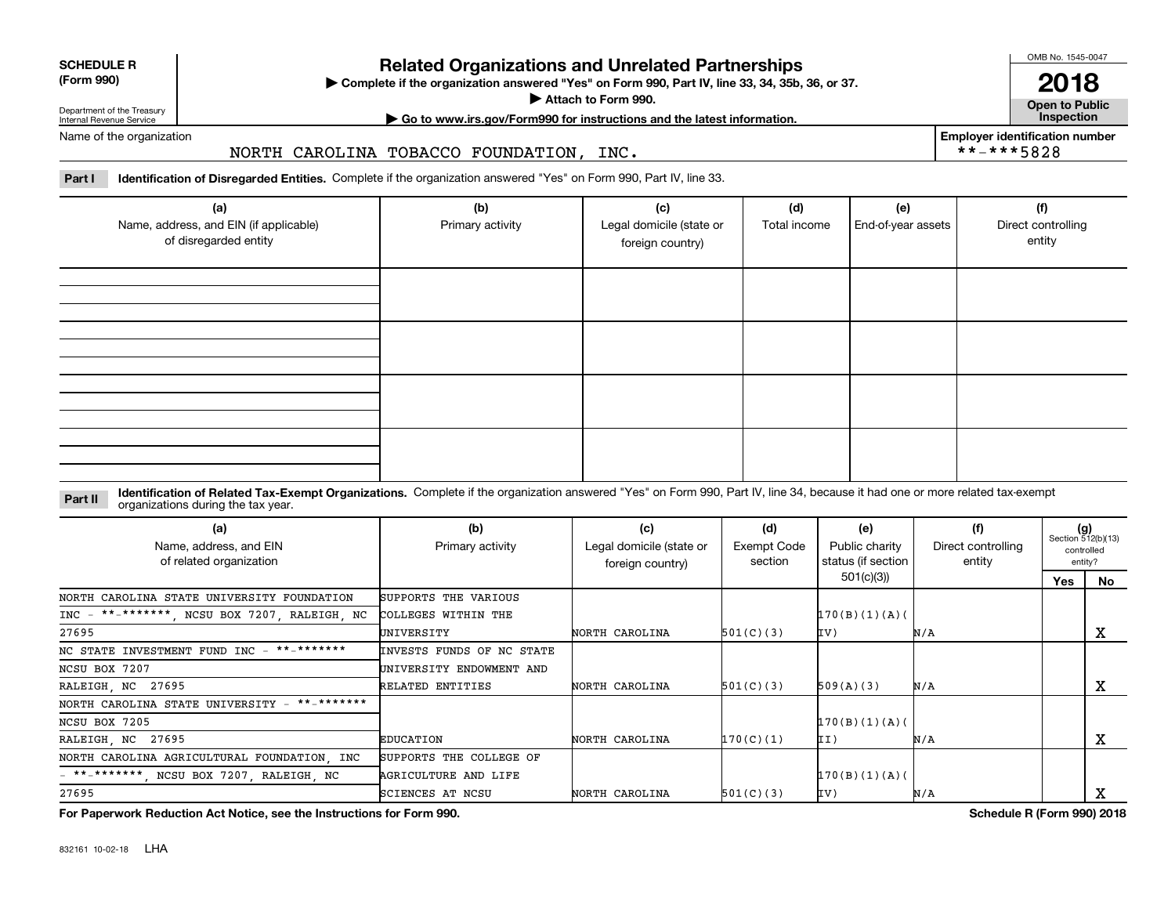| <b>SCHEDULE R</b> |  |
|-------------------|--|
| AA                |  |

### **(Form 990)**

# **Related Organizations and Unrelated Partnerships**

**Complete if the organization answered "Yes" on Form 990, Part IV, line 33, 34, 35b, 36, or 37.** |

**Attach to Form 990.**  |

OMB No. 1545-0047

**Open to Public 2018**

**Employer identification number**

 $***$  \*\*-\*\*5828

Department of the Treasury Internal Revenue Service

# **| Go to www.irs.gov/Form990 for instructions and the latest information. Inspection**

Name of the organization

### NORTH CAROLINA TOBACCO FOUNDATION, INC.

**Part I Identification of Disregarded Entities.**  Complete if the organization answered "Yes" on Form 990, Part IV, line 33.

| (a)<br>Name, address, and EIN (if applicable)<br>of disregarded entity | (b)<br>Primary activity | (c)<br>Legal domicile (state or<br>foreign country) | (d)<br>Total income | (e)<br>End-of-year assets | (f)<br>Direct controlling<br>entity |
|------------------------------------------------------------------------|-------------------------|-----------------------------------------------------|---------------------|---------------------------|-------------------------------------|
|                                                                        |                         |                                                     |                     |                           |                                     |
|                                                                        |                         |                                                     |                     |                           |                                     |
|                                                                        |                         |                                                     |                     |                           |                                     |
|                                                                        |                         |                                                     |                     |                           |                                     |

#### **Identification of Related Tax-Exempt Organizations.** Complete if the organization answered "Yes" on Form 990, Part IV, line 34, because it had one or more related tax-exempt **Part II** organizations during the tax year.

| (a)<br>Name, address, and EIN<br>of related organization | (b)<br>Primary activity   | (c)<br>Legal domicile (state or<br>foreign country) | (d)<br>Exempt Code<br>section | (e)<br>Public charity<br>status (if section | (f)<br>Direct controlling<br>entity | $(g)$<br>Section 512(b)(13) | controlled<br>entity? |
|----------------------------------------------------------|---------------------------|-----------------------------------------------------|-------------------------------|---------------------------------------------|-------------------------------------|-----------------------------|-----------------------|
|                                                          |                           |                                                     |                               | 501(c)(3)                                   |                                     | Yes                         | No.                   |
| NORTH CAROLINA STATE UNIVERSITY FOUNDATION               | SUPPORTS THE VARIOUS      |                                                     |                               |                                             |                                     |                             |                       |
| $INC - ** - ******$ , NCSU BOX 7207, RALEIGH, NC         | COLLEGES WITHIN THE       |                                                     |                               | 170(B)(1)(A)                                |                                     |                             |                       |
| 27695                                                    | UNIVERSITY                | NORTH CAROLINA                                      | 501(C)(3)                     | IV)                                         | N/A                                 |                             | х                     |
| NC STATE INVESTMENT FUND INC - **-*******                | INVESTS FUNDS OF NC STATE |                                                     |                               |                                             |                                     |                             |                       |
| NCSU BOX 7207                                            | UNIVERSITY ENDOWMENT AND  |                                                     |                               |                                             |                                     |                             |                       |
| RALEIGH, NC 27695                                        | RELATED ENTITIES          | NORTH CAROLINA                                      | 501(C)(3)                     | 509(A)(3)                                   | N/A                                 |                             | x                     |
| NORTH CAROLINA STATE UNIVERSITY - **-*******             |                           |                                                     |                               |                                             |                                     |                             |                       |
| NCSU BOX 7205                                            |                           |                                                     |                               | 170(B)(1)(A)                                |                                     |                             |                       |
| RALEIGH, NC 27695                                        | <b>EDUCATION</b>          | NORTH CAROLINA                                      | 170(C)(1)                     | II)                                         | N/A                                 |                             | х                     |
| NORTH CAROLINA AGRICULTURAL FOUNDATION, INC              | SUPPORTS THE COLLEGE OF   |                                                     |                               |                                             |                                     |                             |                       |
| - **-*******, NCSU BOX 7207, RALEIGH, NC                 | AGRICULTURE AND LIFE      |                                                     |                               | 170(B)(1)(A)                                |                                     |                             |                       |
| 27695                                                    | SCIENCES AT NCSU          | NORTH CAROLINA                                      | 501(C)(3)                     | IV)                                         | N/A                                 |                             | A                     |

**For Paperwork Reduction Act Notice, see the Instructions for Form 990. Schedule R (Form 990) 2018**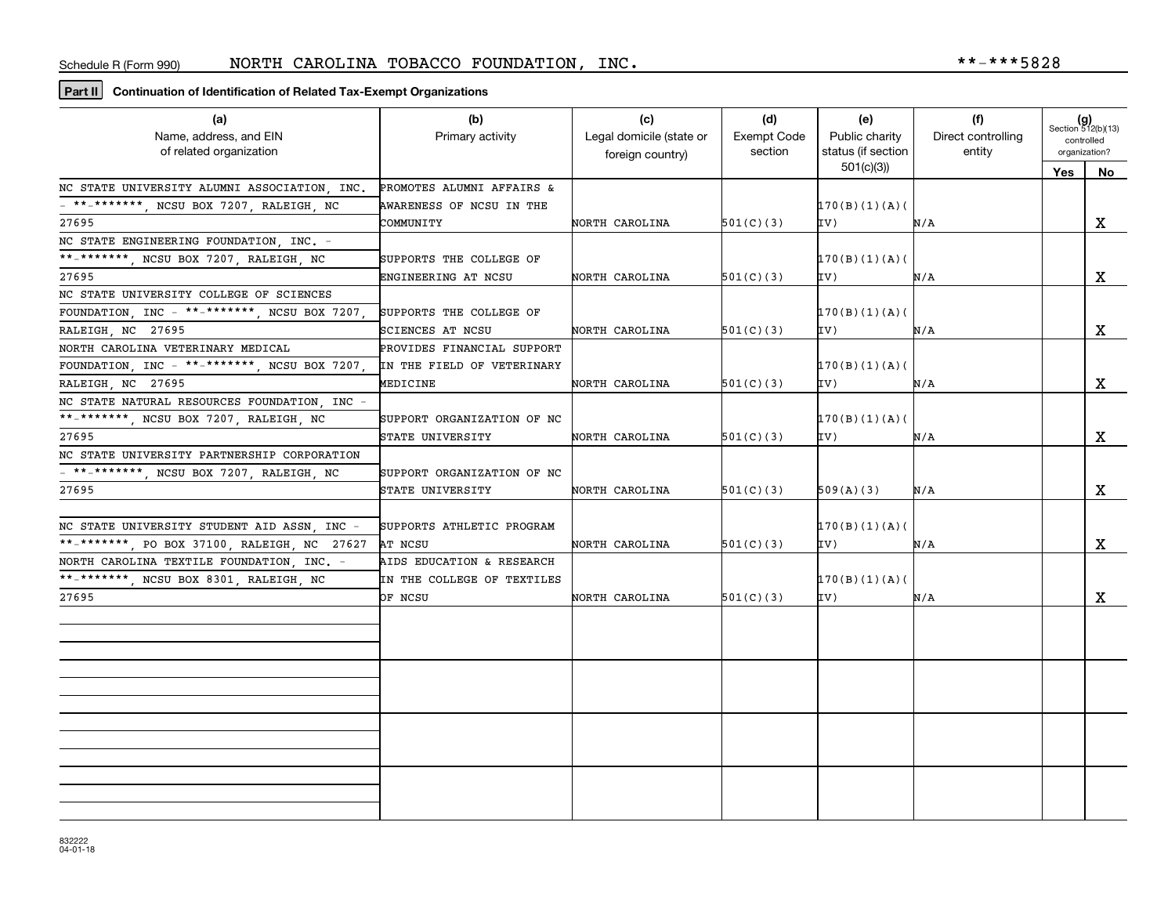**Part II Continuation of Identification of Related Tax-Exempt Organizations**

| (a)                                          | (b)                        | (c)                      | (d)         | (e)                             | (f)                | $(g)$<br>Section 512(b)(13) |        |
|----------------------------------------------|----------------------------|--------------------------|-------------|---------------------------------|--------------------|-----------------------------|--------|
| Name, address, and EIN                       | Primary activity           | Legal domicile (state or | Exempt Code | Public charity                  | Direct controlling | controlled                  |        |
| of related organization                      |                            | foreign country)         | section     | status (if section<br>501(c)(3) | entity             | organization?               |        |
|                                              |                            |                          |             |                                 |                    |                             | Yes No |
| NC STATE UNIVERSITY ALUMNI ASSOCIATION, INC. | PROMOTES ALUMNI AFFAIRS &  |                          |             |                                 |                    |                             |        |
| - **-*******, NCSU BOX 7207, RALEIGH, NC     | AWARENESS OF NCSU IN THE   |                          |             | 170(B)(1)(A)(                   |                    |                             |        |
| 27695                                        | COMMUNITY                  | NORTH CAROLINA           | 501(C)(3)   | IV)                             | N/A                |                             | X      |
| NC STATE ENGINEERING FOUNDATION, INC. -      |                            |                          |             |                                 |                    |                             |        |
| **_*******, NCSU BOX 7207, RALEIGH, NC       | SUPPORTS THE COLLEGE OF    |                          |             | 170(B)(1)(A)(                   |                    |                             |        |
| 27695                                        | ENGINEERING AT NCSU        | NORTH CAROLINA           | 501(C)(3)   | IV)                             | N/A                |                             | X.     |
| NC STATE UNIVERSITY COLLEGE OF SCIENCES      |                            |                          |             |                                 |                    |                             |        |
| FOUNDATION, INC - **-*******, NCSU BOX 7207, | SUPPORTS THE COLLEGE OF    |                          |             | 170(B)(1)(A)(                   |                    |                             |        |
| RALEIGH, NC 27695                            | SCIENCES AT NCSU           | NORTH CAROLINA           | 501(C)(3)   | IV)                             | N/A                |                             | X      |
| NORTH CAROLINA VETERINARY MEDICAL            | PROVIDES FINANCIAL SUPPORT |                          |             |                                 |                    |                             |        |
| FOUNDATION, INC - **-*******, NCSU BOX 7207, | IN THE FIELD OF VETERINARY |                          |             | 170(B)(1)(A)(                   |                    |                             |        |
| RALEIGH, NC 27695                            | MEDICINE                   | NORTH CAROLINA           | 501(C)(3)   | IV)                             | N/A                |                             | X      |
| NC STATE NATURAL RESOURCES FOUNDATION INC -  |                            |                          |             |                                 |                    |                             |        |
| **-*******, NCSU BOX 7207, RALEIGH, NC       | SUPPORT ORGANIZATION OF NC |                          |             | 170(B)(1)(A)                    |                    |                             |        |
| 27695                                        | STATE UNIVERSITY           | NORTH CAROLINA           | 501(C)(3)   | IV)                             | N/A                |                             | x      |
| NC STATE UNIVERSITY PARTNERSHIP CORPORATION  |                            |                          |             |                                 |                    |                             |        |
| - **-*******, NCSU BOX 7207, RALEIGH, NC     | SUPPORT ORGANIZATION OF NC |                          |             |                                 |                    |                             |        |
| 27695                                        | STATE UNIVERSITY           | NORTH CAROLINA           | 501(C)(3)   | 509(A)(3)                       | N/A                |                             | x      |
|                                              |                            |                          |             |                                 |                    |                             |        |
| NC STATE UNIVERSITY STUDENT AID ASSN. INC -  | SUPPORTS ATHLETIC PROGRAM  |                          |             | 170(B)(1)(A)(                   |                    |                             |        |
| **-*******, PO BOX 37100, RALEIGH, NC 27627  | AT NCSU                    | NORTH CAROLINA           | 501(C)(3)   | IV)                             | N/A                |                             | X      |
| NORTH CAROLINA TEXTILE FOUNDATION INC. -     | AIDS EDUCATION & RESEARCH  |                          |             |                                 |                    |                             |        |
| **_*******, NCSU BOX 8301, RALEIGH, NC       | IN THE COLLEGE OF TEXTILES |                          |             | 170(B)(1)(A)                    |                    |                             |        |
| 27695                                        | OF NCSU                    | NORTH CAROLINA           | 501(C)(3)   | IV)                             | N/A                |                             | x      |
|                                              |                            |                          |             |                                 |                    |                             |        |
|                                              |                            |                          |             |                                 |                    |                             |        |
|                                              |                            |                          |             |                                 |                    |                             |        |
|                                              |                            |                          |             |                                 |                    |                             |        |
|                                              |                            |                          |             |                                 |                    |                             |        |
|                                              |                            |                          |             |                                 |                    |                             |        |
|                                              |                            |                          |             |                                 |                    |                             |        |
|                                              |                            |                          |             |                                 |                    |                             |        |
|                                              |                            |                          |             |                                 |                    |                             |        |
|                                              |                            |                          |             |                                 |                    |                             |        |
|                                              |                            |                          |             |                                 |                    |                             |        |
|                                              |                            |                          |             |                                 |                    |                             |        |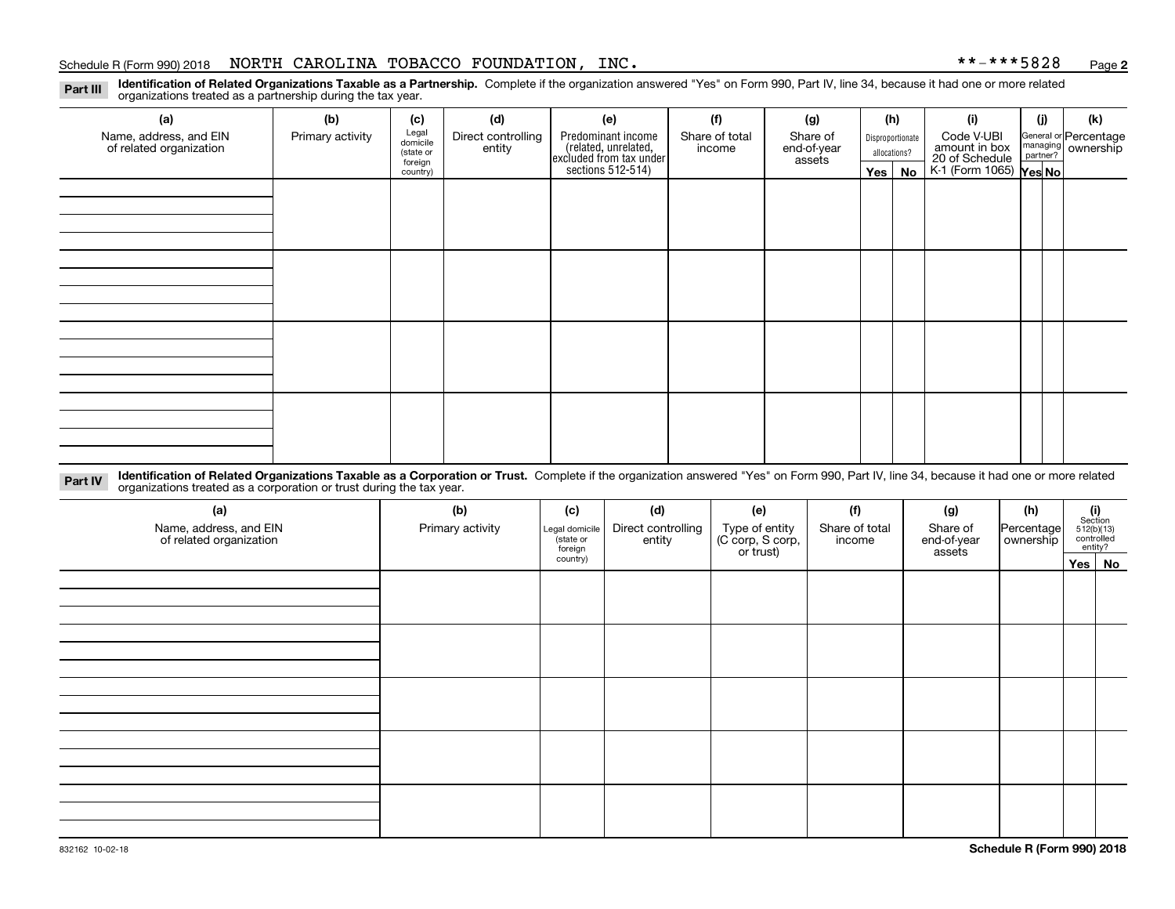### Schedule R (Form 990) 2018 NORTH CAROLINA TOBACCO FOUNDATION, INC \* \*-\* \* \* 5 8 2 8 <sub>Page</sub>

**2**

**Identification of Related Organizations Taxable as a Partnership.** Complete if the organization answered "Yes" on Form 990, Part IV, line 34, because it had one or more related **Part III** organizations treated as a partnership during the tax year.

| (a)<br>Name, address, and EIN<br>of related organization | (b)<br>Primary activity | (c)<br>Legal<br>domicile         | (d)<br>Direct controlling | (e)                                                                                        | (f)<br>Share of total | (g)<br>Share of       |         | (h)<br>Disproportionate | (i)<br>Code V-UBI                                                | (i) | (k)<br>General or Percentage<br>managing<br>partner?<br>partner? |
|----------------------------------------------------------|-------------------------|----------------------------------|---------------------------|--------------------------------------------------------------------------------------------|-----------------------|-----------------------|---------|-------------------------|------------------------------------------------------------------|-----|------------------------------------------------------------------|
|                                                          |                         | (state or<br>foreign<br>country) | entity                    | Predominant income<br>(related, unrelated,<br>excluded from tax under<br>sections 512-514) | income                | end-of-year<br>assets | Yes $ $ | allocations?<br>No      | amount in box<br>20 of Schedule<br>K-1 (Form 1065) <b>Yes No</b> |     |                                                                  |
|                                                          |                         |                                  |                           |                                                                                            |                       |                       |         |                         |                                                                  |     |                                                                  |
|                                                          |                         |                                  |                           |                                                                                            |                       |                       |         |                         |                                                                  |     |                                                                  |
|                                                          |                         |                                  |                           |                                                                                            |                       |                       |         |                         |                                                                  |     |                                                                  |
|                                                          |                         |                                  |                           |                                                                                            |                       |                       |         |                         |                                                                  |     |                                                                  |
|                                                          |                         |                                  |                           |                                                                                            |                       |                       |         |                         |                                                                  |     |                                                                  |
|                                                          |                         |                                  |                           |                                                                                            |                       |                       |         |                         |                                                                  |     |                                                                  |
|                                                          |                         |                                  |                           |                                                                                            |                       |                       |         |                         |                                                                  |     |                                                                  |
|                                                          |                         |                                  |                           |                                                                                            |                       |                       |         |                         |                                                                  |     |                                                                  |
|                                                          |                         |                                  |                           |                                                                                            |                       |                       |         |                         |                                                                  |     |                                                                  |
|                                                          |                         |                                  |                           |                                                                                            |                       |                       |         |                         |                                                                  |     |                                                                  |

**Identification of Related Organizations Taxable as a Corporation or Trust.** Complete if the organization answered "Yes" on Form 990, Part IV, line 34, because it had one or more related **Part IV** organizations treated as a corporation or trust during the tax year.

| (a)<br>Name, address, and EIN<br>of related organization | (b)<br>Primary activity | (c)<br>Legal domicile<br>(state or<br>foreign | (d)<br>Direct controlling<br>entity | (e)<br>Type of entity<br>(C corp, S corp,<br>or trust) | (f)<br>Share of total<br>income | (g)<br>Share of<br>end-of-year<br>assets | (h)<br>Percentage<br>ownership | $(i)$ Section<br>512(b)(13)<br>controlled<br>entity? |  |
|----------------------------------------------------------|-------------------------|-----------------------------------------------|-------------------------------------|--------------------------------------------------------|---------------------------------|------------------------------------------|--------------------------------|------------------------------------------------------|--|
|                                                          |                         | country)                                      |                                     |                                                        |                                 |                                          |                                | Yes No                                               |  |
|                                                          |                         |                                               |                                     |                                                        |                                 |                                          |                                |                                                      |  |
|                                                          |                         |                                               |                                     |                                                        |                                 |                                          |                                |                                                      |  |
|                                                          |                         |                                               |                                     |                                                        |                                 |                                          |                                |                                                      |  |
|                                                          |                         |                                               |                                     |                                                        |                                 |                                          |                                |                                                      |  |
|                                                          |                         |                                               |                                     |                                                        |                                 |                                          |                                |                                                      |  |
|                                                          |                         |                                               |                                     |                                                        |                                 |                                          |                                |                                                      |  |
|                                                          |                         |                                               |                                     |                                                        |                                 |                                          |                                |                                                      |  |
|                                                          |                         |                                               |                                     |                                                        |                                 |                                          |                                |                                                      |  |
|                                                          |                         |                                               |                                     |                                                        |                                 |                                          |                                |                                                      |  |
|                                                          |                         |                                               |                                     |                                                        |                                 |                                          |                                |                                                      |  |
|                                                          |                         |                                               |                                     |                                                        |                                 |                                          |                                |                                                      |  |
|                                                          |                         |                                               |                                     |                                                        |                                 |                                          |                                |                                                      |  |
|                                                          |                         |                                               |                                     |                                                        |                                 |                                          |                                |                                                      |  |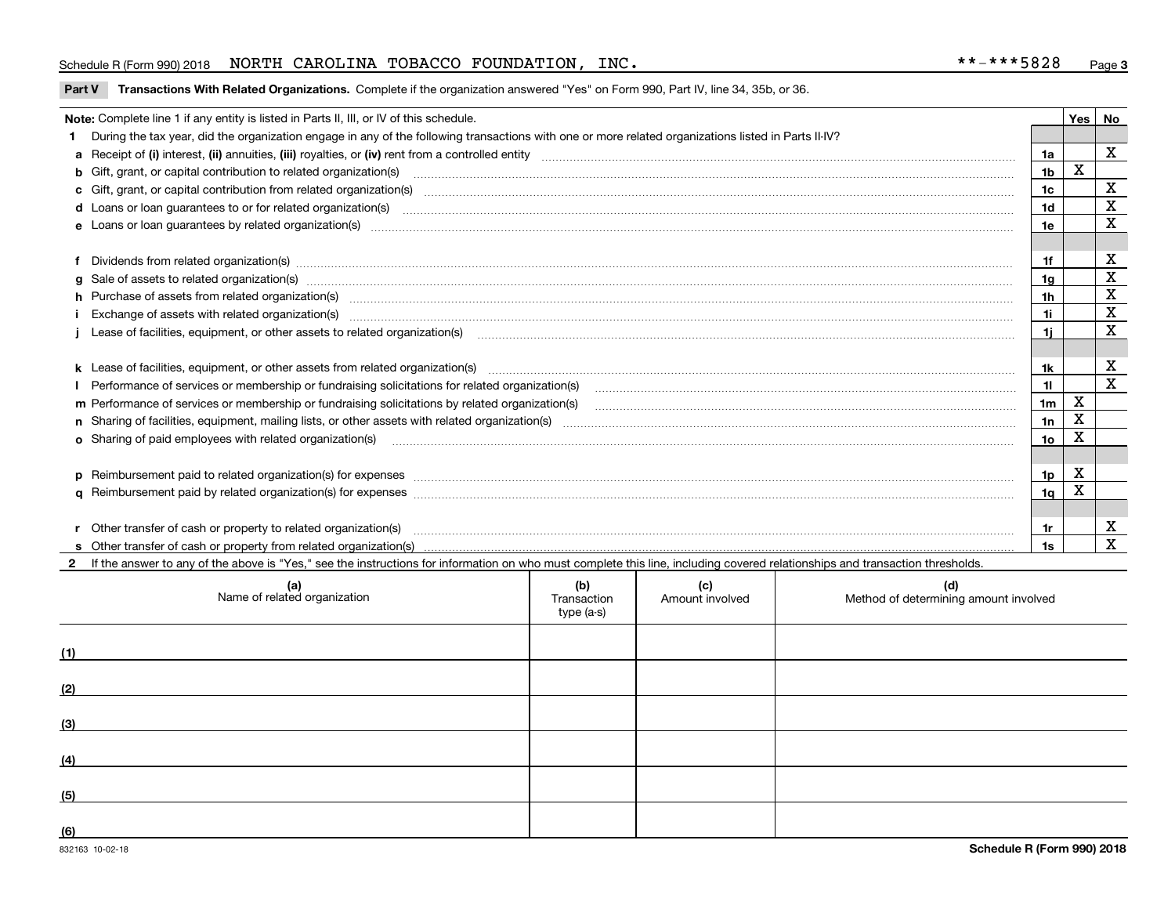### Schedule R (Form 990) 2018 NORTH CAROLINA TOBACCO FOUNDATION, INC \* \*-\* \* \* 5 8 2 8 <sub>Page</sub>

### **Part V** T**ransactions With Related Organizations.** Complete if the organization answered "Yes" on Form 990, Part IV, line 34, 35b, or 36.

| Note: Complete line 1 if any entity is listed in Parts II, III, or IV of this schedule.                                                                                                                                        |                | Yes | No          |
|--------------------------------------------------------------------------------------------------------------------------------------------------------------------------------------------------------------------------------|----------------|-----|-------------|
| During the tax year, did the organization engage in any of the following transactions with one or more related organizations listed in Parts II-IV?                                                                            |                |     |             |
|                                                                                                                                                                                                                                | 1a             |     | X           |
| b Gift, grant, or capital contribution to related organization(s) manufactured contains and contribution to related organization(s)                                                                                            | 1b             | X   |             |
| c Gift, grant, or capital contribution from related organization(s) material content and contribution from related organization(s) material content and content and contribution from related organization(s) material content | 1c             |     | х           |
|                                                                                                                                                                                                                                | 1d             |     | X           |
|                                                                                                                                                                                                                                | 1e             |     | х           |
|                                                                                                                                                                                                                                |                |     |             |
| Dividends from related organization(s) manufactured and contract and contract or produced and contract and contract or produced and contract or produced and contract or produced and contract or produced and contract or pro | 1f             |     | х           |
|                                                                                                                                                                                                                                | 1g             |     | х           |
| h Purchase of assets from related organization(s) manufactured and content to content and content and content and content and content and content and content and content and content and content and content and content and  | 1h             |     | х           |
|                                                                                                                                                                                                                                | 1i.            |     | $\mathbf X$ |
| Lease of facilities, equipment, or other assets to related organization(s) использованно положенно положенно под                                                                                                               | 1i.            |     | X           |
|                                                                                                                                                                                                                                |                |     |             |
|                                                                                                                                                                                                                                | 1k.            |     | х           |
| Performance of services or membership or fundraising solicitations for related organization(s)                                                                                                                                 | 11             |     | X           |
| m Performance of services or membership or fundraising solicitations by related organization(s)                                                                                                                                | 1 <sub>m</sub> | X   |             |
|                                                                                                                                                                                                                                | 1n             | X   |             |
| <b>o</b> Sharing of paid employees with related organization(s)                                                                                                                                                                | 10             | X   |             |
|                                                                                                                                                                                                                                |                |     |             |
| p Reimbursement paid to related organization(s) for expenses [1111] and manufacture manufacture manufacture manufacture manufacture manufacture manufacture manufacture manufacture manufacture manufacture manufacture manufa | 1p             | х   |             |
|                                                                                                                                                                                                                                | 1q             |     |             |
|                                                                                                                                                                                                                                |                |     |             |
|                                                                                                                                                                                                                                | 1r             |     | х           |
|                                                                                                                                                                                                                                | 1s             |     | X           |

2 If the answer to any of the above is "Yes," see the instructions for information on who must complete this line, including covered relationships and transaction thresholds.

| (a)<br>Name of related organization | (b)<br>Transaction<br>type (a-s) | (c)<br>Amount involved | (d)<br>Method of determining amount involved |
|-------------------------------------|----------------------------------|------------------------|----------------------------------------------|
| (1)                                 |                                  |                        |                                              |
| (2)                                 |                                  |                        |                                              |
| (3)                                 |                                  |                        |                                              |
| (4)                                 |                                  |                        |                                              |
| (5)                                 |                                  |                        |                                              |
| $\underline{(6)}$                   |                                  |                        |                                              |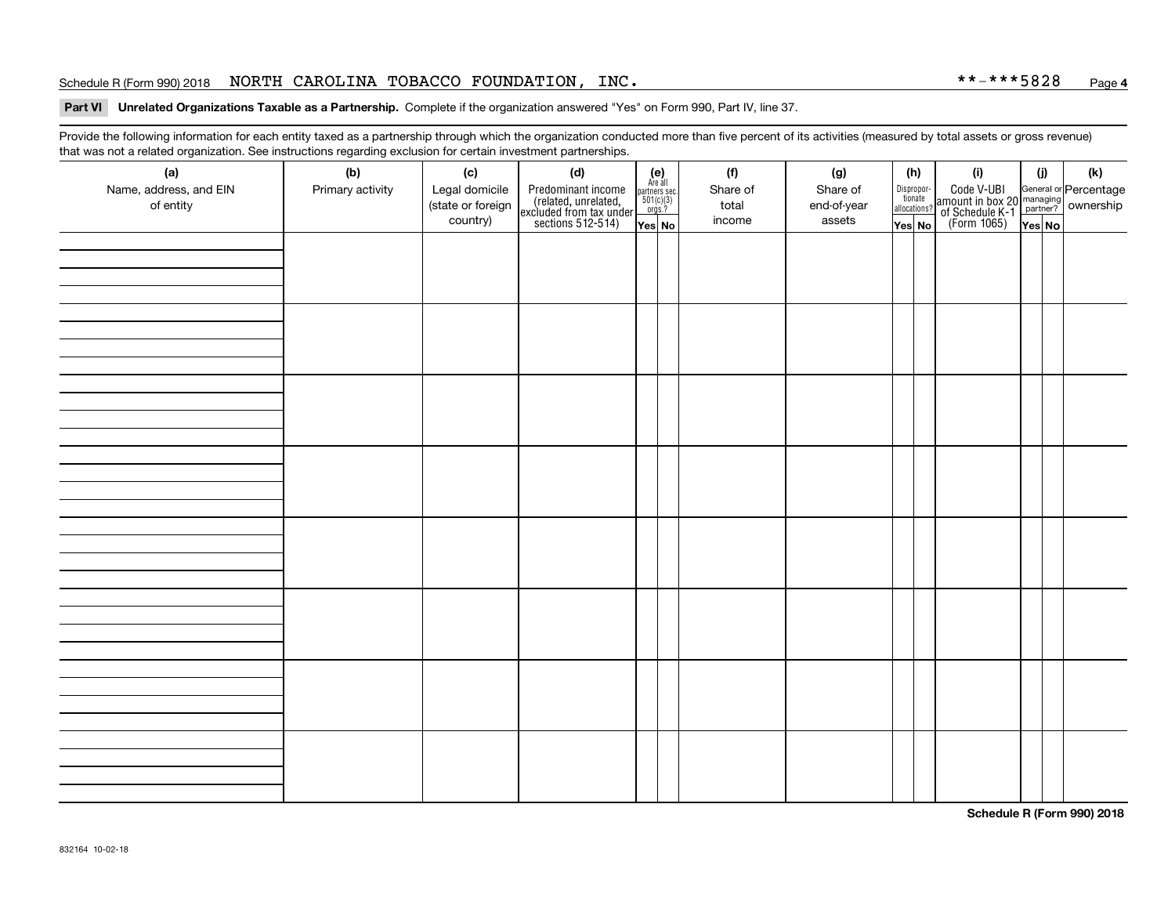### Schedule R (Form 990) 2018 NORTH CAROLINA TOBACCO FOUNDATION, INC . \* \*-\* \* \* 5 8 2 8 <sub>Page</sub>

### **4**

### **Part VI Unrelated Organizations Taxable as a Partnership. Complete if the organization answered "Yes" on Form 990, Part IV, line 37.**

Provide the following information for each entity taxed as a partnership through which the organization conducted more than five percent of its activities (measured by total assets or gross revenue) that was not a related organization. See instructions regarding exclusion for certain investment partnerships.

| (a)<br>Name, address, and EIN<br>of entity | ັ<br>(b)<br>Primary activity | (c)<br>Legal domicile<br>(state or foreign<br>country) | (d)<br>Predominant income<br>(related, unrelated,<br>excluded from tax under<br>sections 512-514) | $(e)$<br>Are all<br>$\begin{array}{c}\n\text{partners} \sec.\n\\ \n501(c)(3)\n\\ \n0rgs.?\n\end{array}$<br>Yes No | (f)<br>Share of<br>total<br>income | (g)<br>Share of<br>end-of-year<br>assets | (h)<br>Dispropor-<br>tionate<br>allocations?<br>Yes No | (i)<br>Code V-UBI<br>amount in box 20 managing<br>of Schedule K-1<br>(Form 1065)<br>$\overline{Yes}$ No | (i)<br>Yes No | $(\mathsf{k})$ |
|--------------------------------------------|------------------------------|--------------------------------------------------------|---------------------------------------------------------------------------------------------------|-------------------------------------------------------------------------------------------------------------------|------------------------------------|------------------------------------------|--------------------------------------------------------|---------------------------------------------------------------------------------------------------------|---------------|----------------|
|                                            |                              |                                                        |                                                                                                   |                                                                                                                   |                                    |                                          |                                                        |                                                                                                         |               |                |
|                                            |                              |                                                        |                                                                                                   |                                                                                                                   |                                    |                                          |                                                        |                                                                                                         |               |                |
|                                            |                              |                                                        |                                                                                                   |                                                                                                                   |                                    |                                          |                                                        |                                                                                                         |               |                |
|                                            |                              |                                                        |                                                                                                   |                                                                                                                   |                                    |                                          |                                                        |                                                                                                         |               |                |
|                                            |                              |                                                        |                                                                                                   |                                                                                                                   |                                    |                                          |                                                        |                                                                                                         |               |                |
|                                            |                              |                                                        |                                                                                                   |                                                                                                                   |                                    |                                          |                                                        |                                                                                                         |               |                |
|                                            |                              |                                                        |                                                                                                   |                                                                                                                   |                                    |                                          |                                                        |                                                                                                         |               |                |
|                                            |                              |                                                        |                                                                                                   |                                                                                                                   |                                    |                                          |                                                        |                                                                                                         |               |                |

**Schedule R (Form 990) 2018**